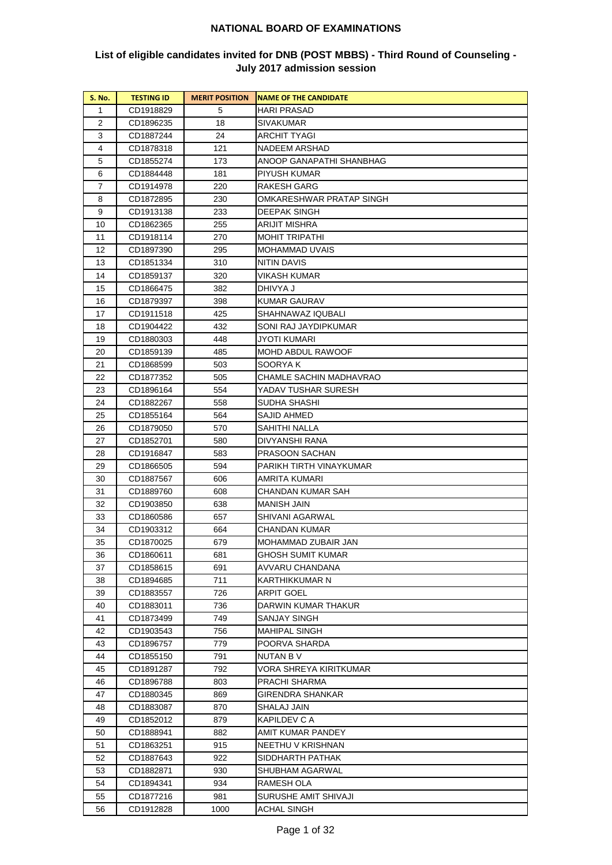| <b>S. No.</b> | <b>TESTING ID</b>      | <b>MERIT POSITION</b> | <b>NAME OF THE CANDIDATE</b>                |
|---------------|------------------------|-----------------------|---------------------------------------------|
| 1             | CD1918829              | 5                     | <b>HARI PRASAD</b>                          |
| 2             | CD1896235              | 18                    | <b>SIVAKUMAR</b>                            |
| 3             | CD1887244              | 24                    | ARCHIT TYAGI                                |
| 4             | CD1878318              | 121                   | NADEEM ARSHAD                               |
| 5             | CD1855274              | 173                   | ANOOP GANAPATHI SHANBHAG                    |
| 6             | CD1884448              | 181                   | PIYUSH KUMAR                                |
| 7             | CD1914978              | 220                   | RAKESH GARG                                 |
| 8             | CD1872895              | 230                   | OMKARESHWAR PRATAP SINGH                    |
| 9             | CD1913138              | 233                   | <b>DEEPAK SINGH</b>                         |
| 10            | CD1862365              | 255                   | <b>ARIJIT MISHRA</b>                        |
| 11            | CD1918114              | 270                   | <b>MOHIT TRIPATHI</b>                       |
| 12            | CD1897390              | 295                   | MOHAMMAD UVAIS                              |
| 13            | CD1851334              | 310                   | NITIN DAVIS                                 |
| 14            | CD1859137              | 320                   | VIKASH KUMAR                                |
| 15            | CD1866475              | 382                   | DHIVYA J                                    |
| 16            | CD1879397              | 398                   | <b>KUMAR GAURAV</b>                         |
| 17            | CD1911518              | 425                   | SHAHNAWAZ IQUBALI                           |
| 18            | CD1904422              | 432                   | SONI RAJ JAYDIPKUMAR                        |
| 19            | CD1880303              | 448                   | JYOTI KUMARI                                |
| 20            | CD1859139              | 485                   | MOHD ABDUL RAWOOF                           |
| 21            | CD1868599              | 503                   | SOORYA K                                    |
| 22            | CD1877352              | 505                   | CHAMLE SACHIN MADHAVRAO                     |
| 23            | CD1896164              | 554                   | YADAV TUSHAR SURESH                         |
| 24            | CD1882267              | 558                   | SUDHA SHASHI                                |
| 25            | CD1855164              | 564                   | SAJID AHMED                                 |
| 26            | CD1879050              | 570                   | SAHITHI NALLA                               |
| 27            | CD1852701              | 580                   | DIVYANSHI RANA                              |
| 28            | CD1916847              | 583                   | PRASOON SACHAN                              |
| 29            | CD1866505              | 594                   | PARIKH TIRTH VINAYKUMAR                     |
| 30            | CD1887567              | 606                   | AMRITA KUMARI                               |
| 31            | CD1889760              | 608                   | CHANDAN KUMAR SAH                           |
| 32            | CD1903850              | 638                   | MANISH JAIN                                 |
| 33            | CD1860586              | 657                   | SHIVANI AGARWAL                             |
| 34            | CD1903312              | 664                   | CHANDAN KUMAR                               |
| 35            | CD1870025              | 679                   | MOHAMMAD ZUBAIR JAN                         |
| 36            | CD1860611              | 681                   | <b>GHOSH SUMIT KUMAR</b>                    |
| 37            | CD1858615              | 691                   | AVVARU CHANDANA                             |
| 38            | CD1894685              | 711                   | KARTHIKKUMAR N                              |
| 39            | CD1883557              | 726                   | <b>ARPIT GOEL</b>                           |
| 40            | CD1883011              | 736                   | DARWIN KUMAR THAKUR                         |
| 41<br>42      | CD1873499              | 749                   | <b>SANJAY SINGH</b><br><b>MAHIPAL SINGH</b> |
|               | CD1903543              | 756                   | POORVA SHARDA                               |
| 43<br>44      | CD1896757              | 779<br>791            | NUTAN B V                                   |
| 45            | CD1855150<br>CD1891287 | 792                   | VORA SHREYA KIRITKUMAR                      |
| 46            | CD1896788              | 803                   | PRACHI SHARMA                               |
| 47            |                        | 869                   | GIRENDRA SHANKAR                            |
| 48            | CD1880345<br>CD1883087 | 870                   | SHALAJ JAIN                                 |
| 49            | CD1852012              | 879                   | KAPILDEV C A                                |
| 50            | CD1888941              | 882                   | AMIT KUMAR PANDEY                           |
| 51            | CD1863251              | 915                   | NEETHU V KRISHNAN                           |
| 52            | CD1887643              | 922                   | SIDDHARTH PATHAK                            |
| 53            | CD1882871              | 930                   | SHUBHAM AGARWAL                             |
| 54            | CD1894341              | 934                   | RAMESH OLA                                  |
| 55            | CD1877216              | 981                   | SURUSHE AMIT SHIVAJI                        |
| 56            | CD1912828              | 1000                  | ACHAL SINGH                                 |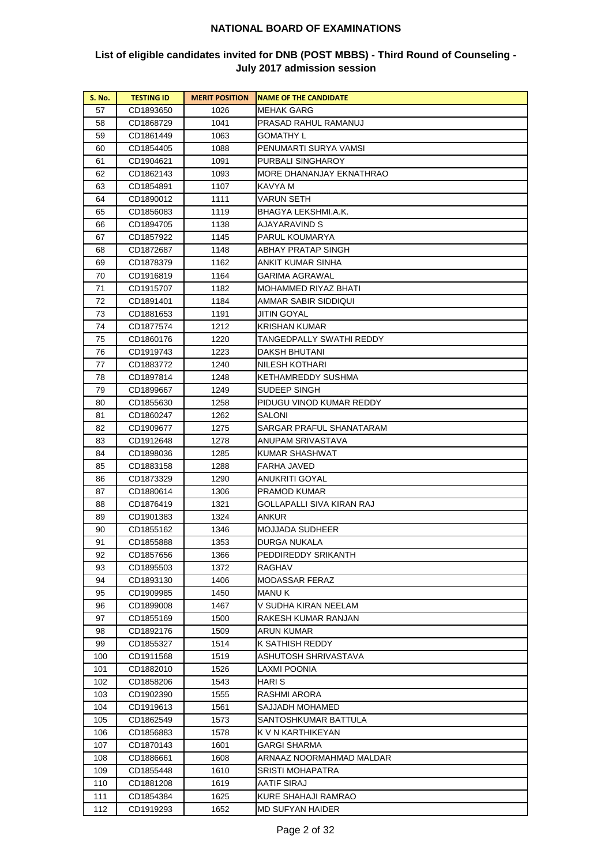| <b>S. No.</b> | <b>TESTING ID</b>      | <b>MERIT POSITION</b> | <b>NAME OF THE CANDIDATE</b>            |
|---------------|------------------------|-----------------------|-----------------------------------------|
| 57            | CD1893650              | 1026                  | <b>MEHAK GARG</b>                       |
| 58            | CD1868729              | 1041                  | PRASAD RAHUL RAMANUJ                    |
| 59            | CD1861449              | 1063                  | GOMATHY L                               |
| 60            | CD1854405              | 1088                  | PENUMARTI SURYA VAMSI                   |
| 61            | CD1904621              | 1091                  | PURBALI SINGHAROY                       |
| 62            | CD1862143              | 1093                  | MORE DHANANJAY EKNATHRAO                |
| 63            | CD1854891              | 1107                  | KAVYA M                                 |
| 64            | CD1890012              | 1111                  | VARUN SETH                              |
| 65            | CD1856083              | 1119                  | BHAGYA LEKSHMI.A.K.                     |
| 66            | CD1894705              | 1138                  | AJAYARAVIND S                           |
| 67            | CD1857922              | 1145                  | PARUL KOUMARYA                          |
| 68            | CD1872687              | 1148                  | ABHAY PRATAP SINGH                      |
| 69            | CD1878379              | 1162                  | ANKIT KUMAR SINHA                       |
| 70            | CD1916819              | 1164                  | GARIMA AGRAWAL                          |
| 71            | CD1915707              | 1182                  | MOHAMMED RIYAZ BHATI                    |
| 72            | CD1891401              | 1184                  | AMMAR SABIR SIDDIQUI                    |
| 73            | CD1881653              | 1191                  | JITIN GOYAL                             |
| 74            | CD1877574              | 1212                  | KRISHAN KUMAR                           |
| 75            | CD1860176              | 1220                  | TANGEDPALLY SWATHI REDDY                |
| 76            | CD1919743              | 1223                  | DAKSH BHUTANI                           |
| 77            | CD1883772              | 1240                  | NILESH KOTHARI                          |
| 78            | CD1897814              | 1248                  | KETHAMREDDY SUSHMA                      |
| 79            | CD1899667              | 1249                  | SUDEEP SINGH                            |
| 80            | CD1855630              | 1258                  | PIDUGU VINOD KUMAR REDDY                |
| 81            | CD1860247              | 1262                  | SALONI                                  |
| 82            | CD1909677              | 1275                  | SARGAR PRAFUL SHANATARAM                |
| 83            | CD1912648              | 1278                  | ANUPAM SRIVASTAVA                       |
| 84            | CD1898036              | 1285                  | KUMAR SHASHWAT                          |
| 85            | CD1883158              | 1288                  | FARHA JAVED                             |
| 86            | CD1873329              | 1290                  | ANUKRITI GOYAL                          |
| 87            | CD1880614              | 1306                  | PRAMOD KUMAR                            |
| 88            | CD1876419              | 1321                  | GOLLAPALLI SIVA KIRAN RAJ               |
| 89            | CD1901383              | 1324                  | ANKUR                                   |
| 90            | CD1855162              | 1346                  | MOJJADA SUDHEER                         |
| 91            | CD1855888              | 1353                  | DURGA NUKALA                            |
| 92            | CD1857656              | 1366                  | PEDDIREDDY SRIKANTH                     |
| 93            | CD1895503              | 1372                  | RAGHAV                                  |
| 94            | CD1893130              | 1406                  | MODASSAR FERAZ                          |
| 95            | CD1909985              | 1450                  | MANU K                                  |
| 96            | CD1899008              | 1467                  | V SUDHA KIRAN NEELAM                    |
| 97            | CD1855169              | 1500                  | RAKESH KUMAR RANJAN                     |
| 98            | CD1892176              | 1509                  | ARUN KUMAR                              |
| 99            | CD1855327              | 1514                  | K SATHISH REDDY                         |
| 100           | CD1911568              | 1519                  | ASHUTOSH SHRIVASTAVA                    |
| 101           | CD1882010              | 1526                  | LAXMI POONIA                            |
| 102           | CD1858206              | 1543                  | HARI S                                  |
| 103           | CD1902390              | 1555                  | RASHMI ARORA                            |
| 104<br>105    | CD1919613<br>CD1862549 | 1561<br>1573          | SAJJADH MOHAMED<br>SANTOSHKUMAR BATTULA |
| 106           | CD1856883              | 1578                  | K V N KARTHIKEYAN                       |
| 107           | CD1870143              | 1601                  | GARGI SHARMA                            |
| 108           | CD1886661              | 1608                  | ARNAAZ NOORMAHMAD MALDAR                |
| 109           | CD1855448              | 1610                  | SRISTI MOHAPATRA                        |
| 110           | CD1881208              | 1619                  | AATIF SIRAJ                             |
| 111           | CD1854384              | 1625                  | KURE SHAHAJI RAMRAO                     |
| 112           | CD1919293              | 1652                  | MD SUFYAN HAIDER                        |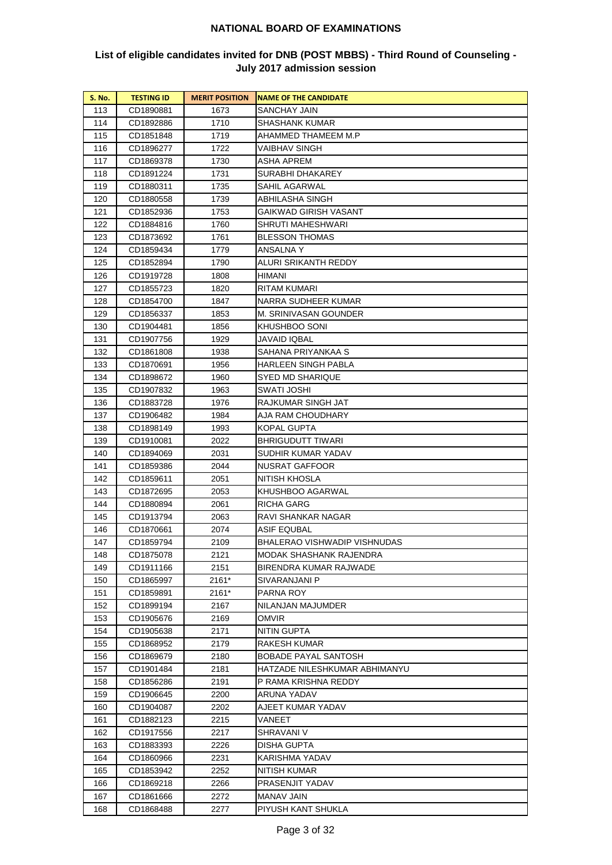| <b>S. No.</b> | <b>TESTING ID</b> | <b>MERIT POSITION</b> | <b>INAME OF THE CANDIDATE</b> |
|---------------|-------------------|-----------------------|-------------------------------|
| 113           | CD1890881         | 1673                  | SANCHAY JAIN                  |
| 114           | CD1892886         | 1710                  | SHASHANK KUMAR                |
| 115           | CD1851848         | 1719                  | AHAMMED THAMEEM M.P           |
| 116           | CD1896277         | 1722                  | VAIBHAV SINGH                 |
| 117           | CD1869378         | 1730                  | ASHA APREM                    |
| 118           | CD1891224         | 1731                  | SURABHI DHAKAREY              |
| 119           | CD1880311         | 1735                  | SAHIL AGARWAL                 |
| 120           | CD1880558         | 1739                  | ABHILASHA SINGH               |
| 121           | CD1852936         | 1753                  | GAIKWAD GIRISH VASANT         |
| 122           | CD1884816         | 1760                  | <b>SHRUTI MAHESHWARI</b>      |
| 123           | CD1873692         | 1761                  | <b>BLESSON THOMAS</b>         |
| 124           | CD1859434         | 1779                  | ANSALNA Y                     |
| 125           | CD1852894         | 1790                  | ALURI SRIKANTH REDDY          |
| 126           | CD1919728         | 1808                  | HIMANI                        |
| 127           | CD1855723         | 1820                  | <b>RITAM KUMARI</b>           |
| 128           | CD1854700         | 1847                  | NARRA SUDHEER KUMAR           |
| 129           | CD1856337         | 1853                  | M. SRINIVASAN GOUNDER         |
| 130           | CD1904481         | 1856                  | KHUSHBOO SONI                 |
| 131           | CD1907756         | 1929                  | JAVAID IQBAL                  |
| 132           | CD1861808         | 1938                  | SAHANA PRIYANKAA S            |
| 133           | CD1870691         | 1956                  | HARLEEN SINGH PABLA           |
| 134           | CD1898672         | 1960                  | SYED MD SHARIQUE              |
| 135           | CD1907832         | 1963                  | SWATI JOSHI                   |
| 136           | CD1883728         | 1976                  | RAJKUMAR SINGH JAT            |
| 137           | CD1906482         | 1984                  | AJA RAM CHOUDHARY             |
| 138           | CD1898149         | 1993                  | <b>KOPAL GUPTA</b>            |
| 139           | CD1910081         | 2022                  | <b>BHRIGUDUTT TIWARI</b>      |
| 140           | CD1894069         | 2031                  | SUDHIR KUMAR YADAV            |
| 141           | CD1859386         | 2044                  | NUSRAT GAFFOOR                |
| 142           | CD1859611         | 2051                  | NITISH KHOSLA                 |
| 143           | CD1872695         | 2053                  | KHUSHBOO AGARWAL              |
| 144           | CD1880894         | 2061                  | RICHA GARG                    |
| 145           | CD1913794         | 2063                  | RAVI SHANKAR NAGAR            |
| 146           | CD1870661         | 2074                  | <b>ASIF EQUBAL</b>            |
| 147           | CD1859794         | 2109                  | BHALERAO VISHWADIP VISHNUDAS  |
| 148           | CD1875078         | 2121                  | MODAK SHASHANK RAJENDRA       |
| 149           | CD1911166         | 2151                  | BIRENDRA KUMAR RAJWADE        |
| 150           | CD1865997         | 2161*                 | SIVARANJANI P                 |
| 151           | CD1859891         | 2161*                 | PARNA ROY                     |
| 152           | CD1899194         | 2167                  | NILANJAN MAJUMDER             |
| 153           | CD1905676         | 2169                  | omvir                         |
| 154           | CD1905638         | 2171                  | NITIN GUPTA                   |
| 155           | CD1868952         | 2179                  | RAKESH KUMAR                  |
| 156           | CD1869679         | 2180                  | <b>BOBADE PAYAL SANTOSH</b>   |
| 157           | CD1901484         | 2181                  | HATZADE NILESHKUMAR ABHIMANYU |
| 158           | CD1856286         | 2191                  | P RAMA KRISHNA REDDY          |
| 159           | CD1906645         | 2200                  | ARUNA YADAV                   |
| 160           | CD1904087         | 2202                  | AJEET KUMAR YADAV             |
| 161           | CD1882123         | 2215                  | VANEET                        |
| 162           | CD1917556         | 2217                  | SHRAVANI V                    |
| 163           | CD1883393         | 2226                  | DISHA GUPTA                   |
| 164           | CD1860966         | 2231                  | KARISHMA YADAV                |
| 165           | CD1853942         | 2252                  | <b>NITISH KUMAR</b>           |
| 166           | CD1869218         | 2266                  | PRASENJIT YADAV               |
| 167           | CD1861666         | 2272                  | MANAV JAIN                    |
| 168           | CD1868488         | 2277                  | PIYUSH KANT SHUKLA            |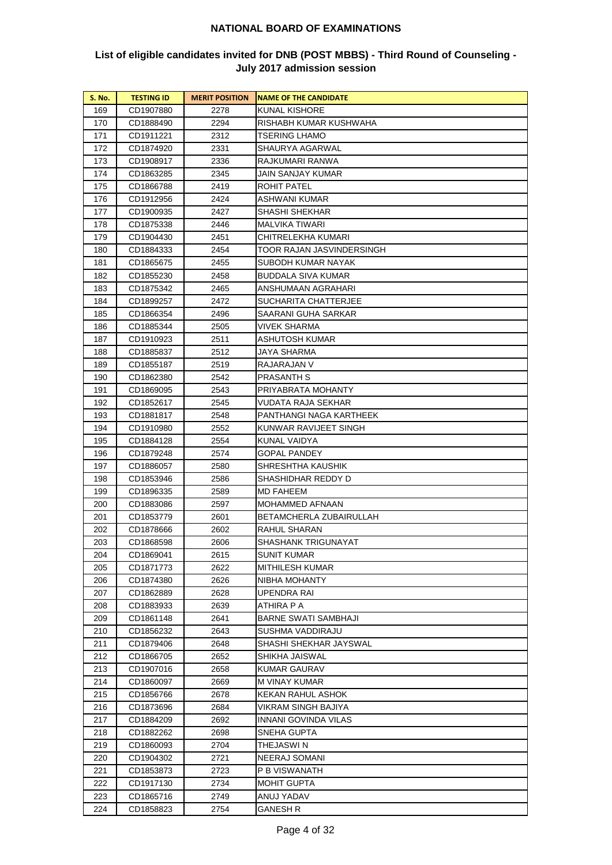| <b>S. No.</b> | <b>TESTING ID</b> | <b>MERIT POSITION</b> | <b>NAME OF THE CANDIDATE</b> |
|---------------|-------------------|-----------------------|------------------------------|
| 169           | CD1907880         | 2278                  | KUNAL KISHORE                |
| 170           | CD1888490         | 2294                  | RISHABH KUMAR KUSHWAHA       |
| 171           | CD1911221         | 2312                  | TSERING LHAMO                |
| 172           | CD1874920         | 2331                  | SHAURYA AGARWAL              |
| 173           | CD1908917         | 2336                  | RAJKUMARI RANWA              |
| 174           | CD1863285         | 2345                  | JAIN SANJAY KUMAR            |
| 175           | CD1866788         | 2419                  | ROHIT PATEL                  |
| 176           | CD1912956         | 2424                  | ASHWANI KUMAR                |
| 177           | CD1900935         | 2427                  | SHASHI SHEKHAR               |
| 178           | CD1875338         | 2446                  | MALVIKA TIWARI               |
| 179           | CD1904430         | 2451                  | CHITRELEKHA KUMARI           |
| 180           | CD1884333         | 2454                  | TOOR RAJAN JASVINDERSINGH    |
| 181           | CD1865675         | 2455                  | SUBODH KUMAR NAYAK           |
| 182           | CD1855230         | 2458                  | BUDDALA SIVA KUMAR           |
| 183           | CD1875342         | 2465                  | ANSHUMAAN AGRAHARI           |
| 184           | CD1899257         | 2472                  | SUCHARITA CHATTERJEE         |
| 185           | CD1866354         | 2496                  | SAARANI GUHA SARKAR          |
| 186           | CD1885344         | 2505                  | VIVEK SHARMA                 |
| 187           | CD1910923         | 2511                  | ASHUTOSH KUMAR               |
| 188           | CD1885837         | 2512                  | JAYA SHARMA                  |
| 189           | CD1855187         | 2519                  | RAJARAJAN V                  |
| 190           | CD1862380         | 2542                  | PRASANTH S                   |
| 191           | CD1869095         | 2543                  | PRIYABRATA MOHANTY           |
| 192           | CD1852617         | 2545                  | VUDATA RAJA SEKHAR           |
| 193           | CD1881817         | 2548                  | PANTHANGI NAGA KARTHEEK      |
| 194           | CD1910980         | 2552                  | KUNWAR RAVIJEET SINGH        |
| 195           | CD1884128         | 2554                  | KUNAL VAIDYA                 |
| 196           | CD1879248         | 2574                  | <b>GOPAL PANDEY</b>          |
| 197           | CD1886057         | 2580                  | SHRESHTHA KAUSHIK            |
| 198           | CD1853946         | 2586                  | SHASHIDHAR REDDY D           |
| 199           | CD1896335         | 2589                  | MD FAHEEM                    |
| 200           | CD1883086         | 2597                  | MOHAMMED AFNAAN              |
| 201           | CD1853779         | 2601                  | BETAMCHERLA ZUBAIRULLAH      |
| 202           | CD1878666         | 2602                  | RAHUL SHARAN                 |
| 203           | CD1868598         | 2606                  | SHASHANK TRIGUNAYAT          |
| 204           | CD1869041         | 2615                  | <b>SUNIT KUMAR</b>           |
| 205           | CD1871773         | 2622                  | MITHILESH KUMAR              |
| 206           | CD1874380         | 2626                  | NIBHA MOHANTY                |
| 207           | CD1862889         | 2628                  | UPENDRA RAI                  |
| 208           | CD1883933         | 2639                  | ATHIRA P A                   |
| 209           | CD1861148         | 2641                  | BARNE SWATI SAMBHAJI         |
| 210           | CD1856232         | 2643                  | SUSHMA VADDIRAJU             |
| 211           | CD1879406         | 2648                  | SHASHI SHEKHAR JAYSWAL       |
| 212           | CD1866705         | 2652                  | SHIKHA JAISWAL               |
| 213           | CD1907016         | 2658                  | KUMAR GAURAV                 |
| 214           | CD1860097         | 2669                  | M VINAY KUMAR                |
| 215           | CD1856766         | 2678                  | KEKAN RAHUL ASHOK            |
| 216           | CD1873696         | 2684                  | VIKRAM SINGH BAJIYA          |
| 217           | CD1884209         | 2692                  | INNANI GOVINDA VILAS         |
| 218           | CD1882262         | 2698                  | SNEHA GUPTA                  |
| 219           | CD1860093         | 2704                  | THEJASWI N                   |
| 220           | CD1904302         | 2721                  | NEERAJ SOMANI                |
| 221           | CD1853873         | 2723                  | P B VISWANATH                |
| 222           | CD1917130         | 2734                  | MOHIT GUPTA                  |
| 223           | CD1865716         | 2749                  | ANUJ YADAV                   |
| 224           | CD1858823         | 2754                  | <b>GANESH R</b>              |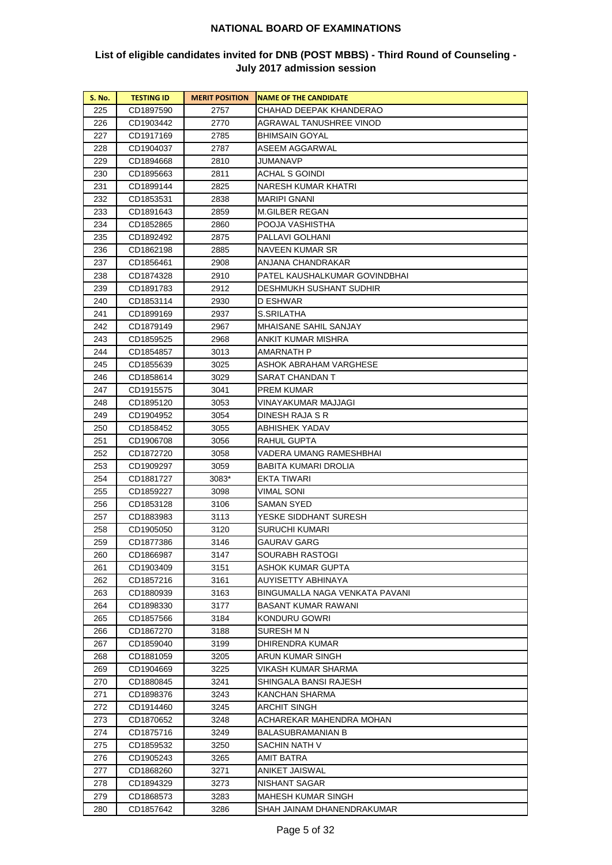| S. No.     | <b>TESTING ID</b> | <b>MERIT POSITION</b> | <b>NAME OF THE CANDIDATE</b>   |
|------------|-------------------|-----------------------|--------------------------------|
| 225        | CD1897590         | 2757                  | CHAHAD DEEPAK KHANDERAO        |
| 226        | CD1903442         | 2770                  | AGRAWAL TANUSHREE VINOD        |
| 227        | CD1917169         | 2785                  | BHIMSAIN GOYAL                 |
| 228        | CD1904037         | 2787                  | ASEEM AGGARWAL                 |
| 229        | CD1894668         | 2810                  | JUMANAVP                       |
| 230        | CD1895663         | 2811                  | <b>ACHAL S GOINDI</b>          |
| 231        | CD1899144         | 2825                  | NARESH KUMAR KHATRI            |
| 232        | CD1853531         | 2838                  | MARIPI GNANI                   |
| 233        | CD1891643         | 2859                  | <b>M.GILBER REGAN</b>          |
| 234        | CD1852865         | 2860                  | POOJA VASHISTHA                |
| 235        | CD1892492         | 2875                  | PALLAVI GOLHANI                |
| 236        | CD1862198         | 2885                  | NAVEEN KUMAR SR                |
| 237        | CD1856461         | 2908                  | ANJANA CHANDRAKAR              |
| 238        | CD1874328         | 2910                  | PATEL KAUSHALKUMAR GOVINDBHAI  |
| 239        | CD1891783         | 2912                  | DESHMUKH SUSHANT SUDHIR        |
| 240        | CD1853114         | 2930                  | D ESHWAR                       |
| 241        | CD1899169         | 2937                  | S.SRILATHA                     |
| 242        | CD1879149         | 2967                  | MHAISANE SAHIL SANJAY          |
| 243        | CD1859525         | 2968                  | ANKIT KUMAR MISHRA             |
| 244        | CD1854857         | 3013                  | AMARNATH P                     |
| 245        | CD1855639         | 3025                  | ASHOK ABRAHAM VARGHESE         |
| 246        | CD1858614         | 3029                  | SARAT CHANDAN T                |
| 247        | CD1915575         | 3041                  | PREM KUMAR                     |
| 248        | CD1895120         | 3053                  | VINAYAKUMAR MAJJAGI            |
| 249        | CD1904952         | 3054                  | DINESH RAJA S R                |
| 250        | CD1858452         | 3055                  | ABHISHEK YADAV                 |
| 251        | CD1906708         | 3056                  | RAHUL GUPTA                    |
| 252        | CD1872720         | 3058                  | VADERA UMANG RAMESHBHAI        |
| 253        | CD1909297         | 3059                  | BABITA KUMARI DROLIA           |
| 254        | CD1881727         | 3083*                 | EKTA TIWARI                    |
| 255        | CD1859227         | 3098                  | VIMAL SONI                     |
| 256        | CD1853128         | 3106                  | SAMAN SYED                     |
| 257        | CD1883983         | 3113                  | YESKE SIDDHANT SURESH          |
| 258        | CD1905050         | 3120                  | SURUCHI KUMARI                 |
| 259        | CD1877386         | 3146                  | GAURAV GARG                    |
| 260        | CD1866987         | 3147                  | SOURABH RASTOGI                |
| 261        | CD1903409         | 3151                  | ASHOK KUMAR GUPTA              |
| 262        | CD1857216         | 3161                  | AUYISETTY ABHINAYA             |
| 263        | CD1880939         | 3163                  | BINGUMALLA NAGA VENKATA PAVANI |
| 264        | CD1898330         | 3177                  | BASANT KUMAR RAWANI            |
| 265        | CD1857566         | 3184                  | KONDURU GOWRI                  |
| 266        | CD1867270         | 3188                  | SURESH M N                     |
| 267        | CD1859040         | 3199                  | DHIRENDRA KUMAR                |
| 268        | CD1881059         | 3205                  | ARUN KUMAR SINGH               |
| 269        | CD1904669         | 3225                  | VIKASH KUMAR SHARMA            |
| 270        | CD1880845         |                       | SHINGALA BANSI RAJESH          |
| 271        | CD1898376         | 3241<br>3243          | KANCHAN SHARMA                 |
|            | CD1914460         |                       | ARCHIT SINGH                   |
| 272<br>273 | CD1870652         | 3245<br>3248          | ACHAREKAR MAHENDRA MOHAN       |
| 274        | CD1875716         | 3249                  | BALASUBRAMANIAN B              |
| 275        | CD1859532         | 3250                  | SACHIN NATH V                  |
|            |                   |                       |                                |
| 276        | CD1905243         | 3265                  | AMIT BATRA                     |
| 277        | CD1868260         | 3271                  | ANIKET JAISWAL                 |
| 278        | CD1894329         | 3273                  | NISHANT SAGAR                  |
| 279        | CD1868573         | 3283                  | MAHESH KUMAR SINGH             |
| 280        | CD1857642         | 3286                  | SHAH JAINAM DHANENDRAKUMAR     |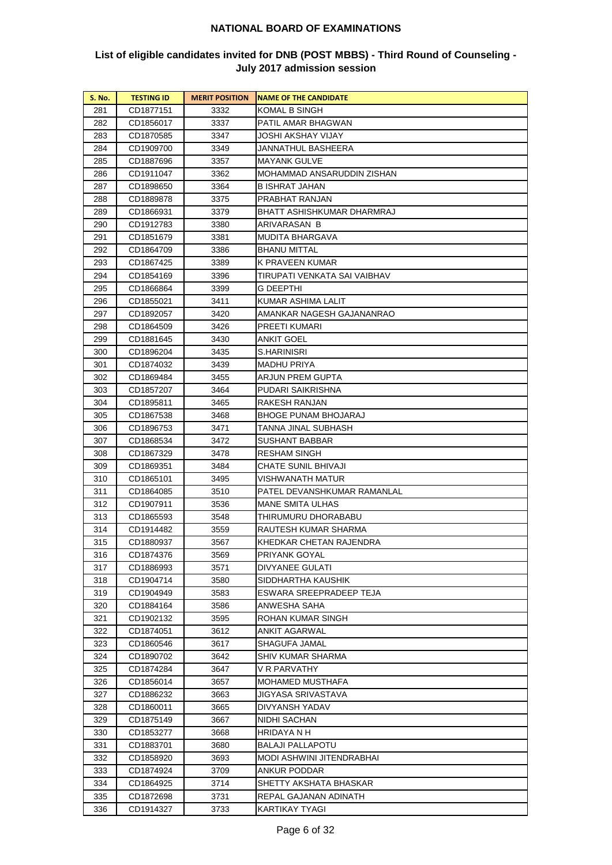| <b>S. No.</b> | <b>TESTING ID</b> | <b>MERIT POSITION</b> | <b>NAME OF THE CANDIDATE</b> |
|---------------|-------------------|-----------------------|------------------------------|
| 281           | CD1877151         | 3332                  | KOMAL B SINGH                |
| 282           | CD1856017         | 3337                  | PATIL AMAR BHAGWAN           |
| 283           | CD1870585         | 3347                  | JOSHI AKSHAY VIJAY           |
| 284           | CD1909700         | 3349                  | JANNATHUL BASHEERA           |
| 285           | CD1887696         | 3357                  | MAYANK GULVE                 |
| 286           | CD1911047         | 3362                  | MOHAMMAD ANSARUDDIN ZISHAN   |
| 287           | CD1898650         | 3364                  | B ISHRAT JAHAN               |
| 288           | CD1889878         | 3375                  | PRABHAT RANJAN               |
| 289           | CD1866931         | 3379                  | BHATT ASHISHKUMAR DHARMRAJ   |
| 290           | CD1912783         | 3380                  | ARIVARASAN B                 |
| 291           | CD1851679         | 3381                  | MUDITA BHARGAVA              |
| 292           | CD1864709         | 3386                  | <b>BHANU MITTAL</b>          |
| 293           | CD1867425         | 3389                  | K PRAVEEN KUMAR              |
| 294           | CD1854169         | 3396                  | TIRUPATI VENKATA SAI VAIBHAV |
| 295           | CD1866864         | 3399                  | G DEEPTHI                    |
| 296           | CD1855021         | 3411                  | KUMAR ASHIMA LALIT           |
| 297           | CD1892057         | 3420                  | AMANKAR NAGESH GAJANANRAO    |
| 298           | CD1864509         | 3426                  | PREETI KUMARI                |
| 299           | CD1881645         | 3430                  | ANKIT GOEL                   |
| 300           | CD1896204         | 3435                  | S.HARINISRI                  |
| 301           | CD1874032         | 3439                  | MADHU PRIYA                  |
| 302           | CD1869484         | 3455                  | ARJUN PREM GUPTA             |
| 303           | CD1857207         | 3464                  | PUDARI SAIKRISHNA            |
| 304           | CD1895811         | 3465                  | RAKESH RANJAN                |
| 305           | CD1867538         | 3468                  | BHOGE PUNAM BHOJARAJ         |
| 306           | CD1896753         | 3471                  | TANNA JINAL SUBHASH          |
| 307           | CD1868534         | 3472                  | SUSHANT BABBAR               |
| 308           | CD1867329         | 3478                  | RESHAM SINGH                 |
| 309           | CD1869351         | 3484                  | CHATE SUNIL BHIVAJI          |
| 310           | CD1865101         | 3495                  | VISHWANATH MATUR             |
| 311           | CD1864085         | 3510                  | PATEL DEVANSHKUMAR RAMANLAL  |
| 312           | CD1907911         | 3536                  | MANE SMITA ULHAS             |
| 313           | CD1865593         | 3548                  | THIRUMURU DHORABABU          |
| 314           | CD1914482         | 3559                  | RAUTESH KUMAR SHARMA         |
| 315           | CD1880937         | 3567                  | KHEDKAR CHETAN RAJENDRA      |
| 316           | CD1874376         | 3569                  | PRIYANK GOYAL                |
| 317           | CD1886993         | 3571                  | DIVYANEE GULATI              |
| 318           | CD1904714         | 3580                  | SIDDHARTHA KAUSHIK           |
| 319           | CD1904949         | 3583                  | ESWARA SREEPRADEEP TEJA      |
| 320           | CD1884164         | 3586                  | ANWESHA SAHA                 |
| 321           | CD1902132         | 3595                  | ROHAN KUMAR SINGH            |
| 322           | CD1874051         | 3612                  | ANKIT AGARWAL                |
| 323           | CD1860546         | 3617                  | SHAGUFA JAMAL                |
| 324           | CD1890702         | 3642                  | SHIV KUMAR SHARMA            |
| 325           | CD1874284         | 3647                  | V R PARVATHY                 |
| 326           | CD1856014         | 3657                  | MOHAMED MUSTHAFA             |
| 327           | CD1886232         | 3663                  | JIGYASA SRIVASTAVA           |
| 328           | CD1860011         | 3665                  | DIVYANSH YADAV               |
| 329           | CD1875149         | 3667                  | NIDHI SACHAN                 |
| 330           | CD1853277         | 3668                  | HRIDAYA N H                  |
| 331           | CD1883701         | 3680                  | <b>BALAJI PALLAPOTU</b>      |
| 332           | CD1858920         | 3693                  | MODI ASHWINI JITENDRABHAI    |
| 333           | CD1874924         | 3709                  | ANKUR PODDAR                 |
| 334           | CD1864925         | 3714                  | SHETTY AKSHATA BHASKAR       |
| 335           | CD1872698         | 3731                  | REPAL GAJANAN ADINATH        |
| 336           | CD1914327         | 3733                  | KARTIKAY TYAGI               |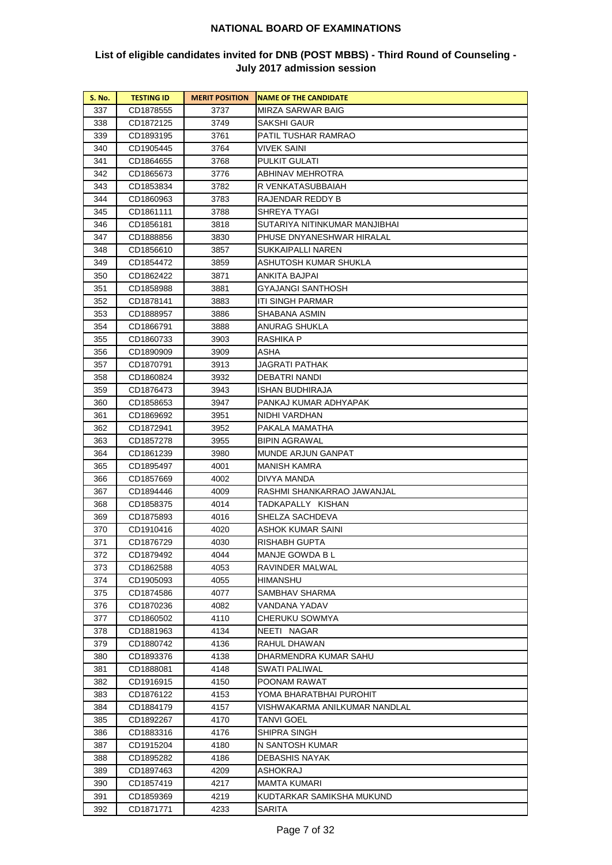| <b>S. No.</b> | <b>TESTING ID</b> | <b>MERIT POSITION</b> | <b>NAME OF THE CANDIDATE</b>  |
|---------------|-------------------|-----------------------|-------------------------------|
| 337           | CD1878555         | 3737                  | MIRZA SARWAR BAIG             |
| 338           | CD1872125         | 3749                  | SAKSHI GAUR                   |
| 339           | CD1893195         | 3761                  | PATIL TUSHAR RAMRAO           |
| 340           | CD1905445         | 3764                  | <b>VIVEK SAINI</b>            |
| 341           | CD1864655         | 3768                  | PULKIT GULATI                 |
| 342           | CD1865673         | 3776                  | ABHINAV MEHROTRA              |
| 343           | CD1853834         | 3782                  | R VENKATASUBBAIAH             |
| 344           | CD1860963         | 3783                  | RAJENDAR REDDY B              |
| 345           | CD1861111         | 3788                  | SHREYA TYAGI                  |
| 346           | CD1856181         | 3818                  | SUTARIYA NITINKUMAR MANJIBHAI |
| 347           | CD1888856         | 3830                  | PHUSE DNYANESHWAR HIRALAL     |
| 348           | CD1856610         | 3857                  | SUKKAIPALLI NAREN             |
| 349           | CD1854472         | 3859                  | ASHUTOSH KUMAR SHUKLA         |
| 350           | CD1862422         | 3871                  | ANKITA BAJPAI                 |
| 351           | CD1858988         | 3881                  | GYAJANGI SANTHOSH             |
| 352           | CD1878141         | 3883                  | ITI SINGH PARMAR              |
| 353           | CD1888957         | 3886                  | SHABANA ASMIN                 |
| 354           | CD1866791         | 3888                  | ANURAG SHUKLA                 |
| 355           | CD1860733         | 3903                  | RASHIKA P                     |
| 356           | CD1890909         | 3909                  | ASHA                          |
| 357           | CD1870791         | 3913                  | JAGRATI PATHAK                |
| 358           | CD1860824         | 3932                  | DEBATRI NANDI                 |
| 359           | CD1876473         | 3943                  | ISHAN BUDHIRAJA               |
| 360           | CD1858653         | 3947                  | PANKAJ KUMAR ADHYAPAK         |
| 361           | CD1869692         | 3951                  | NIDHI VARDHAN                 |
| 362           | CD1872941         | 3952                  | PAKALA MAMATHA                |
| 363           | CD1857278         | 3955                  | <b>BIPIN AGRAWAL</b>          |
| 364           | CD1861239         | 3980                  | MUNDE ARJUN GANPAT            |
| 365           | CD1895497         | 4001                  | MANISH KAMRA                  |
| 366           | CD1857669         | 4002                  | DIVYA MANDA                   |
| 367           | CD1894446         | 4009                  | RASHMI SHANKARRAO JAWANJAL    |
| 368           | CD1858375         | 4014                  | TADKAPALLY KISHAN             |
| 369           | CD1875893         | 4016                  | SHELZA SACHDEVA               |
| 370           | CD1910416         | 4020                  | ASHOK KUMAR SAINI             |
| 371           | CD1876729         | 4030                  | RISHABH GUPTA                 |
| 372           | CD1879492         | 4044                  | MANJE GOWDA B L               |
| 373           | CD1862588         | 4053                  | RAVINDER MALWAL               |
| 374           | CD1905093         | 4055                  | HIMANSHU                      |
| 375           | CD1874586         | 4077                  | SAMBHAV SHARMA                |
| 376           | CD1870236         | 4082                  | VANDANA YADAV                 |
| 377           | CD1860502         | 4110                  | CHERUKU SOWMYA                |
| 378           | CD1881963         | 4134                  | NEETI NAGAR                   |
| 379           | CD1880742         | 4136                  | RAHUL DHAWAN                  |
| 380           | CD1893376         | 4138                  | DHARMENDRA KUMAR SAHU         |
| 381           | CD1888081         | 4148                  | SWATI PALIWAL                 |
| 382           | CD1916915         | 4150                  | POONAM RAWAT                  |
| 383           | CD1876122         | 4153                  | YOMA BHARATBHAI PUROHIT       |
| 384           | CD1884179         | 4157                  | VISHWAKARMA ANILKUMAR NANDLAL |
| 385           | CD1892267         | 4170                  | TANVI GOEL                    |
| 386           | CD1883316         | 4176                  | SHIPRA SINGH                  |
| 387           | CD1915204         | 4180                  | N SANTOSH KUMAR               |
| 388           | CD1895282         | 4186                  | DEBASHIS NAYAK                |
| 389           | CD1897463         | 4209                  | ASHOKRAJ                      |
| 390           | CD1857419         | 4217                  | MAMTA KUMARI                  |
| 391           | CD1859369         | 4219                  | KUDTARKAR SAMIKSHA MUKUND     |
| 392           | CD1871771         | 4233                  | SARITA                        |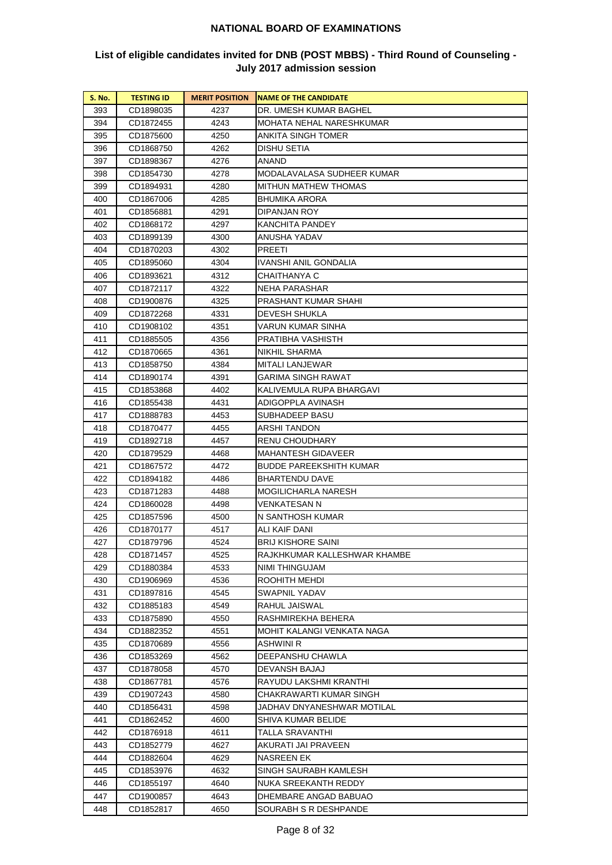| <b>S. No.</b> | <b>TESTING ID</b> | <b>MERIT POSITION</b> | <b>NAME OF THE CANDIDATE</b> |
|---------------|-------------------|-----------------------|------------------------------|
| 393           | CD1898035         | 4237                  | DR. UMESH KUMAR BAGHEL       |
| 394           | CD1872455         | 4243                  | MOHATA NEHAL NARESHKUMAR     |
| 395           | CD1875600         | 4250                  | ANKITA SINGH TOMER           |
| 396           | CD1868750         | 4262                  | DISHU SETIA                  |
| 397           | CD1898367         | 4276                  | ANAND                        |
| 398           | CD1854730         | 4278                  | MODALAVALASA SUDHEER KUMAR   |
| 399           | CD1894931         | 4280                  | MITHUN MATHEW THOMAS         |
| 400           | CD1867006         | 4285                  | BHUMIKA ARORA                |
| 401           | CD1856881         | 4291                  | <b>DIPANJAN ROY</b>          |
| 402           | CD1868172         | 4297                  | KANCHITA PANDEY              |
| 403           | CD1899139         | 4300                  | ANUSHA YADAV                 |
| 404           | CD1870203         | 4302                  | PREETI                       |
| 405           | CD1895060         | 4304                  | IVANSHI ANIL GONDALIA        |
| 406           | CD1893621         | 4312                  | CHAITHANYA C                 |
| 407           | CD1872117         | 4322                  | NEHA PARASHAR                |
| 408           | CD1900876         | 4325                  | PRASHANT KUMAR SHAHI         |
| 409           | CD1872268         | 4331                  | DEVESH SHUKLA                |
| 410           | CD1908102         | 4351                  | VARUN KUMAR SINHA            |
| 411           | CD1885505         | 4356                  | PRATIBHA VASHISTH            |
| 412           | CD1870665         | 4361                  | NIKHIL SHARMA                |
| 413           | CD1858750         | 4384                  | MITALI LANJEWAR              |
| 414           | CD1890174         | 4391                  | GARIMA SINGH RAWAT           |
| 415           | CD1853868         | 4402                  | KALIVEMULA RUPA BHARGAVI     |
| 416           | CD1855438         | 4431                  | ADIGOPPLA AVINASH            |
| 417           | CD1888783         | 4453                  | SUBHADEEP BASU               |
| 418           | CD1870477         | 4455                  | ARSHI TANDON                 |
| 419           | CD1892718         | 4457                  | RENU CHOUDHARY               |
| 420           | CD1879529         | 4468                  | MAHANTESH GIDAVEER           |
| 421           | CD1867572         | 4472                  | BUDDE PAREEKSHITH KUMAR      |
| 422           | CD1894182         | 4486                  | BHARTENDU DAVE               |
| 423           | CD1871283         | 4488                  | MOGILICHARLA NARESH          |
| 424           | CD1860028         | 4498                  | VENKATESAN N                 |
| 425           | CD1857596         | 4500                  | N SANTHOSH KUMAR             |
| 426           | CD1870177         | 4517                  | ALI KAIF DANI                |
| 427           | CD1879796         | 4524                  | BRIJ KISHORE SAINI           |
| 428           | CD1871457         | 4525                  | RAJKHKUMAR KALLESHWAR KHAMBE |
| 429           | CD1880384         | 4533                  | NIMI THINGUJAM               |
| 430           | CD1906969         | 4536                  | ROOHITH MEHDI                |
| 431           | CD1897816         | 4545                  | SWAPNIL YADAV                |
| 432           | CD1885183         | 4549                  | RAHUL JAISWAL                |
| 433           | CD1875890         | 4550                  | RASHMIREKHA BEHERA           |
| 434           | CD1882352         | 4551                  | MOHIT KALANGI VENKATA NAGA   |
| 435           | CD1870689         | 4556                  | ASHWINI R                    |
| 436           | CD1853269         | 4562                  | DEEPANSHU CHAWLA             |
| 437           | CD1878058         | 4570                  | DEVANSH BAJAJ                |
| 438           | CD1867781         | 4576                  | RAYUDU LAKSHMI KRANTHI       |
| 439           | CD1907243         | 4580                  | CHAKRAWARTI KUMAR SINGH      |
| 440           | CD1856431         | 4598                  | JADHAV DNYANESHWAR MOTILAL   |
| 441           | CD1862452         | 4600                  | SHIVA KUMAR BELIDE           |
| 442           | CD1876918         | 4611                  | TALLA SRAVANTHI              |
| 443           | CD1852779         | 4627                  | AKURATI JAI PRAVEEN          |
| 444           | CD1882604         | 4629                  | NASREEN EK                   |
| 445           | CD1853976         | 4632                  | SINGH SAURABH KAMLESH        |
| 446           | CD1855197         | 4640                  | NUKA SREEKANTH REDDY         |
| 447           | CD1900857         | 4643                  | DHEMBARE ANGAD BABUAO        |
| 448           | CD1852817         | 4650                  | SOURABH S R DESHPANDE        |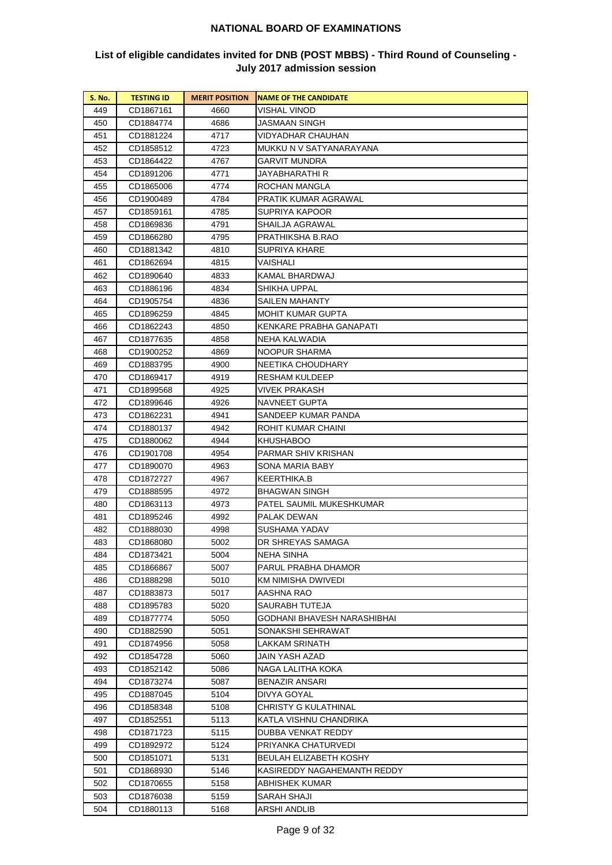| <b>S. No.</b> | <b>TESTING ID</b>      | <b>MERIT POSITION</b> | <b>NAME OF THE CANDIDATE</b>           |
|---------------|------------------------|-----------------------|----------------------------------------|
| 449           | CD1867161              | 4660                  | VISHAL VINOD                           |
| 450           | CD1884774              | 4686                  | JASMAAN SINGH                          |
| 451           | CD1881224              | 4717                  | VIDYADHAR CHAUHAN                      |
| 452           | CD1858512              | 4723                  | MUKKU N V SATYANARAYANA                |
| 453           | CD1864422              | 4767                  | GARVIT MUNDRA                          |
| 454           | CD1891206              | 4771                  | JAYABHARATHI R                         |
| 455           | CD1865006              | 4774                  | ROCHAN MANGLA                          |
| 456           | CD1900489              | 4784                  | PRATIK KUMAR AGRAWAL                   |
| 457           | CD1859161              | 4785                  | SUPRIYA KAPOOR                         |
| 458           | CD1869836              | 4791                  | SHAILJA AGRAWAL                        |
| 459           | CD1866280              | 4795                  | PRATHIKSHA B.RAO                       |
| 460           | CD1881342              | 4810                  | SUPRIYA KHARE                          |
| 461           | CD1862694              | 4815                  | VAISHALI                               |
| 462           | CD1890640              | 4833                  | KAMAL BHARDWAJ                         |
| 463           | CD1886196              | 4834                  | SHIKHA UPPAL                           |
| 464           | CD1905754              | 4836                  | SAILEN MAHANTY                         |
| 465           | CD1896259              | 4845                  | MOHIT KUMAR GUPTA                      |
| 466           | CD1862243              | 4850                  | KENKARE PRABHA GANAPATI                |
| 467           | CD1877635              | 4858                  | NEHA KALWADIA                          |
| 468           | CD1900252              | 4869                  | NOOPUR SHARMA                          |
| 469           | CD1883795              | 4900                  | NEETIKA CHOUDHARY                      |
| 470           | CD1869417              | 4919                  | <b>RESHAM KULDEEP</b>                  |
| 471           | CD1899568              | 4925                  | VIVEK PRAKASH                          |
| 472           | CD1899646              | 4926                  | NAVNEET GUPTA                          |
| 473           | CD1862231              | 4941                  | SANDEEP KUMAR PANDA                    |
| 474           | CD1880137              | 4942                  | ROHIT KUMAR CHAINI                     |
| 475           | CD1880062              | 4944                  | KHUSHABOO                              |
| 476           | CD1901708              | 4954                  | PARMAR SHIV KRISHAN                    |
| 477           | CD1890070              | 4963                  | SONA MARIA BABY                        |
| 478           | CD1872727              | 4967                  | KEERTHIKA.B                            |
| 479           | CD1888595              | 4972                  | <b>BHAGWAN SINGH</b>                   |
| 480           | CD1863113              | 4973                  | PATEL SAUMIL MUKESHKUMAR               |
| 481           | CD1895246              | 4992                  | PALAK DEWAN<br>SUSHAMA YADAV           |
| 482           | CD1888030              | 4998                  |                                        |
| 483<br>484    | CD1868080              | 5002<br>5004          | DR SHREYAS SAMAGA<br><b>NEHA SINHA</b> |
|               | CD1873421              |                       | PARUL PRABHA DHAMOR                    |
| 485<br>486    | CD1866867<br>CD1888298 | 5007                  | KM NIMISHA DWIVEDI                     |
| 487           | CD1883873              | 5010<br>5017          | AASHNA RAO                             |
| 488           | CD1895783              | 5020                  | SAURABH TUTEJA                         |
| 489           | CD1877774              | 5050                  | GODHANI BHAVESH NARASHIBHAI            |
| 490           | CD1882590              | 5051                  | SONAKSHI SEHRAWAT                      |
| 491           | CD1874956              | 5058                  | LAKKAM SRINATH                         |
| 492           | CD1854728              | 5060                  | JAIN YASH AZAD                         |
| 493           | CD1852142              | 5086                  | NAGA LALITHA KOKA                      |
| 494           | CD1873274              | 5087                  | BENAZIR ANSARI                         |
| 495           | CD1887045              | 5104                  | DIVYA GOYAL                            |
| 496           | CD1858348              | 5108                  | CHRISTY G KULATHINAL                   |
| 497           | CD1852551              | 5113                  | KATLA VISHNU CHANDRIKA                 |
| 498           | CD1871723              | 5115                  | DUBBA VENKAT REDDY                     |
| 499           | CD1892972              | 5124                  | PRIYANKA CHATURVEDI                    |
| 500           | CD1851071              | 5131                  | BEULAH ELIZABETH KOSHY                 |
| 501           | CD1868930              | 5146                  | KASIREDDY NAGAHEMANTH REDDY            |
| 502           | CD1870655              | 5158                  | ABHISHEK KUMAR                         |
| 503           | CD1876038              | 5159                  | SARAH SHAJI                            |
| 504           | CD1880113              | 5168                  | ARSHI ANDLIB                           |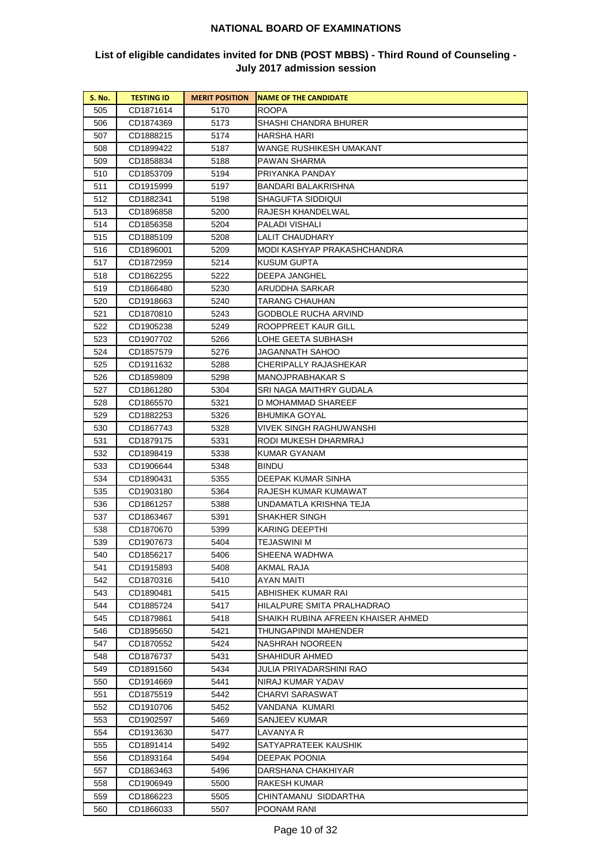| 505<br>CD1871614<br>5170<br><b>ROOPA</b><br>506<br>5173<br>CD1874369<br>SHASHI CHANDRA BHURER |  |
|-----------------------------------------------------------------------------------------------|--|
|                                                                                               |  |
|                                                                                               |  |
| 507<br>CD1888215<br>5174<br>HARSHA HARI                                                       |  |
| WANGE RUSHIKESH UMAKANT<br>508<br>CD1899422<br>5187                                           |  |
| 509<br>CD1858834<br>5188<br>PAWAN SHARMA                                                      |  |
| 510<br>CD1853709<br>5194<br>PRIYANKA PANDAY                                                   |  |
| 511<br>CD1915999<br>5197<br>BANDARI BALAKRISHNA                                               |  |
| 512<br>CD1882341<br>5198<br>SHAGUFTA SIDDIQUI                                                 |  |
| RAJESH KHANDELWAL<br>513<br>CD1896858<br>5200                                                 |  |
| 5204<br>PALADI VISHALI<br>514<br>CD1856358                                                    |  |
| <b>LALIT CHAUDHARY</b><br>515<br>CD1885109<br>5208                                            |  |
| MODI KASHYAP PRAKASHCHANDRA<br>516<br>CD1896001<br>5209                                       |  |
| 517<br>CD1872959<br>5214<br>KUSUM GUPTA                                                       |  |
| 518<br>CD1862255<br>5222<br>DEEPA JANGHEL                                                     |  |
| 519<br>5230<br>ARUDDHA SARKAR<br>CD1866480                                                    |  |
| 520<br>5240<br>TARANG CHAUHAN<br>CD1918663                                                    |  |
| 521<br>CD1870810<br>GODBOLE RUCHA ARVIND<br>5243                                              |  |
| ROOPPREET KAUR GILL<br>522<br>CD1905238<br>5249                                               |  |
| LOHE GEETA SUBHASH<br>523<br>CD1907702<br>5266                                                |  |
| 524<br>CD1857579<br>5276<br>JAGANNATH SAHOO                                                   |  |
| 525<br>CD1911632<br>5288<br>CHERIPALLY RAJASHEKAR                                             |  |
| 526<br>CD1859809<br>5298<br>MANOJPRABHAKAR S                                                  |  |
| 527<br>CD1861280<br>5304<br>SRI NAGA MAITHRY GUDALA                                           |  |
| 528<br>CD1865570<br>5321<br>D MOHAMMAD SHAREEF                                                |  |
| 529<br>CD1882253<br>5326<br>BHUMIKA GOYAL                                                     |  |
| VIVEK SINGH RAGHUWANSHI<br>530<br>CD1867743<br>5328                                           |  |
| 5331<br>RODI MUKESH DHARMRAJ<br>531<br>CD1879175                                              |  |
| KUMAR GYANAM<br>532<br>CD1898419<br>5338                                                      |  |
| 533<br>5348<br>BINDU<br>CD1906644                                                             |  |
| 534<br>CD1890431<br>5355<br>DEEPAK KUMAR SINHA                                                |  |
| 535<br>5364<br>RAJESH KUMAR KUMAWAT<br>CD1903180                                              |  |
| 536<br>5388<br>UNDAMATLA KRISHNA TEJA<br>CD1861257                                            |  |
| 537<br>5391<br>SHAKHER SINGH<br>CD1863467                                                     |  |
| 538<br>CD1870670<br>5399<br>KARING DEEPTHI                                                    |  |
| 539<br>5404<br>TEJASWINI M<br>CD1907673                                                       |  |
| SHEENA WADHWA<br>540<br>CD1856217<br>5406                                                     |  |
| 5408<br>541<br>CD1915893<br>AKMAL RAJA                                                        |  |
| 542<br>CD1870316<br>5410<br>AYAN MAITI                                                        |  |
| 543<br>CD1890481<br>5415<br>ABHISHEK KUMAR RAI                                                |  |
| HILALPURE SMITA PRALHADRAO<br>544<br>CD1885724<br>5417                                        |  |
| 545<br>CD1879861<br>5418<br>SHAIKH RUBINA AFREEN KHAISER AHMED                                |  |
| 546<br>CD1895650<br>5421<br>THUNGAPINDI MAHENDER<br>CD1870552                                 |  |
| 547<br>5424<br>NASHRAH NOOREEN<br>SHAHIDUR AHMED                                              |  |
| 548<br>5431<br>CD1876737<br>549<br>5434<br>JULIA PRIYADARSHINI RAO<br>CD1891560               |  |
| 5441<br>NIRAJ KUMAR YADAV                                                                     |  |
| 550<br>CD1914669                                                                              |  |
| 551<br>5442<br>CHARVI SARASWAT<br>CD1875519<br>552<br>VANDANA KUMARI<br>5452                  |  |
| CD1910706<br>553<br>SANJEEV KUMAR<br>CD1902597<br>5469                                        |  |
| 554<br>5477<br>LAVANYA R<br>CD1913630                                                         |  |
| 555<br>CD1891414<br>5492<br>SATYAPRATEEK KAUSHIK                                              |  |
| 556<br>CD1893164<br>5494<br>DEEPAK POONIA                                                     |  |
| 557<br>5496<br>DARSHANA CHAKHIYAR<br>CD1863463                                                |  |
| 558<br>5500<br>RAKESH KUMAR<br>CD1906949                                                      |  |
| 559<br>CD1866223<br>5505<br>CHINTAMANU SIDDARTHA                                              |  |
| 560<br>CD1866033<br>5507<br>POONAM RANI                                                       |  |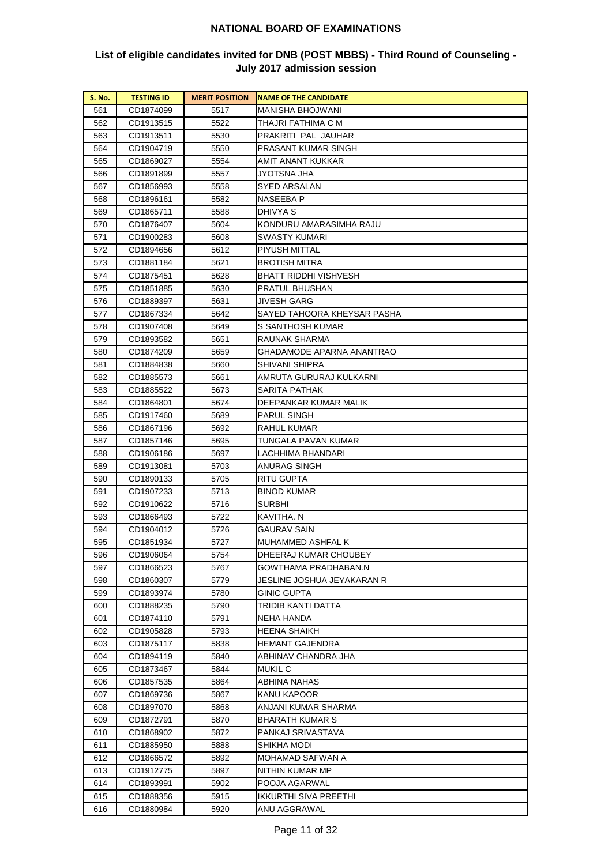| <b>S. No.</b> | <b>TESTING ID</b> | <b>MERIT POSITION</b> | <b>NAME OF THE CANDIDATE</b> |
|---------------|-------------------|-----------------------|------------------------------|
| 561           | CD1874099         | 5517                  | MANISHA BHOJWANI             |
| 562           | CD1913515         | 5522                  | THAJRI FATHIMA C M           |
| 563           | CD1913511         | 5530                  | PRAKRITI PAL JAUHAR          |
| 564           | CD1904719         | 5550                  | PRASANT KUMAR SINGH          |
| 565           | CD1869027         | 5554                  | AMIT ANANT KUKKAR            |
| 566           | CD1891899         | 5557                  | JYOTSNA JHA                  |
| 567           | CD1856993         | 5558                  | SYED ARSALAN                 |
| 568           | CD1896161         | 5582                  | NASEEBA P                    |
| 569           | CD1865711         | 5588                  | DHIVYA S                     |
| 570           | CD1876407         | 5604                  | KONDURU AMARASIMHA RAJU      |
| 571           | CD1900283         | 5608                  | SWASTY KUMARI                |
| 572           | CD1894656         | 5612                  | PIYUSH MITTAL                |
| 573           | CD1881184         | 5621                  | BROTISH MITRA                |
| 574           | CD1875451         | 5628                  | BHATT RIDDHI VISHVESH        |
| 575           | CD1851885         | 5630                  | PRATUL BHUSHAN               |
| 576           | CD1889397         | 5631                  | JIVESH GARG                  |
| 577           | CD1867334         | 5642                  | SAYED TAHOORA KHEYSAR PASHA  |
| 578           | CD1907408         | 5649                  | S SANTHOSH KUMAR             |
| 579           | CD1893582         | 5651                  | RAUNAK SHARMA                |
| 580           | CD1874209         | 5659                  | GHADAMODE APARNA ANANTRAO    |
| 581           | CD1884838         | 5660                  | SHIVANI SHIPRA               |
| 582           | CD1885573         | 5661                  | AMRUTA GURURAJ KULKARNI      |
| 583           | CD1885522         | 5673                  | SARITA PATHAK                |
| 584           | CD1864801         | 5674                  | DEEPANKAR KUMAR MALIK        |
| 585           | CD1917460         | 5689                  | PARUL SINGH                  |
| 586           | CD1867196         | 5692                  | RAHUL KUMAR                  |
| 587           | CD1857146         | 5695                  | TUNGALA PAVAN KUMAR          |
| 588           | CD1906186         | 5697                  | LACHHIMA BHANDARI            |
| 589           | CD1913081         | 5703                  | ANURAG SINGH                 |
| 590           | CD1890133         | 5705                  | RITU GUPTA                   |
| 591           | CD1907233         | 5713                  | BINOD KUMAR                  |
| 592           | CD1910622         | 5716                  | SURBHI                       |
| 593           | CD1866493         | 5722                  | KAVITHA. N                   |
| 594           | CD1904012         | 5726                  | GAURAV SAIN                  |
| 595           | CD1851934         | 5727                  | MUHAMMED ASHFAL K            |
| 596           | CD1906064         | 5754                  | DHEERAJ KUMAR CHOUBEY        |
| 597           | CD1866523         | 5767                  | GOWTHAMA PRADHABAN.N         |
| 598           | CD1860307         | 5779                  | JESLINE JOSHUA JEYAKARAN R   |
| 599           | CD1893974         | 5780                  | GINIC GUPTA                  |
| 600           | CD1888235         | 5790                  | TRIDIB KANTI DATTA           |
| 601           | CD1874110         | 5791                  | NEHA HANDA                   |
| 602           | CD1905828         | 5793                  | HEENA SHAIKH                 |
| 603           | CD1875117         | 5838                  | HEMANT GAJENDRA              |
| 604           | CD1894119         | 5840                  | ABHINAV CHANDRA JHA          |
| 605           | CD1873467         | 5844                  | MUKIL C                      |
| 606           | CD1857535         | 5864                  | ABHINA NAHAS                 |
| 607           | CD1869736         | 5867                  | KANU KAPOOR                  |
| 608           | CD1897070         | 5868                  | ANJANI KUMAR SHARMA          |
| 609           | CD1872791         | 5870                  | BHARATH KUMAR S              |
| 610           | CD1868902         | 5872                  | PANKAJ SRIVASTAVA            |
| 611           | CD1885950         | 5888                  | SHIKHA MODI                  |
| 612           | CD1866572         | 5892                  | MOHAMAD SAFWAN A             |
| 613           | CD1912775         | 5897                  | NITHIN KUMAR MP              |
| 614           | CD1893991         | 5902                  | POOJA AGARWAL                |
| 615           | CD1888356         | 5915                  | IKKURTHI SIVA PREETHI        |
| 616           | CD1880984         | 5920                  | ANU AGGRAWAL                 |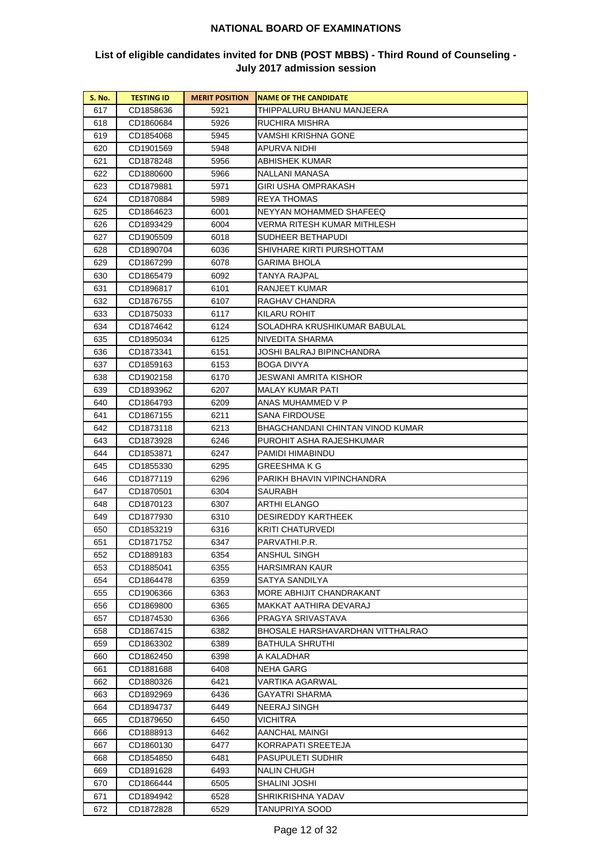| <b>S. No.</b> | <b>TESTING ID</b> | <b>MERIT POSITION</b> | <b>NAME OF THE CANDIDATE</b>     |
|---------------|-------------------|-----------------------|----------------------------------|
| 617           | CD1858636         | 5921                  | THIPPALURU BHANU MANJEERA        |
| 618           | CD1860684         | 5926                  | RUCHIRA MISHRA                   |
| 619           | CD1854068         | 5945                  | VAMSHI KRISHNA GONE              |
| 620           | CD1901569         | 5948                  | APURVA NIDHI                     |
| 621           | CD1878248         | 5956                  | ABHISHEK KUMAR                   |
| 622           | CD1880600         | 5966                  | NALLANI MANASA                   |
| 623           | CD1879881         | 5971                  | GIRI USHA OMPRAKASH              |
| 624           | CD1870884         | 5989                  | <b>REYA THOMAS</b>               |
| 625           | CD1864623         | 6001                  | NEYYAN MOHAMMED SHAFEEQ          |
| 626           | CD1893429         | 6004                  | VERMA RITESH KUMAR MITHLESH      |
| 627           | CD1905509         | 6018                  | SUDHEER BETHAPUDI                |
| 628           | CD1890704         | 6036                  | SHIVHARE KIRTI PURSHOTTAM        |
| 629           | CD1867299         | 6078                  | GARIMA BHOLA                     |
| 630           | CD1865479         | 6092                  | TANYA RAJPAL                     |
| 631           | CD1896817         | 6101                  | RANJEET KUMAR                    |
| 632           | CD1876755         | 6107                  | RAGHAV CHANDRA                   |
| 633           | CD1875033         | 6117                  | KILARU ROHIT                     |
| 634           | CD1874642         | 6124                  | SOLADHRA KRUSHIKUMAR BABULAL     |
| 635           | CD1895034         | 6125                  | NIVEDITA SHARMA                  |
| 636           | CD1873341         | 6151                  | JOSHI BALRAJ BIPINCHANDRA        |
| 637           | CD1859163         | 6153                  | BOGA DIVYA                       |
| 638           | CD1902158         | 6170                  | JESWANI AMRITA KISHOR            |
| 639           | CD1893962         | 6207                  | MALAY KUMAR PATI                 |
| 640           | CD1864793         | 6209                  | ANAS MUHAMMED V P                |
| 641           | CD1867155         | 6211                  | SANA FIRDOUSE                    |
| 642           | CD1873118         | 6213                  | BHAGCHANDANI CHINTAN VINOD KUMAR |
| 643           | CD1873928         | 6246                  | PUROHIT ASHA RAJESHKUMAR         |
| 644           | CD1853871         | 6247                  | PAMIDI HIMABINDU                 |
| 645           | CD1855330         | 6295                  | GREESHMA K G                     |
| 646           | CD1877119         | 6296                  | PARIKH BHAVIN VIPINCHANDRA       |
| 647           | CD1870501         | 6304                  | SAURABH                          |
| 648           | CD1870123         | 6307                  | ARTHI ELANGO                     |
| 649           | CD1877930         | 6310                  | <b>DESIREDDY KARTHEEK</b>        |
| 650           | CD1853219         | 6316                  | KRITI CHATURVEDI                 |
| 651           | CD1871752         | 6347                  | PARVATHI.P.R.                    |
| 652           | CD1889183         | 6354                  | ANSHUL SINGH                     |
| 653           | CD1885041         | 6355                  | HARSIMRAN KAUR                   |
| 654           | CD1864478         | 6359                  | SATYA SANDILYA                   |
| 655           | CD1906366         | 6363                  | MORE ABHIJIT CHANDRAKANT         |
| 656           | CD1869800         | 6365                  | MAKKAT AATHIRA DEVARAJ           |
| 657           | CD1874530         | 6366                  | PRAGYA SRIVASTAVA                |
| 658           | CD1867415         | 6382                  | BHOSALE HARSHAVARDHAN VITTHALRAO |
| 659           | CD1863302         | 6389                  | BATHULA SHRUTHI                  |
| 660           | CD1862450         | 6398                  | A KALADHAR                       |
| 661           | CD1881688         | 6408                  | NEHA GARG                        |
| 662           | CD1880326         | 6421                  | VARTIKA AGARWAL                  |
| 663           | CD1892969         | 6436                  | GAYATRI SHARMA                   |
| 664           | CD1894737         | 6449                  | NEERAJ SINGH                     |
| 665           | CD1879650         | 6450                  | VICHITRA                         |
| 666           | CD1888913         | 6462                  | AANCHAL MAINGI                   |
| 667           | CD1860130         | 6477                  | KORRAPATI SREETEJA               |
| 668           | CD1854850         | 6481                  | PASUPULETI SUDHIR                |
| 669           | CD1891628         | 6493                  | NALIN CHUGH                      |
| 670           | CD1866444         | 6505                  | SHALINI JOSHI                    |
| 671           | CD1894942         | 6528                  | SHRIKRISHNA YADAV                |
| 672           | CD1872828         | 6529                  | TANUPRIYA SOOD                   |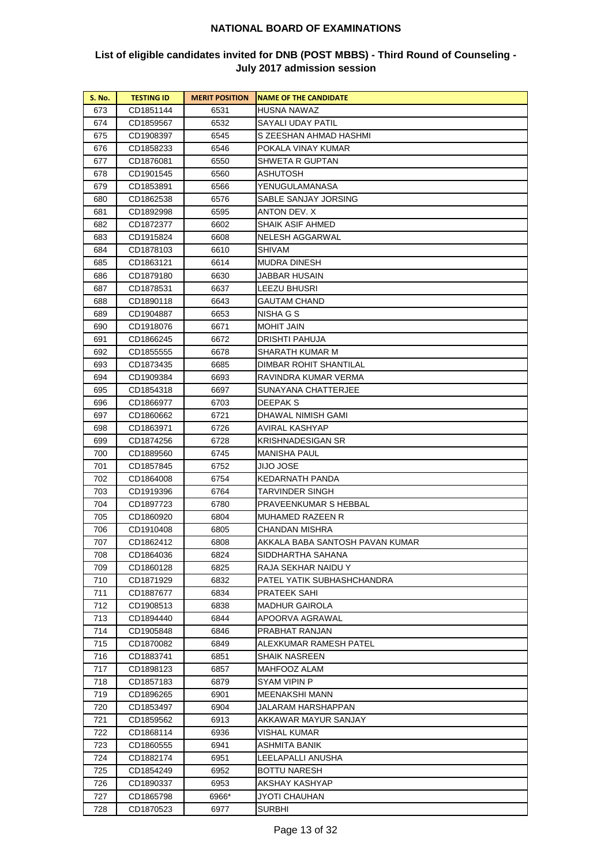| 673<br>CD1851144<br>6531<br>HUSNA NAWAZ<br>674<br>6532<br>SAYALI UDAY PATIL<br>CD1859567<br>S ZEESHAN AHMAD HASHMI<br>675<br>CD1908397<br>6545<br>POKALA VINAY KUMAR<br>676<br>CD1858233<br>6546<br>677<br>CD1876081<br>6550<br>SHWETA R GUPTAN<br>678<br>CD1901545<br>6560<br>ASHUTOSH<br>YENUGULAMANASA<br>679<br>CD1853891<br>6566<br>680<br>CD1862538<br>6576<br>SABLE SANJAY JORSING<br>ANTON DEV. X<br>681<br>CD1892998<br>6595<br>SHAIK ASIF AHMED<br>682<br>CD1872377<br>6602<br>NELESH AGGARWAL<br>683<br>CD1915824<br>6608<br>SHIVAM<br>684<br>CD1878103<br>6610<br>685<br>6614<br>MUDRA DINESH<br>CD1863121<br>686<br>CD1879180<br>6630<br>JABBAR HUSAIN<br>687<br>6637<br>LEEZU BHUSRI<br>CD1878531<br>688<br>GAUTAM CHAND<br>CD1890118<br>6643<br>689<br>6653<br>NISHA G S<br>CD1904887<br>MOHIT JAIN<br>690<br>CD1918076<br>6671<br>DRISHTI PAHUJA<br>691<br>CD1866245<br>6672<br>SHARATH KUMAR M<br>692<br>CD1855555<br>6678<br>693<br>CD1873435<br>6685<br>DIMBAR ROHIT SHANTILAL<br>694<br>CD1909384<br>6693<br>RAVINDRA KUMAR VERMA<br>695<br>CD1854318<br>6697<br>SUNAYANA CHATTERJEE<br>696<br>CD1866977<br>6703<br>DEEPAK S<br>697<br>CD1860662<br>6721<br>DHAWAL NIMISH GAMI<br>AVIRAL KASHYAP<br>698<br>CD1863971<br>6726<br>KRISHNADESIGAN SR<br>699<br>CD1874256<br>6728<br>MANISHA PAUL<br>700<br>CD1889560<br>6745<br>701<br>CD1857845<br>6752<br>JIJO JOSE<br>702<br>CD1864008<br>6754<br>KEDARNATH PANDA<br>703<br>CD1919396<br>6764<br>TARVINDER SINGH |
|--------------------------------------------------------------------------------------------------------------------------------------------------------------------------------------------------------------------------------------------------------------------------------------------------------------------------------------------------------------------------------------------------------------------------------------------------------------------------------------------------------------------------------------------------------------------------------------------------------------------------------------------------------------------------------------------------------------------------------------------------------------------------------------------------------------------------------------------------------------------------------------------------------------------------------------------------------------------------------------------------------------------------------------------------------------------------------------------------------------------------------------------------------------------------------------------------------------------------------------------------------------------------------------------------------------------------------------------------------------------------------------------------------------------------------------------------------------------------------------|
|                                                                                                                                                                                                                                                                                                                                                                                                                                                                                                                                                                                                                                                                                                                                                                                                                                                                                                                                                                                                                                                                                                                                                                                                                                                                                                                                                                                                                                                                                      |
|                                                                                                                                                                                                                                                                                                                                                                                                                                                                                                                                                                                                                                                                                                                                                                                                                                                                                                                                                                                                                                                                                                                                                                                                                                                                                                                                                                                                                                                                                      |
|                                                                                                                                                                                                                                                                                                                                                                                                                                                                                                                                                                                                                                                                                                                                                                                                                                                                                                                                                                                                                                                                                                                                                                                                                                                                                                                                                                                                                                                                                      |
|                                                                                                                                                                                                                                                                                                                                                                                                                                                                                                                                                                                                                                                                                                                                                                                                                                                                                                                                                                                                                                                                                                                                                                                                                                                                                                                                                                                                                                                                                      |
|                                                                                                                                                                                                                                                                                                                                                                                                                                                                                                                                                                                                                                                                                                                                                                                                                                                                                                                                                                                                                                                                                                                                                                                                                                                                                                                                                                                                                                                                                      |
|                                                                                                                                                                                                                                                                                                                                                                                                                                                                                                                                                                                                                                                                                                                                                                                                                                                                                                                                                                                                                                                                                                                                                                                                                                                                                                                                                                                                                                                                                      |
|                                                                                                                                                                                                                                                                                                                                                                                                                                                                                                                                                                                                                                                                                                                                                                                                                                                                                                                                                                                                                                                                                                                                                                                                                                                                                                                                                                                                                                                                                      |
|                                                                                                                                                                                                                                                                                                                                                                                                                                                                                                                                                                                                                                                                                                                                                                                                                                                                                                                                                                                                                                                                                                                                                                                                                                                                                                                                                                                                                                                                                      |
|                                                                                                                                                                                                                                                                                                                                                                                                                                                                                                                                                                                                                                                                                                                                                                                                                                                                                                                                                                                                                                                                                                                                                                                                                                                                                                                                                                                                                                                                                      |
|                                                                                                                                                                                                                                                                                                                                                                                                                                                                                                                                                                                                                                                                                                                                                                                                                                                                                                                                                                                                                                                                                                                                                                                                                                                                                                                                                                                                                                                                                      |
|                                                                                                                                                                                                                                                                                                                                                                                                                                                                                                                                                                                                                                                                                                                                                                                                                                                                                                                                                                                                                                                                                                                                                                                                                                                                                                                                                                                                                                                                                      |
|                                                                                                                                                                                                                                                                                                                                                                                                                                                                                                                                                                                                                                                                                                                                                                                                                                                                                                                                                                                                                                                                                                                                                                                                                                                                                                                                                                                                                                                                                      |
|                                                                                                                                                                                                                                                                                                                                                                                                                                                                                                                                                                                                                                                                                                                                                                                                                                                                                                                                                                                                                                                                                                                                                                                                                                                                                                                                                                                                                                                                                      |
|                                                                                                                                                                                                                                                                                                                                                                                                                                                                                                                                                                                                                                                                                                                                                                                                                                                                                                                                                                                                                                                                                                                                                                                                                                                                                                                                                                                                                                                                                      |
|                                                                                                                                                                                                                                                                                                                                                                                                                                                                                                                                                                                                                                                                                                                                                                                                                                                                                                                                                                                                                                                                                                                                                                                                                                                                                                                                                                                                                                                                                      |
|                                                                                                                                                                                                                                                                                                                                                                                                                                                                                                                                                                                                                                                                                                                                                                                                                                                                                                                                                                                                                                                                                                                                                                                                                                                                                                                                                                                                                                                                                      |
|                                                                                                                                                                                                                                                                                                                                                                                                                                                                                                                                                                                                                                                                                                                                                                                                                                                                                                                                                                                                                                                                                                                                                                                                                                                                                                                                                                                                                                                                                      |
|                                                                                                                                                                                                                                                                                                                                                                                                                                                                                                                                                                                                                                                                                                                                                                                                                                                                                                                                                                                                                                                                                                                                                                                                                                                                                                                                                                                                                                                                                      |
|                                                                                                                                                                                                                                                                                                                                                                                                                                                                                                                                                                                                                                                                                                                                                                                                                                                                                                                                                                                                                                                                                                                                                                                                                                                                                                                                                                                                                                                                                      |
|                                                                                                                                                                                                                                                                                                                                                                                                                                                                                                                                                                                                                                                                                                                                                                                                                                                                                                                                                                                                                                                                                                                                                                                                                                                                                                                                                                                                                                                                                      |
|                                                                                                                                                                                                                                                                                                                                                                                                                                                                                                                                                                                                                                                                                                                                                                                                                                                                                                                                                                                                                                                                                                                                                                                                                                                                                                                                                                                                                                                                                      |
|                                                                                                                                                                                                                                                                                                                                                                                                                                                                                                                                                                                                                                                                                                                                                                                                                                                                                                                                                                                                                                                                                                                                                                                                                                                                                                                                                                                                                                                                                      |
|                                                                                                                                                                                                                                                                                                                                                                                                                                                                                                                                                                                                                                                                                                                                                                                                                                                                                                                                                                                                                                                                                                                                                                                                                                                                                                                                                                                                                                                                                      |
|                                                                                                                                                                                                                                                                                                                                                                                                                                                                                                                                                                                                                                                                                                                                                                                                                                                                                                                                                                                                                                                                                                                                                                                                                                                                                                                                                                                                                                                                                      |
|                                                                                                                                                                                                                                                                                                                                                                                                                                                                                                                                                                                                                                                                                                                                                                                                                                                                                                                                                                                                                                                                                                                                                                                                                                                                                                                                                                                                                                                                                      |
|                                                                                                                                                                                                                                                                                                                                                                                                                                                                                                                                                                                                                                                                                                                                                                                                                                                                                                                                                                                                                                                                                                                                                                                                                                                                                                                                                                                                                                                                                      |
|                                                                                                                                                                                                                                                                                                                                                                                                                                                                                                                                                                                                                                                                                                                                                                                                                                                                                                                                                                                                                                                                                                                                                                                                                                                                                                                                                                                                                                                                                      |
|                                                                                                                                                                                                                                                                                                                                                                                                                                                                                                                                                                                                                                                                                                                                                                                                                                                                                                                                                                                                                                                                                                                                                                                                                                                                                                                                                                                                                                                                                      |
|                                                                                                                                                                                                                                                                                                                                                                                                                                                                                                                                                                                                                                                                                                                                                                                                                                                                                                                                                                                                                                                                                                                                                                                                                                                                                                                                                                                                                                                                                      |
|                                                                                                                                                                                                                                                                                                                                                                                                                                                                                                                                                                                                                                                                                                                                                                                                                                                                                                                                                                                                                                                                                                                                                                                                                                                                                                                                                                                                                                                                                      |
|                                                                                                                                                                                                                                                                                                                                                                                                                                                                                                                                                                                                                                                                                                                                                                                                                                                                                                                                                                                                                                                                                                                                                                                                                                                                                                                                                                                                                                                                                      |
| 704<br>6780<br>PRAVEENKUMAR S HEBBAL<br>CD1897723                                                                                                                                                                                                                                                                                                                                                                                                                                                                                                                                                                                                                                                                                                                                                                                                                                                                                                                                                                                                                                                                                                                                                                                                                                                                                                                                                                                                                                    |
| 705<br>6804<br>MUHAMED RAZEEN R<br>CD1860920                                                                                                                                                                                                                                                                                                                                                                                                                                                                                                                                                                                                                                                                                                                                                                                                                                                                                                                                                                                                                                                                                                                                                                                                                                                                                                                                                                                                                                         |
| 706<br>CD1910408<br>6805<br>CHANDAN MISHRA                                                                                                                                                                                                                                                                                                                                                                                                                                                                                                                                                                                                                                                                                                                                                                                                                                                                                                                                                                                                                                                                                                                                                                                                                                                                                                                                                                                                                                           |
| 707<br>6808<br>AKKALA BABA SANTOSH PAVAN KUMAR<br>CD1862412                                                                                                                                                                                                                                                                                                                                                                                                                                                                                                                                                                                                                                                                                                                                                                                                                                                                                                                                                                                                                                                                                                                                                                                                                                                                                                                                                                                                                          |
| SIDDHARTHA SAHANA<br>CD1864036<br>708<br>6824                                                                                                                                                                                                                                                                                                                                                                                                                                                                                                                                                                                                                                                                                                                                                                                                                                                                                                                                                                                                                                                                                                                                                                                                                                                                                                                                                                                                                                        |
| 709<br>CD1860128<br>6825<br>RAJA SEKHAR NAIDU Y                                                                                                                                                                                                                                                                                                                                                                                                                                                                                                                                                                                                                                                                                                                                                                                                                                                                                                                                                                                                                                                                                                                                                                                                                                                                                                                                                                                                                                      |
| 710<br>CD1871929<br>6832<br>PATEL YATIK SUBHASHCHANDRA                                                                                                                                                                                                                                                                                                                                                                                                                                                                                                                                                                                                                                                                                                                                                                                                                                                                                                                                                                                                                                                                                                                                                                                                                                                                                                                                                                                                                               |
| 711<br>CD1887677<br>6834<br>PRATEEK SAHI                                                                                                                                                                                                                                                                                                                                                                                                                                                                                                                                                                                                                                                                                                                                                                                                                                                                                                                                                                                                                                                                                                                                                                                                                                                                                                                                                                                                                                             |
| 712<br>CD1908513<br>6838<br>MADHUR GAIROLA                                                                                                                                                                                                                                                                                                                                                                                                                                                                                                                                                                                                                                                                                                                                                                                                                                                                                                                                                                                                                                                                                                                                                                                                                                                                                                                                                                                                                                           |
| 713<br>CD1894440<br>6844<br>APOORVA AGRAWAL                                                                                                                                                                                                                                                                                                                                                                                                                                                                                                                                                                                                                                                                                                                                                                                                                                                                                                                                                                                                                                                                                                                                                                                                                                                                                                                                                                                                                                          |
| PRABHAT RANJAN<br>714<br>CD1905848<br>6846                                                                                                                                                                                                                                                                                                                                                                                                                                                                                                                                                                                                                                                                                                                                                                                                                                                                                                                                                                                                                                                                                                                                                                                                                                                                                                                                                                                                                                           |
| ALEXKUMAR RAMESH PATEL<br>715<br>CD1870082<br>6849                                                                                                                                                                                                                                                                                                                                                                                                                                                                                                                                                                                                                                                                                                                                                                                                                                                                                                                                                                                                                                                                                                                                                                                                                                                                                                                                                                                                                                   |
| 716<br>6851<br>SHAIK NASREEN<br>CD1883741                                                                                                                                                                                                                                                                                                                                                                                                                                                                                                                                                                                                                                                                                                                                                                                                                                                                                                                                                                                                                                                                                                                                                                                                                                                                                                                                                                                                                                            |
| 717<br>6857<br>MAHFOOZ ALAM<br>CD1898123                                                                                                                                                                                                                                                                                                                                                                                                                                                                                                                                                                                                                                                                                                                                                                                                                                                                                                                                                                                                                                                                                                                                                                                                                                                                                                                                                                                                                                             |
| 718<br>CD1857183<br>6879<br>SYAM VIPIN P                                                                                                                                                                                                                                                                                                                                                                                                                                                                                                                                                                                                                                                                                                                                                                                                                                                                                                                                                                                                                                                                                                                                                                                                                                                                                                                                                                                                                                             |
| 719<br>6901<br>MEENAKSHI MANN<br>CD1896265                                                                                                                                                                                                                                                                                                                                                                                                                                                                                                                                                                                                                                                                                                                                                                                                                                                                                                                                                                                                                                                                                                                                                                                                                                                                                                                                                                                                                                           |
| 720<br>6904<br>JALARAM HARSHAPPAN<br>CD1853497<br>AKKAWAR MAYUR SANJAY                                                                                                                                                                                                                                                                                                                                                                                                                                                                                                                                                                                                                                                                                                                                                                                                                                                                                                                                                                                                                                                                                                                                                                                                                                                                                                                                                                                                               |
| 721<br>CD1859562<br>6913                                                                                                                                                                                                                                                                                                                                                                                                                                                                                                                                                                                                                                                                                                                                                                                                                                                                                                                                                                                                                                                                                                                                                                                                                                                                                                                                                                                                                                                             |
| 722<br>CD1868114<br>6936<br>VISHAL KUMAR                                                                                                                                                                                                                                                                                                                                                                                                                                                                                                                                                                                                                                                                                                                                                                                                                                                                                                                                                                                                                                                                                                                                                                                                                                                                                                                                                                                                                                             |
| 723<br>CD1860555<br>6941<br>ASHMITA BANIK                                                                                                                                                                                                                                                                                                                                                                                                                                                                                                                                                                                                                                                                                                                                                                                                                                                                                                                                                                                                                                                                                                                                                                                                                                                                                                                                                                                                                                            |
| 724<br>CD1882174<br>6951<br>LEELAPALLI ANUSHA                                                                                                                                                                                                                                                                                                                                                                                                                                                                                                                                                                                                                                                                                                                                                                                                                                                                                                                                                                                                                                                                                                                                                                                                                                                                                                                                                                                                                                        |
| 725<br>6952<br>BOTTU NARESH<br>CD1854249                                                                                                                                                                                                                                                                                                                                                                                                                                                                                                                                                                                                                                                                                                                                                                                                                                                                                                                                                                                                                                                                                                                                                                                                                                                                                                                                                                                                                                             |
| 726<br>6953<br>AKSHAY KASHYAP<br>CD1890337<br>JYOTI CHAUHAN                                                                                                                                                                                                                                                                                                                                                                                                                                                                                                                                                                                                                                                                                                                                                                                                                                                                                                                                                                                                                                                                                                                                                                                                                                                                                                                                                                                                                          |
| 727<br>CD1865798<br>6966*<br>728<br>CD1870523<br>6977<br>SURBHI                                                                                                                                                                                                                                                                                                                                                                                                                                                                                                                                                                                                                                                                                                                                                                                                                                                                                                                                                                                                                                                                                                                                                                                                                                                                                                                                                                                                                      |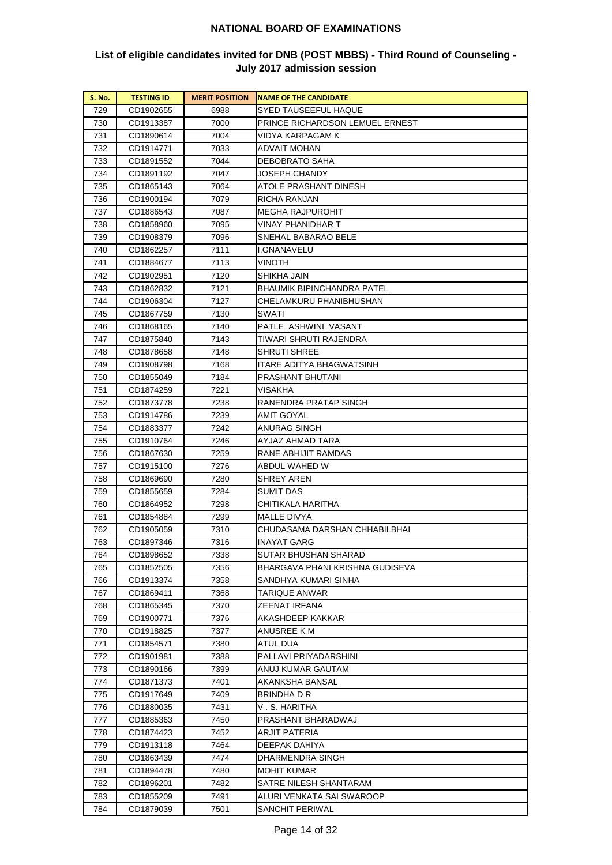| <b>S. No.</b> | <b>TESTING ID</b> | <b>MERIT POSITION</b> | <b>INAME OF THE CANDIDATE</b>   |
|---------------|-------------------|-----------------------|---------------------------------|
| 729           | CD1902655         | 6988                  | SYED TAUSEEFUL HAQUE            |
| 730           | CD1913387         | 7000                  | PRINCE RICHARDSON LEMUEL ERNEST |
| 731           | CD1890614         | 7004                  | VIDYA KARPAGAM K                |
| 732           | CD1914771         | 7033                  | ADVAIT MOHAN                    |
| 733           | CD1891552         | 7044                  | DEBOBRATO SAHA                  |
| 734           | CD1891192         | 7047                  | JOSEPH CHANDY                   |
| 735           | CD1865143         | 7064                  | ATOLE PRASHANT DINESH           |
| 736           | CD1900194         | 7079                  | RICHA RANJAN                    |
| 737           | CD1886543         | 7087                  | <b>MEGHA RAJPUROHIT</b>         |
| 738           | CD1858960         | 7095                  | VINAY PHANIDHAR T               |
| 739           | CD1908379         | 7096                  | SNEHAL BABARAO BELE             |
| 740           | CD1862257         | 7111                  | I.GNANAVELU                     |
| 741           | CD1884677         | 7113                  | VINOTH                          |
| 742           | CD1902951         | 7120                  | SHIKHA JAIN                     |
| 743           | CD1862832         | 7121                  | BHAUMIK BIPINCHANDRA PATEL      |
| 744           | CD1906304         | 7127                  | CHELAMKURU PHANIBHUSHAN         |
| 745           | CD1867759         | 7130                  | SWATI                           |
| 746           | CD1868165         | 7140                  | PATLE ASHWINI VASANT            |
| 747           | CD1875840         | 7143                  | TIWARI SHRUTI RAJENDRA          |
| 748           | CD1878658         | 7148                  | SHRUTI SHREE                    |
| 749           | CD1908798         | 7168                  | ITARE ADITYA BHAGWATSINH        |
| 750           | CD1855049         | 7184                  | PRASHANT BHUTANI                |
| 751           | CD1874259         | 7221                  | VISAKHA                         |
| 752           | CD1873778         | 7238                  | RANENDRA PRATAP SINGH           |
| 753           | CD1914786         | 7239                  | AMIT GOYAL                      |
| 754           | CD1883377         | 7242                  | ANURAG SINGH                    |
| 755           | CD1910764         | 7246                  | AYJAZ AHMAD TARA                |
| 756           | CD1867630         | 7259                  | RANE ABHIJIT RAMDAS             |
| 757           | CD1915100         | 7276                  | ABDUL WAHED W                   |
| 758           | CD1869690         | 7280                  | SHREY AREN                      |
| 759           | CD1855659         | 7284                  | SUMIT DAS                       |
| 760           | CD1864952         | 7298                  | CHITIKALA HARITHA               |
| 761           | CD1854884         | 7299                  | MALLE DIVYA                     |
| 762           | CD1905059         | 7310                  | CHUDASAMA DARSHAN CHHABILBHAI   |
| 763           | CD1897346         | 7316                  | INAYAT GARG                     |
| 764           | CD1898652         | 7338                  | SUTAR BHUSHAN SHARAD            |
| 765           | CD1852505         | 7356                  | BHARGAVA PHANI KRISHNA GUDISEVA |
| 766           | CD1913374         | 7358                  | SANDHYA KUMARI SINHA            |
| 767           | CD1869411         | 7368                  | TARIQUE ANWAR                   |
| 768           | CD1865345         | 7370                  | ZEENAT IRFANA                   |
| 769           | CD1900771         | 7376                  | AKASHDEEP KAKKAR                |
| 770           | CD1918825         | 7377                  | ANUSREE K M                     |
| 771           | CD1854571         | 7380                  | ATUL DUA                        |
| 772           | CD1901981         | 7388                  | PALLAVI PRIYADARSHINI           |
| 773           | CD1890166         | 7399                  | ANUJ KUMAR GAUTAM               |
| 774           | CD1871373         | 7401                  | AKANKSHA BANSAL                 |
| 775           | CD1917649         | 7409                  | BRINDHA D R                     |
| 776           | CD1880035         | 7431                  | V . S. HARITHA                  |
| 777           | CD1885363         | 7450                  | PRASHANT BHARADWAJ              |
| 778           | CD1874423         | 7452                  | ARJIT PATERIA                   |
| 779           | CD1913118         | 7464                  | DEEPAK DAHIYA                   |
| 780           | CD1863439         | 7474                  | DHARMENDRA SINGH                |
| 781           | CD1894478         | 7480                  | MOHIT KUMAR                     |
| 782           | CD1896201         | 7482                  | SATRE NILESH SHANTARAM          |
| 783           | CD1855209         | 7491                  | ALURI VENKATA SAI SWAROOP       |
| 784           | CD1879039         | 7501                  | SANCHIT PERIWAL                 |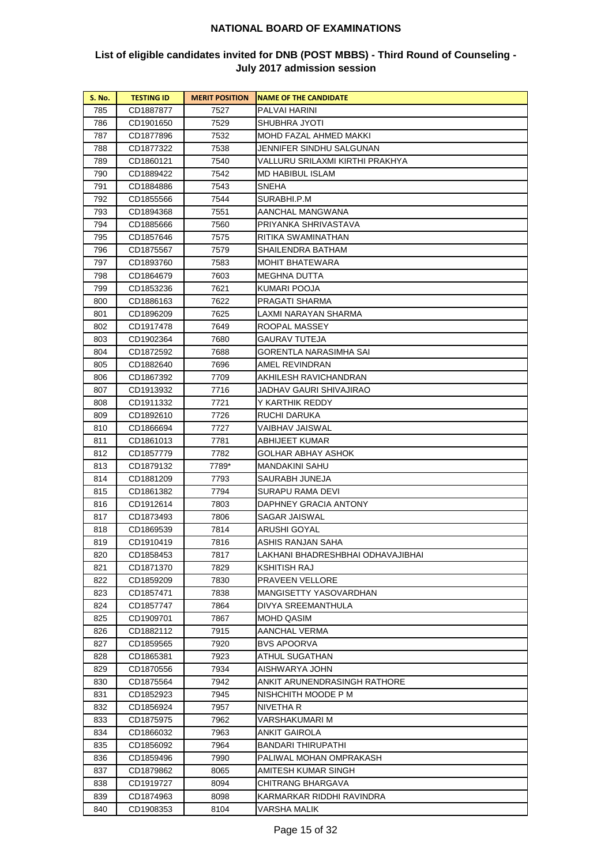| <b>S. No.</b> | <b>TESTING ID</b> | <b>MERIT POSITION</b> | <b>NAME OF THE CANDIDATE</b>      |
|---------------|-------------------|-----------------------|-----------------------------------|
| 785           | CD1887877         | 7527                  | PALVAI HARINI                     |
| 786           | CD1901650         | 7529                  | SHUBHRA JYOTI                     |
| 787           | CD1877896         | 7532                  | MOHD FAZAL AHMED MAKKI            |
| 788           | CD1877322         | 7538                  | JENNIFER SINDHU SALGUNAN          |
| 789           | CD1860121         | 7540                  | VALLURU SRILAXMI KIRTHI PRAKHYA   |
| 790           | CD1889422         | 7542                  | MD HABIBUL ISLAM                  |
| 791           | CD1884886         | 7543                  | SNEHA                             |
| 792           | CD1855566         | 7544                  | SURABHI.P.M                       |
| 793           | CD1894368         | 7551                  | AANCHAL MANGWANA                  |
| 794           | CD1885666         | 7560                  | PRIYANKA SHRIVASTAVA              |
| 795           | CD1857646         | 7575                  | RITIKA SWAMINATHAN                |
| 796           | CD1875567         | 7579                  | SHAILENDRA BATHAM                 |
| 797           | CD1893760         | 7583                  | MOHIT BHATEWARA                   |
| 798           | CD1864679         | 7603                  | MEGHNA DUTTA                      |
| 799           | CD1853236         | 7621                  | KUMARI POOJA                      |
| 800           | CD1886163         | 7622                  | PRAGATI SHARMA                    |
| 801           | CD1896209         | 7625                  | LAXMI NARAYAN SHARMA              |
| 802           | CD1917478         | 7649                  | ROOPAL MASSEY                     |
| 803           | CD1902364         | 7680                  | GAURAV TUTEJA                     |
| 804           | CD1872592         | 7688                  | GORENTLA NARASIMHA SAI            |
| 805           | CD1882640         | 7696                  | AMEL REVINDRAN                    |
| 806           | CD1867392         | 7709                  | AKHILESH RAVICHANDRAN             |
| 807           | CD1913932         | 7716                  | JADHAV GAURI SHIVAJIRAO           |
| 808           | CD1911332         | 7721                  | Y KARTHIK REDDY                   |
| 809           | CD1892610         | 7726                  | RUCHI DARUKA                      |
| 810           | CD1866694         | 7727                  | VAIBHAV JAISWAL                   |
| 811           | CD1861013         | 7781                  | ABHIJEET KUMAR                    |
| 812           | CD1857779         | 7782                  | GOLHAR ABHAY ASHOK                |
| 813           | CD1879132         | 7789*                 | MANDAKINI SAHU                    |
| 814           | CD1881209         | 7793                  | SAURABH JUNEJA                    |
| 815           | CD1861382         | 7794                  | SURAPU RAMA DEVI                  |
| 816           | CD1912614         | 7803                  | DAPHNEY GRACIA ANTONY             |
| 817           | CD1873493         | 7806                  | SAGAR JAISWAL                     |
| 818           | CD1869539         | 7814                  | ARUSHI GOYAL                      |
| 819           | CD1910419         | 7816                  | ASHIS RANJAN SAHA                 |
| 820           | CD1858453         | 7817                  | LAKHANI BHADRESHBHAI ODHAVAJIBHAI |
| 821           | CD1871370         | 7829                  | KSHITISH RAJ                      |
| 822           | CD1859209         | 7830                  | PRAVEEN VELLORE                   |
| 823           | CD1857471         | 7838                  | MANGISETTY YASOVARDHAN            |
| 824           | CD1857747         | 7864                  | DIVYA SREEMANTHULA                |
| 825           | CD1909701         | 7867                  | MOHD QASIM                        |
| 826           | CD1882112         | 7915                  | AANCHAL VERMA                     |
| 827           | CD1859565         | 7920                  | <b>BVS APOORVA</b>                |
| 828           | CD1865381         | 7923                  | ATHUL SUGATHAN                    |
| 829           | CD1870556         | 7934                  | AISHWARYA JOHN                    |
| 830           | CD1875564         | 7942                  | ANKIT ARUNENDRASINGH RATHORE      |
| 831           | CD1852923         | 7945                  | NISHCHITH MOODE P M               |
| 832           | CD1856924         | 7957                  | NIVETHA R                         |
| 833           | CD1875975         | 7962                  | VARSHAKUMARI M                    |
| 834           | CD1866032         | 7963                  | ANKIT GAIROLA                     |
| 835           | CD1856092         | 7964                  | BANDARI THIRUPATHI                |
| 836           | CD1859496         | 7990                  | PALIWAL MOHAN OMPRAKASH           |
| 837           | CD1879862         | 8065                  | AMITESH KUMAR SINGH               |
| 838           | CD1919727         | 8094                  | CHITRANG BHARGAVA                 |
| 839           | CD1874963         | 8098                  | KARMARKAR RIDDHI RAVINDRA         |
| 840           | CD1908353         | 8104                  | VARSHA MALIK                      |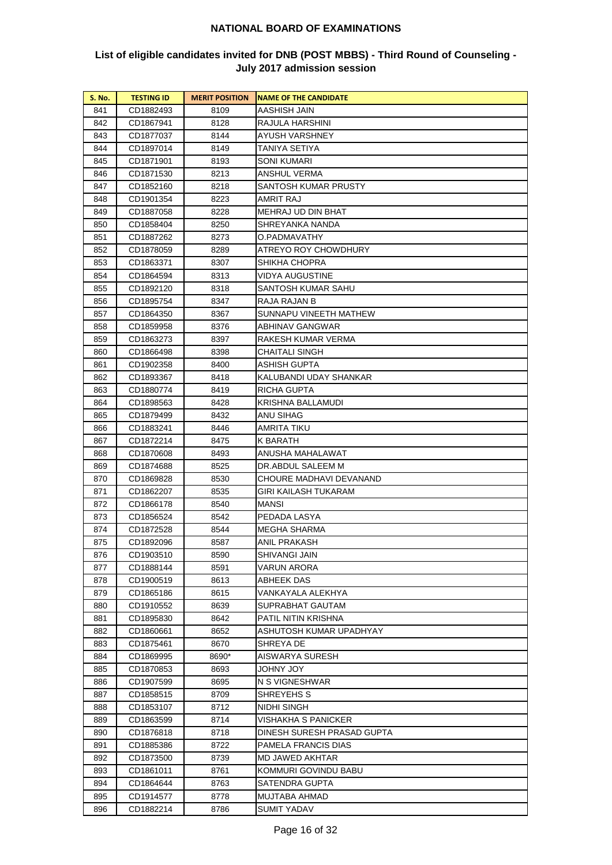| <b>S. No.</b> | <b>TESTING ID</b>      | <b>MERIT POSITION</b> | <b>NAME OF THE CANDIDATE</b> |
|---------------|------------------------|-----------------------|------------------------------|
| 841           | CD1882493              | 8109                  | AASHISH JAIN                 |
| 842           | CD1867941              | 8128                  | RAJULA HARSHINI              |
| 843           | CD1877037              | 8144                  | AYUSH VARSHNEY               |
| 844           | CD1897014              | 8149                  | TANIYA SETIYA                |
| 845           | CD1871901              | 8193                  | SONI KUMARI                  |
| 846           | CD1871530              | 8213                  | ANSHUL VERMA                 |
| 847           | CD1852160              | 8218                  | SANTOSH KUMAR PRUSTY         |
| 848           | CD1901354              | 8223                  | AMRIT RAJ                    |
| 849           | CD1887058              | 8228                  | MEHRAJ UD DIN BHAT           |
| 850           | CD1858404              | 8250                  | SHREYANKA NANDA              |
| 851           | CD1887262              | 8273                  | O.PADMAVATHY                 |
| 852           | CD1878059              | 8289                  | ATREYO ROY CHOWDHURY         |
| 853           | CD1863371              | 8307                  | SHIKHA CHOPRA                |
| 854           | CD1864594              | 8313                  | VIDYA AUGUSTINE              |
| 855           | CD1892120              | 8318                  | SANTOSH KUMAR SAHU           |
| 856           | CD1895754              | 8347                  | RAJA RAJAN B                 |
| 857           | CD1864350              | 8367                  | SUNNAPU VINEETH MATHEW       |
| 858           | CD1859958              | 8376                  | ABHINAV GANGWAR              |
| 859           | CD1863273              | 8397                  | RAKESH KUMAR VERMA           |
| 860           | CD1866498              | 8398                  | CHAITALI SINGH               |
| 861           | CD1902358              | 8400                  | ASHISH GUPTA                 |
| 862           | CD1893367              | 8418                  | KALUBANDI UDAY SHANKAR       |
| 863           | CD1880774              | 8419                  | RICHA GUPTA                  |
| 864           | CD1898563              | 8428                  | KRISHNA BALLAMUDI            |
| 865           | CD1879499              | 8432                  | ANU SIHAG                    |
| 866           | CD1883241              | 8446                  | AMRITA TIKU                  |
| 867           | CD1872214              | 8475                  | K BARATH                     |
| 868           | CD1870608              | 8493                  | ANUSHA MAHALAWAT             |
| 869           | CD1874688              | 8525                  | DR.ABDUL SALEEM M            |
| 870           | CD1869828              | 8530                  | CHOURE MADHAVI DEVANAND      |
| 871           | CD1862207              | 8535                  | GIRI KAILASH TUKARAM         |
| 872           | CD1866178              | 8540                  | MANSI                        |
| 873           | CD1856524              | 8542                  | PEDADA LASYA                 |
| 874           | CD1872528              | 8544                  | MEGHA SHARMA                 |
| 875           | CD1892096              | 8587                  | ANIL PRAKASH                 |
| 876           | CD1903510              | 8590                  | SHIVANGI JAIN                |
| 877           | CD1888144              | 8591                  | VARUN ARORA                  |
| 878           | CD1900519              | 8613                  | ABHEEK DAS                   |
| 879           | CD1865186              | 8615                  | VANKAYALA ALEKHYA            |
| 880           | CD1910552              | 8639                  | SUPRABHAT GAUTAM             |
| 881           | CD1895830              | 8642                  | PATIL NITIN KRISHNA          |
| 882           | CD1860661              | 8652                  | ASHUTOSH KUMAR UPADHYAY      |
| 883           | CD1875461              | 8670                  | SHREYA DE                    |
| 884           | CD1869995              | 8690*                 | AISWARYA SURESH              |
| 885           | CD1870853              | 8693                  | JOHNY JOY                    |
| 886<br>887    | CD1907599              | 8695<br>8709          | N S VIGNESHWAR<br>SHREYEHS S |
| 888           | CD1858515<br>CD1853107 | 8712                  | NIDHI SINGH                  |
| 889           | CD1863599              | 8714                  | VISHAKHA S PANICKER          |
| 890           | CD1876818              | 8718                  | DINESH SURESH PRASAD GUPTA   |
| 891           | CD1885386              | 8722                  | PAMELA FRANCIS DIAS          |
| 892           | CD1873500              | 8739                  | MD JAWED AKHTAR              |
| 893           | CD1861011              | 8761                  | KOMMURI GOVINDU BABU         |
| 894           | CD1864644              | 8763                  | SATENDRA GUPTA               |
| 895           | CD1914577              | 8778                  | MUJTABA AHMAD                |
| 896           | CD1882214              | 8786                  | <b>SUMIT YADAV</b>           |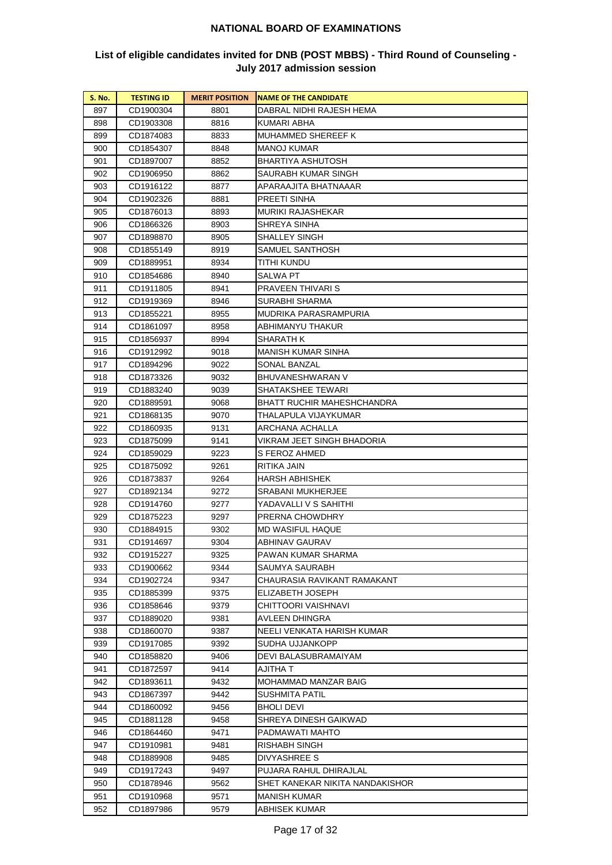| <b>S. No.</b> | <b>TESTING ID</b> | <b>MERIT POSITION</b> | <b>NAME OF THE CANDIDATE</b>    |
|---------------|-------------------|-----------------------|---------------------------------|
| 897           | CD1900304         | 8801                  | DABRAL NIDHI RAJESH HEMA        |
| 898           | CD1903308         | 8816                  | KUMARI ABHA                     |
| 899           | CD1874083         | 8833                  | MUHAMMED SHEREEF K              |
| 900           | CD1854307         | 8848                  | MANOJ KUMAR                     |
| 901           | CD1897007         | 8852                  | BHARTIYA ASHUTOSH               |
| 902           | CD1906950         | 8862                  | SAURABH KUMAR SINGH             |
| 903           | CD1916122         | 8877                  | APARAAJITA BHATNAAAR            |
| 904           | CD1902326         | 8881                  | PREETI SINHA                    |
| 905           | CD1876013         | 8893                  | MURIKI RAJASHEKAR               |
| 906           | CD1866326         | 8903                  | SHREYA SINHA                    |
| 907           | CD1898870         | 8905                  | SHALLEY SINGH                   |
| 908           | CD1855149         | 8919                  | SAMUEL SANTHOSH                 |
| 909           | CD1889951         | 8934                  | TITHI KUNDU                     |
| 910           | CD1854686         | 8940                  | SALWA PT                        |
| 911           | CD1911805         | 8941                  | PRAVEEN THIVARI S               |
| 912           | CD1919369         | 8946                  | SURABHI SHARMA                  |
| 913           | CD1855221         | 8955                  | MUDRIKA PARASRAMPURIA           |
| 914           | CD1861097         | 8958                  | ABHIMANYU THAKUR                |
| 915           | CD1856937         | 8994                  | SHARATH K                       |
| 916           | CD1912992         | 9018                  | MANISH KUMAR SINHA              |
| 917           | CD1894296         | 9022                  | SONAL BANZAL                    |
| 918           | CD1873326         | 9032                  | BHUVANESHWARAN V                |
| 919           | CD1883240         | 9039                  | SHATAKSHEE TEWARI               |
| 920           | CD1889591         | 9068                  | BHATT RUCHIR MAHESHCHANDRA      |
| 921           | CD1868135         | 9070                  | THALAPULA VIJAYKUMAR            |
| 922           | CD1860935         | 9131                  | ARCHANA ACHALLA                 |
| 923           | CD1875099         | 9141                  | VIKRAM JEET SINGH BHADORIA      |
| 924           | CD1859029         | 9223                  | S FEROZ AHMED                   |
| 925           | CD1875092         | 9261                  | RITIKA JAIN                     |
| 926           | CD1873837         | 9264                  | HARSH ABHISHEK                  |
| 927           | CD1892134         | 9272                  | SRABANI MUKHERJEE               |
| 928           | CD1914760         | 9277                  | YADAVALLI V S SAHITHI           |
| 929           | CD1875223         | 9297                  | PRERNA CHOWDHRY                 |
| 930           | CD1884915         | 9302                  | MD WASIFUL HAQUE                |
| 931           | CD1914697         | 9304                  | ABHINAV GAURAV                  |
| 932           | CD1915227         | 9325                  | PAWAN KUMAR SHARMA              |
| 933           | CD1900662         | 9344                  | SAUMYA SAURABH                  |
| 934           | CD1902724         | 9347                  | CHAURASIA RAVIKANT RAMAKANT     |
| 935           | CD1885399         | 9375                  | ELIZABETH JOSEPH                |
| 936           | CD1858646         | 9379                  | CHITTOORI VAISHNAVI             |
| 937           | CD1889020         | 9381                  | AVLEEN DHINGRA                  |
| 938           | CD1860070         | 9387                  | NEELI VENKATA HARISH KUMAR      |
| 939           | CD1917085         | 9392                  | SUDHA UJJANKOPP                 |
| 940           | CD1858820         | 9406                  | DEVI BALASUBRAMAIYAM            |
| 941           | CD1872597         | 9414                  | AJITHA T                        |
| 942           | CD1893611         | 9432                  | MOHAMMAD MANZAR BAIG            |
| 943           | CD1867397         | 9442                  | SUSHMITA PATIL                  |
| 944           | CD1860092         | 9456                  | BHOLI DEVI                      |
| 945           | CD1881128         | 9458                  | SHREYA DINESH GAIKWAD           |
| 946           | CD1864460         | 9471                  | PADMAWATI MAHTO                 |
| 947           | CD1910981         | 9481                  | RISHABH SINGH                   |
| 948           | CD1889908         | 9485                  | DIVYASHREE S                    |
| 949           | CD1917243         | 9497                  | PUJARA RAHUL DHIRAJLAL          |
| 950           | CD1878946         | 9562                  | SHET KANEKAR NIKITA NANDAKISHOR |
| 951           | CD1910968         | 9571                  | MANISH KUMAR                    |
| 952           | CD1897986         | 9579                  | ABHISEK KUMAR                   |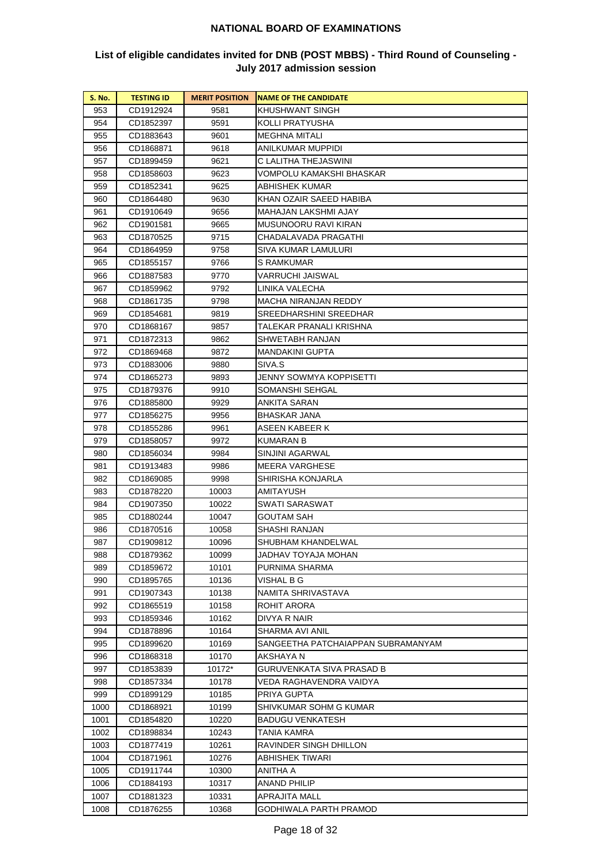| <b>S. No.</b> | <b>TESTING ID</b>      | <b>MERIT POSITION</b> | <b>NAME OF THE CANDIDATE</b>           |
|---------------|------------------------|-----------------------|----------------------------------------|
| 953           | CD1912924              | 9581                  | KHUSHWANT SINGH                        |
| 954           | CD1852397              | 9591                  | KOLLI PRATYUSHA                        |
| 955           | CD1883643              | 9601                  | MEGHNA MITALI                          |
| 956           | CD1868871              | 9618                  | ANILKUMAR MUPPIDI                      |
| 957           | CD1899459              | 9621                  | C LALITHA THEJASWINI                   |
| 958           | CD1858603              | 9623                  | VOMPOLU KAMAKSHI BHASKAR               |
| 959           | CD1852341              | 9625                  | ABHISHEK KUMAR                         |
| 960           | CD1864480              | 9630                  | KHAN OZAIR SAEED HABIBA                |
| 961           | CD1910649              | 9656                  | <b>MAHAJAN LAKSHMI AJAY</b>            |
| 962           | CD1901581              | 9665                  | MUSUNOORU RAVI KIRAN                   |
| 963           | CD1870525              | 9715                  | CHADALAVADA PRAGATHI                   |
| 964           | CD1864959              | 9758                  | SIVA KUMAR LAMULURI                    |
| 965           | CD1855157              | 9766                  | S RAMKUMAR                             |
| 966           | CD1887583              | 9770                  | VARRUCHI JAISWAL                       |
| 967           | CD1859962              | 9792                  | LINIKA VALECHA                         |
| 968           | CD1861735              | 9798                  | MACHA NIRANJAN REDDY                   |
| 969           | CD1854681              | 9819                  | SREEDHARSHINI SREEDHAR                 |
| 970           | CD1868167              | 9857                  | TALEKAR PRANALI KRISHNA                |
| 971           | CD1872313              | 9862                  | SHWETABH RANJAN                        |
| 972           | CD1869468              | 9872                  | MANDAKINI GUPTA                        |
| 973           | CD1883006              | 9880                  | SIVA.S                                 |
| 974           | CD1865273              | 9893                  | JENNY SOWMYA KOPPISETTI                |
| 975           | CD1879376              | 9910                  | SOMANSHI SEHGAL                        |
| 976           | CD1885800              | 9929                  | ANKITA SARAN                           |
| 977           | CD1856275              | 9956                  | BHASKAR JANA                           |
| 978           | CD1855286              | 9961                  | ASEEN KABEER K                         |
| 979           | CD1858057              | 9972                  | KUMARAN B                              |
| 980           | CD1856034              | 9984                  | SINJINI AGARWAL                        |
| 981           | CD1913483              | 9986                  | MEERA VARGHESE                         |
| 982           | CD1869085              | 9998                  | SHIRISHA KONJARLA                      |
| 983           | CD1878220              | 10003                 | AMITAYUSH                              |
| 984           | CD1907350              | 10022                 | SWATI SARASWAT                         |
| 985           | CD1880244              | 10047                 | GOUTAM SAH                             |
| 986           | CD1870516              | 10058                 | SHASHI RANJAN                          |
| 987           | CD1909812              | 10096                 | SHUBHAM KHANDELWAL                     |
| 988           | CD1879362              | 10099                 | JADHAV TOYAJA MOHAN                    |
| 989           | CD1859672              | 10101                 | PURNIMA SHARMA                         |
| 990           | CD1895765              | 10136                 | VISHAL B G                             |
| 991           | CD1907343              | 10138                 | NAMITA SHRIVASTAVA                     |
| 992           | CD1865519              | 10158                 | ROHIT ARORA                            |
| 993           | CD1859346              | 10162                 | DIVYA R NAIR                           |
| 994           | CD1878896              | 10164                 | SHARMA AVI ANIL                        |
| 995           | CD1899620              | 10169                 | SANGEETHA PATCHAIAPPAN SUBRAMANYAM     |
| 996<br>997    | CD1868318<br>CD1853839 | 10170<br>10172*       | AKSHAYA N<br>GURUVENKATA SIVA PRASAD B |
|               |                        |                       |                                        |
| 998<br>999    | CD1857334<br>CD1899129 | 10178<br>10185        | VEDA RAGHAVENDRA VAIDYA<br>PRIYA GUPTA |
| 1000          | CD1868921              | 10199                 | SHIVKUMAR SOHM G KUMAR                 |
| 1001          | CD1854820              | 10220                 | BADUGU VENKATESH                       |
| 1002          | CD1898834              | 10243                 | TANIA KAMRA                            |
| 1003          | CD1877419              | 10261                 | RAVINDER SINGH DHILLON                 |
| 1004          | CD1871961              | 10276                 | ABHISHEK TIWARI                        |
| 1005          | CD1911744              | 10300                 | ANITHA A                               |
| 1006          | CD1884193              | 10317                 | ANAND PHILIP                           |
| 1007          | CD1881323              | 10331                 | APRAJITA MALL                          |
| 1008          | CD1876255              | 10368                 | GODHIWALA PARTH PRAMOD                 |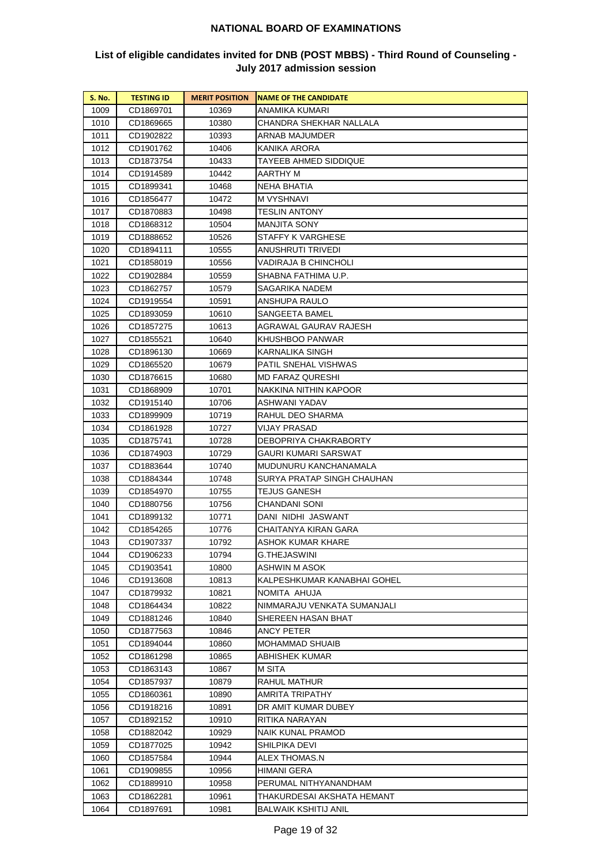| <b>S. No.</b> | <b>TESTING ID</b> | <b>MERIT POSITION</b> | <b>NAME OF THE CANDIDATE</b> |
|---------------|-------------------|-----------------------|------------------------------|
| 1009          | CD1869701         | 10369                 | ANAMIKA KUMARI               |
| 1010          | CD1869665         | 10380                 | CHANDRA SHEKHAR NALLALA      |
| 1011          | CD1902822         | 10393                 | ARNAB MAJUMDER               |
| 1012          | CD1901762         | 10406                 | KANIKA ARORA                 |
| 1013          | CD1873754         | 10433                 | TAYEEB AHMED SIDDIQUE        |
| 1014          | CD1914589         | 10442                 | AARTHY M                     |
| 1015          | CD1899341         | 10468                 | NEHA BHATIA                  |
| 1016          | CD1856477         | 10472                 | M VYSHNAVI                   |
| 1017          | CD1870883         | 10498                 | <b>TESLIN ANTONY</b>         |
| 1018          | CD1868312         | 10504                 | MANJITA SONY                 |
| 1019          | CD1888652         | 10526                 | STAFFY K VARGHESE            |
| 1020          | CD1894111         | 10555                 | ANUSHRUTI TRIVEDI            |
| 1021          | CD1858019         | 10556                 | VADIRAJA B CHINCHOLI         |
| 1022          | CD1902884         | 10559                 | SHABNA FATHIMA U.P.          |
| 1023          | CD1862757         | 10579                 | SAGARIKA NADEM               |
| 1024          | CD1919554         | 10591                 | ANSHUPA RAULO                |
| 1025          | CD1893059         | 10610                 | SANGEETA BAMEL               |
| 1026          | CD1857275         | 10613                 | AGRAWAL GAURAV RAJESH        |
| 1027          | CD1855521         | 10640                 | KHUSHBOO PANWAR              |
| 1028          | CD1896130         | 10669                 | KARNALIKA SINGH              |
| 1029          | CD1865520         | 10679                 | PATIL SNEHAL VISHWAS         |
| 1030          | CD1876615         | 10680                 | MD FARAZ QURESHI             |
| 1031          | CD1868909         | 10701                 | NAKKINA NITHIN KAPOOR        |
| 1032          | CD1915140         | 10706                 | ASHWANI YADAV                |
| 1033          | CD1899909         | 10719                 | RAHUL DEO SHARMA             |
| 1034          | CD1861928         | 10727                 | VIJAY PRASAD                 |
| 1035          | CD1875741         | 10728                 | DEBOPRIYA CHAKRABORTY        |
| 1036          | CD1874903         | 10729                 | GAURI KUMARI SARSWAT         |
| 1037          | CD1883644         | 10740                 | MUDUNURU KANCHANAMALA        |
| 1038          | CD1884344         | 10748                 | SURYA PRATAP SINGH CHAUHAN   |
| 1039          | CD1854970         | 10755                 | TEJUS GANESH                 |
| 1040          | CD1880756         | 10756                 | CHANDANI SONI                |
| 1041          | CD1899132         | 10771                 | DANI NIDHI JASWANT           |
| 1042          | CD1854265         | 10776                 | CHAITANYA KIRAN GARA         |
| 1043          | CD1907337         | 10792                 | ASHOK KUMAR KHARE            |
| 1044          | CD1906233         | 10794                 | G.THEJASWINI                 |
| 1045          | CD1903541         | 10800                 | ASHWIN M ASOK                |
| 1046          | CD1913608         | 10813                 | KALPESHKUMAR KANABHAI GOHEL  |
| 1047          | CD1879932         | 10821                 | NOMITA AHUJA                 |
| 1048          | CD1864434         | 10822                 | NIMMARAJU VENKATA SUMANJALI  |
| 1049          | CD1881246         | 10840                 | SHEREEN HASAN BHAT           |
| 1050          | CD1877563         | 10846                 | ANCY PETER                   |
| 1051          | CD1894044         | 10860                 | MOHAMMAD SHUAIB              |
| 1052          | CD1861298         | 10865                 | ABHISHEK KUMAR               |
| 1053          | CD1863143         | 10867                 | M SITA                       |
| 1054          | CD1857937         | 10879                 | RAHUL MATHUR                 |
| 1055          | CD1860361         | 10890                 | AMRITA TRIPATHY              |
| 1056          | CD1918216         | 10891                 | DR AMIT KUMAR DUBEY          |
| 1057          | CD1892152         | 10910                 | RITIKA NARAYAN               |
| 1058          | CD1882042         | 10929                 | NAIK KUNAL PRAMOD            |
| 1059          | CD1877025         | 10942                 | SHILPIKA DEVI                |
| 1060          | CD1857584         | 10944                 | ALEX THOMAS.N                |
| 1061          | CD1909855         | 10956                 | HIMANI GERA                  |
| 1062          | CD1889910         | 10958                 | PERUMAL NITHYANANDHAM        |
| 1063          | CD1862281         | 10961                 | THAKURDESAI AKSHATA HEMANT   |
| 1064          | CD1897691         | 10981                 | BALWAIK KSHITIJ ANIL         |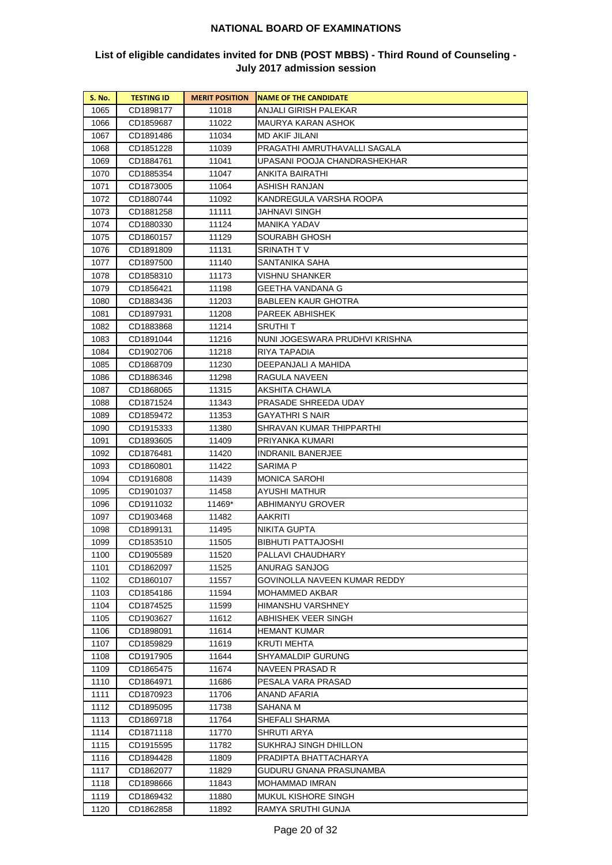| <b>S. No.</b> | <b>TESTING ID</b> | <b>MERIT POSITION</b> | <b>NAME OF THE CANDIDATE</b>   |
|---------------|-------------------|-----------------------|--------------------------------|
| 1065          | CD1898177         | 11018                 | ANJALI GIRISH PALEKAR          |
| 1066          | CD1859687         | 11022                 | MAURYA KARAN ASHOK             |
| 1067          | CD1891486         | 11034                 | MD AKIF JILANI                 |
| 1068          | CD1851228         | 11039                 | PRAGATHI AMRUTHAVALLI SAGALA   |
| 1069          | CD1884761         | 11041                 | UPASANI POOJA CHANDRASHEKHAR   |
| 1070          | CD1885354         | 11047                 | ANKITA BAIRATHI                |
| 1071          | CD1873005         | 11064                 | ASHISH RANJAN                  |
| 1072          | CD1880744         | 11092                 | KANDREGULA VARSHA ROOPA        |
| 1073          | CD1881258         | 11111                 | JAHNAVI SINGH                  |
| 1074          | CD1880330         | 11124                 | MANIKA YADAV                   |
| 1075          | CD1860157         | 11129                 | SOURABH GHOSH                  |
| 1076          | CD1891809         | 11131                 | SRINATH T V                    |
| 1077          | CD1897500         | 11140                 | SANTANIKA SAHA                 |
| 1078          | CD1858310         | 11173                 | VISHNU SHANKER                 |
| 1079          | CD1856421         | 11198                 | GEETHA VANDANA G               |
| 1080          | CD1883436         | 11203                 | BABLEEN KAUR GHOTRA            |
| 1081          | CD1897931         | 11208                 | PAREEK ABHISHEK                |
| 1082          | CD1883868         | 11214                 | SRUTHI T                       |
| 1083          | CD1891044         | 11216                 | NUNI JOGESWARA PRUDHVI KRISHNA |
| 1084          | CD1902706         | 11218                 | RIYA TAPADIA                   |
| 1085          | CD1868709         | 11230                 | DEEPANJALI A MAHIDA            |
| 1086          | CD1886346         | 11298                 | RAGULA NAVEEN                  |
| 1087          | CD1868065         | 11315                 | AKSHITA CHAWLA                 |
| 1088          | CD1871524         | 11343                 | PRASADE SHREEDA UDAY           |
| 1089          | CD1859472         | 11353                 | GAYATHRI S NAIR                |
| 1090          | CD1915333         | 11380                 | SHRAVAN KUMAR THIPPARTHI       |
| 1091          | CD1893605         | 11409                 | PRIYANKA KUMARI                |
| 1092          | CD1876481         | 11420                 | <b>INDRANIL BANERJEE</b>       |
| 1093          | CD1860801         | 11422                 | SARIMA P                       |
| 1094          | CD1916808         | 11439                 | MONICA SAROHI                  |
| 1095          | CD1901037         | 11458                 | AYUSHI MATHUR                  |
| 1096          | CD1911032         | 11469*                | ABHIMANYU GROVER               |
| 1097          | CD1903468         | 11482                 | AAKRITI                        |
| 1098          | CD1899131         | 11495                 | NIKITA GUPTA                   |
| 1099          | CD1853510         | 11505                 | BIBHUTI PATTAJOSHI             |
| 1100          | CD1905589         | 11520                 | PALLAVI CHAUDHARY              |
| 1101          | CD1862097         | 11525                 | ANURAG SANJOG                  |
| 1102          | CD1860107         | 11557                 | GOVINOLLA NAVEEN KUMAR REDDY   |
| 1103          | CD1854186         | 11594                 | MOHAMMED AKBAR                 |
| 1104          | CD1874525         | 11599                 | HIMANSHU VARSHNEY              |
| 1105          | CD1903627         | 11612                 | ABHISHEK VEER SINGH            |
| 1106          | CD1898091         | 11614                 | <b>HEMANT KUMAR</b>            |
| 1107          | CD1859829         | 11619                 | KRUTI MEHTA                    |
| 1108          | CD1917905         | 11644                 | SHYAMALDIP GURUNG              |
| 1109          | CD1865475         | 11674                 | NAVEEN PRASAD R                |
| 1110          | CD1864971         | 11686                 | PESALA VARA PRASAD             |
| 1111          | CD1870923         | 11706                 | ANAND AFARIA                   |
| 1112          | CD1895095         | 11738                 | SAHANA M                       |
| 1113          | CD1869718         | 11764                 | SHEFALI SHARMA                 |
| 1114          | CD1871118         | 11770                 | SHRUTI ARYA                    |
| 1115          | CD1915595         | 11782                 | SUKHRAJ SINGH DHILLON          |
| 1116          | CD1894428         | 11809                 | PRADIPTA BHATTACHARYA          |
| 1117          | CD1862077         | 11829                 | GUDURU GNANA PRASUNAMBA        |
| 1118          | CD1898666         | 11843                 | MOHAMMAD IMRAN                 |
| 1119          | CD1869432         | 11880                 | MUKUL KISHORE SINGH            |
| 1120          | CD1862858         | 11892                 | RAMYA SRUTHI GUNJA             |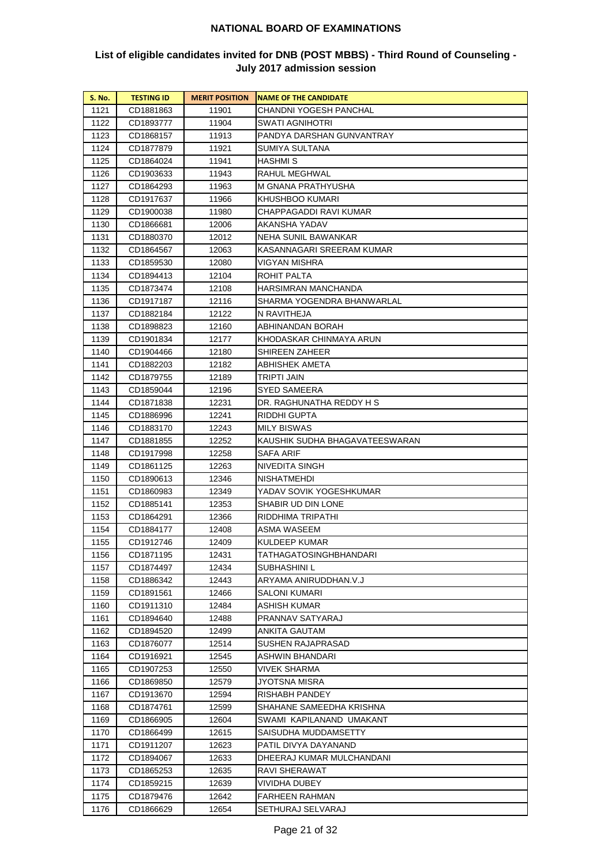| <b>S. No.</b> | <b>TESTING ID</b>      | <b>MERIT POSITION</b> | <b>NAME OF THE CANDIDATE</b>     |
|---------------|------------------------|-----------------------|----------------------------------|
| 1121          | CD1881863              | 11901                 | CHANDNI YOGESH PANCHAL           |
| 1122          | CD1893777              | 11904                 | SWATI AGNIHOTRI                  |
| 1123          | CD1868157              | 11913                 | PANDYA DARSHAN GUNVANTRAY        |
| 1124          | CD1877879              | 11921                 | SUMIYA SULTANA                   |
| 1125          | CD1864024              | 11941                 | HASHMI S                         |
| 1126          | CD1903633              | 11943                 | RAHUL MEGHWAL                    |
| 1127          | CD1864293              | 11963                 | M GNANA PRATHYUSHA               |
| 1128          | CD1917637              | 11966                 | KHUSHBOO KUMARI                  |
| 1129          | CD1900038              | 11980                 | CHAPPAGADDI RAVI KUMAR           |
| 1130          | CD1866681              | 12006                 | AKANSHA YADAV                    |
| 1131          | CD1880370              | 12012                 | NEHA SUNIL BAWANKAR              |
| 1132          | CD1864567              | 12063                 | KASANNAGARI SREERAM KUMAR        |
| 1133          | CD1859530              | 12080                 | VIGYAN MISHRA                    |
| 1134          | CD1894413              | 12104                 | ROHIT PALTA                      |
| 1135          | CD1873474              | 12108                 | HARSIMRAN MANCHANDA              |
| 1136          | CD1917187              | 12116                 | SHARMA YOGENDRA BHANWARLAL       |
| 1137          | CD1882184              | 12122                 | N RAVITHEJA                      |
| 1138          | CD1898823              | 12160                 | ABHINANDAN BORAH                 |
| 1139          | CD1901834              | 12177                 | KHODASKAR CHINMAYA ARUN          |
| 1140          | CD1904466              | 12180                 | SHIREEN ZAHEER                   |
| 1141          | CD1882203              | 12182                 | ABHISHEK AMETA                   |
| 1142          | CD1879755              | 12189                 | TRIPTI JAIN                      |
| 1143          | CD1859044              | 12196                 | SYED SAMEERA                     |
| 1144          | CD1871838              | 12231                 | DR. RAGHUNATHA REDDY H S         |
| 1145          | CD1886996              | 12241                 | RIDDHI GUPTA                     |
| 1146          | CD1883170              | 12243                 | MILY BISWAS                      |
| 1147          | CD1881855              | 12252                 | KAUSHIK SUDHA BHAGAVATEESWARAN   |
| 1148          | CD1917998              | 12258                 | SAFA ARIF                        |
| 1149          | CD1861125              | 12263                 | NIVEDITA SINGH                   |
| 1150          | CD1890613              | 12346                 | NISHATMEHDI                      |
| 1151          | CD1860983              | 12349                 | YADAV SOVIK YOGESHKUMAR          |
| 1152<br>1153  | CD1885141              | 12353                 | SHABIR UD DIN LONE               |
| 1154          | CD1864291              | 12366                 | RIDDHIMA TRIPATHI<br>ASMA WASEEM |
| 1155          | CD1884177<br>CD1912746 | 12408<br>12409        | KULDEEP KUMAR                    |
| 1156          | CD1871195              | 12431                 | TATHAGATOSINGHBHANDARI           |
| 1157          | CD1874497              | 12434                 | SUBHASHINI L                     |
| 1158          | CD1886342              | 12443                 | ARYAMA ANIRUDDHAN.V.J            |
| 1159          | CD1891561              | 12466                 | SALONI KUMARI                    |
| 1160          | CD1911310              | 12484                 | ASHISH KUMAR                     |
| 1161          | CD1894640              | 12488                 | PRANNAV SATYARAJ                 |
| 1162          | CD1894520              | 12499                 | ANKITA GAUTAM                    |
| 1163          | CD1876077              | 12514                 | SUSHEN RAJAPRASAD                |
| 1164          | CD1916921              | 12545                 | ASHWIN BHANDARI                  |
| 1165          | CD1907253              | 12550                 | VIVEK SHARMA                     |
| 1166          | CD1869850              | 12579                 | JYOTSNA MISRA                    |
| 1167          | CD1913670              | 12594                 | RISHABH PANDEY                   |
| 1168          | CD1874761              | 12599                 | SHAHANE SAMEEDHA KRISHNA         |
| 1169          | CD1866905              | 12604                 | SWAMI KAPILANAND UMAKANT         |
| 1170          | CD1866499              | 12615                 | SAISUDHA MUDDAMSETTY             |
| 1171          | CD1911207              | 12623                 | PATIL DIVYA DAYANAND             |
| 1172          | CD1894067              | 12633                 | DHEERAJ KUMAR MULCHANDANI        |
| 1173          | CD1865253              | 12635                 | RAVI SHERAWAT                    |
| 1174          | CD1859215              | 12639                 | VIVIDHA DUBEY                    |
| 1175          | CD1879476              | 12642                 | FARHEEN RAHMAN                   |
| 1176          | CD1866629              | 12654                 | SETHURAJ SELVARAJ                |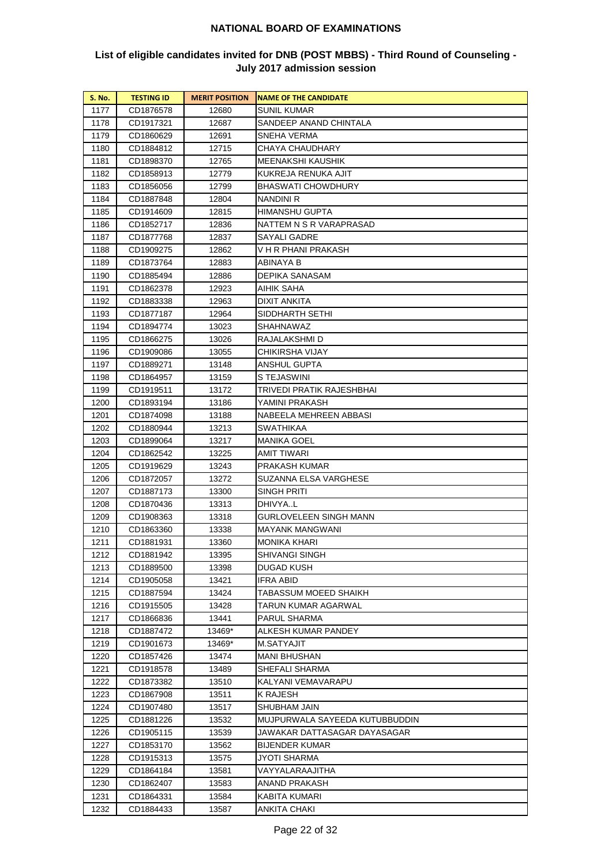| <b>S. No.</b> | <b>TESTING ID</b>      | <b>MERIT POSITION</b> | <b>NAME OF THE CANDIDATE</b>              |
|---------------|------------------------|-----------------------|-------------------------------------------|
| 1177          | CD1876578              | 12680                 | SUNIL KUMAR                               |
| 1178          | CD1917321              | 12687                 | SANDEEP ANAND CHINTALA                    |
| 1179          | CD1860629              | 12691                 | SNEHA VERMA                               |
| 1180          | CD1884812              | 12715                 | CHAYA CHAUDHARY                           |
| 1181          | CD1898370              | 12765                 | MEENAKSHI KAUSHIK                         |
| 1182          | CD1858913              | 12779                 | KUKREJA RENUKA AJIT                       |
| 1183          | CD1856056              | 12799                 | BHASWATI CHOWDHURY                        |
| 1184          | CD1887848              | 12804                 | NANDINI R                                 |
| 1185          | CD1914609              | 12815                 | HIMANSHU GUPTA                            |
| 1186          | CD1852717              | 12836                 | NATTEM N S R VARAPRASAD                   |
| 1187          | CD1877768              | 12837                 | SAYALI GADRE                              |
| 1188          | CD1909275              | 12862                 | V H R PHANI PRAKASH                       |
| 1189          | CD1873764              | 12883                 | ABINAYA B                                 |
| 1190          | CD1885494              | 12886                 | DEPIKA SANASAM                            |
| 1191          | CD1862378              | 12923                 | AIHIK SAHA                                |
| 1192          | CD1883338              | 12963                 | DIXIT ANKITA                              |
| 1193          | CD1877187              | 12964                 | SIDDHARTH SETHI                           |
| 1194          | CD1894774              | 13023                 | SHAHNAWAZ                                 |
| 1195          | CD1866275              | 13026                 | RAJALAKSHMI D                             |
| 1196          | CD1909086              | 13055                 | CHIKIRSHA VIJAY                           |
| 1197          | CD1889271              | 13148                 | ANSHUL GUPTA                              |
| 1198          | CD1864957              | 13159                 | S TEJASWINI                               |
| 1199          | CD1919511              | 13172                 | TRIVEDI PRATIK RAJESHBHAI                 |
| 1200          | CD1893194              | 13186                 | YAMINI PRAKASH                            |
| 1201          | CD1874098              | 13188                 | NABEELA MEHREEN ABBASI                    |
| 1202          | CD1880944              | 13213                 | SWATHIKAA                                 |
| 1203          | CD1899064              | 13217                 | MANIKA GOEL                               |
| 1204          | CD1862542              | 13225                 | AMIT TIWARI                               |
| 1205          | CD1919629              | 13243                 | PRAKASH KUMAR                             |
| 1206          | CD1872057              | 13272                 | SUZANNA ELSA VARGHESE                     |
| 1207          | CD1887173              | 13300                 | SINGH PRITI                               |
| 1208          | CD1870436              | 13313                 | DHIVYAL                                   |
| 1209          | CD1908363<br>CD1863360 | 13318                 | GURLOVELEEN SINGH MANN<br>MAYANK MANGWANI |
| 1210<br>1211  | CD1881931              | 13338<br>13360        | MONIKA KHARI                              |
| 1212          | CD1881942              | 13395                 | SHIVANGI SINGH                            |
| 1213          | CD1889500              | 13398                 | DUGAD KUSH                                |
| 1214          | CD1905058              | 13421                 | IFRA ABID                                 |
| 1215          | CD1887594              | 13424                 | TABASSUM MOEED SHAIKH                     |
| 1216          | CD1915505              | 13428                 | TARUN KUMAR AGARWAL                       |
| 1217          | CD1866836              | 13441                 | PARUL SHARMA                              |
| 1218          | CD1887472              | 13469*                | ALKESH KUMAR PANDEY                       |
| 1219          | CD1901673              | 13469*                | M.SATYAJIT                                |
| 1220          | CD1857426              | 13474                 | MANI BHUSHAN                              |
| 1221          | CD1918578              | 13489                 | SHEFALI SHARMA                            |
| 1222          | CD1873382              | 13510                 | KALYANI VEMAVARAPU                        |
| 1223          | CD1867908              | 13511                 | K RAJESH                                  |
| 1224          | CD1907480              | 13517                 | SHUBHAM JAIN                              |
| 1225          | CD1881226              | 13532                 | MUJPURWALA SAYEEDA KUTUBBUDDIN            |
| 1226          | CD1905115              | 13539                 | JAWAKAR DATTASAGAR DAYASAGAR              |
| 1227          | CD1853170              | 13562                 | BIJENDER KUMAR                            |
| 1228          | CD1915313              | 13575                 | JYOTI SHARMA                              |
| 1229          | CD1864184              | 13581                 | VAYYALARAAJITHA                           |
| 1230          | CD1862407              | 13583                 | ANAND PRAKASH                             |
| 1231          | CD1864331              | 13584                 | KABITA KUMARI                             |
| 1232          | CD1884433              | 13587                 | ANKITA CHAKI                              |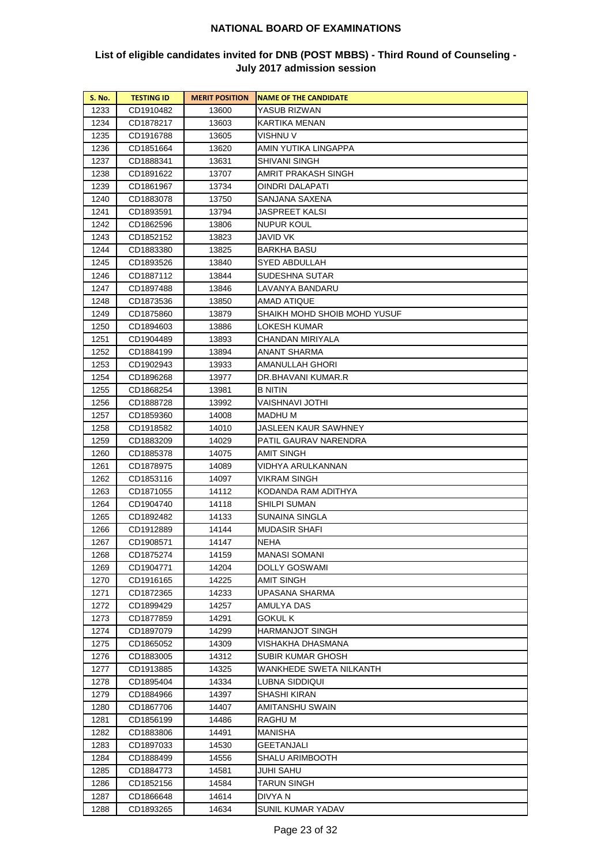| <b>S. No.</b> | <b>TESTING ID</b> | <b>MERIT POSITION</b> | <b>NAME OF THE CANDIDATE</b> |
|---------------|-------------------|-----------------------|------------------------------|
| 1233          | CD1910482         | 13600                 | YASUB RIZWAN                 |
| 1234          | CD1878217         | 13603                 | KARTIKA MENAN                |
| 1235          | CD1916788         | 13605                 | VISHNU V                     |
| 1236          | CD1851664         | 13620                 | AMIN YUTIKA LINGAPPA         |
| 1237          | CD1888341         | 13631                 | SHIVANI SINGH                |
| 1238          | CD1891622         | 13707                 | AMRIT PRAKASH SINGH          |
| 1239          | CD1861967         | 13734                 | OINDRI DALAPATI              |
| 1240          | CD1883078         | 13750                 | SANJANA SAXENA               |
| 1241          | CD1893591         | 13794                 | <b>JASPREET KALSI</b>        |
| 1242          | CD1862596         | 13806                 | NUPUR KOUL                   |
| 1243          | CD1852152         | 13823                 | JAVID VK                     |
| 1244          | CD1883380         | 13825                 | BARKHA BASU                  |
| 1245          | CD1893526         | 13840                 | SYED ABDULLAH                |
| 1246          | CD1887112         | 13844                 | SUDESHNA SUTAR               |
| 1247          | CD1897488         | 13846                 | LAVANYA BANDARU              |
| 1248          | CD1873536         | 13850                 | AMAD ATIQUE                  |
| 1249          | CD1875860         | 13879                 | SHAIKH MOHD SHOIB MOHD YUSUF |
| 1250          | CD1894603         | 13886                 | LOKESH KUMAR                 |
| 1251          | CD1904489         | 13893                 | CHANDAN MIRIYALA             |
| 1252          | CD1884199         | 13894                 | ANANT SHARMA                 |
| 1253          | CD1902943         | 13933                 | AMANULLAH GHORI              |
| 1254          | CD1896268         | 13977                 | DR.BHAVANI KUMAR.R           |
| 1255          | CD1868254         | 13981                 | B NITIN                      |
| 1256          | CD1888728         | 13992                 | VAISHNAVI JOTHI              |
| 1257          | CD1859360         | 14008                 | MADHU M                      |
| 1258          | CD1918582         | 14010                 | JASLEEN KAUR SAWHNEY         |
| 1259          | CD1883209         | 14029                 | PATIL GAURAV NARENDRA        |
| 1260          | CD1885378         | 14075                 | AMIT SINGH                   |
| 1261          | CD1878975         | 14089                 | VIDHYA ARULKANNAN            |
| 1262          | CD1853116         | 14097                 | VIKRAM SINGH                 |
| 1263          | CD1871055         | 14112                 | KODANDA RAM ADITHYA          |
| 1264          | CD1904740         | 14118                 | SHILPI SUMAN                 |
| 1265          | CD1892482         | 14133                 | SUNAINA SINGLA               |
| 1266          | CD1912889         | 14144                 | MUDASIR SHAFI                |
| 1267          | CD1908571         | 14147                 | NEHA                         |
| 1268          | CD1875274         | 14159                 | MANASI SOMANI                |
| 1269          | CD1904771         | 14204                 | DOLLY GOSWAMI                |
| 1270          | CD1916165         | 14225                 | AMIT SINGH                   |
| 1271          | CD1872365         | 14233                 | UPASANA SHARMA               |
| 1272          | CD1899429         | 14257                 | AMULYA DAS                   |
| 1273          | CD1877859         | 14291                 | GOKUL K                      |
| 1274          | CD1897079         | 14299                 | HARMANJOT SINGH              |
| 1275          | CD1865052         | 14309                 | VISHAKHA DHASMANA            |
| 1276          | CD1883005         | 14312                 | SUBIR KUMAR GHOSH            |
| 1277          | CD1913885         | 14325                 | WANKHEDE SWETA NILKANTH      |
| 1278          | CD1895404         | 14334                 | LUBNA SIDDIQUI               |
| 1279          | CD1884966         | 14397                 | SHASHI KIRAN                 |
| 1280          | CD1867706         | 14407                 | AMITANSHU SWAIN              |
| 1281          | CD1856199         | 14486                 | RAGHU M                      |
| 1282          | CD1883806         | 14491                 | MANISHA                      |
| 1283          | CD1897033         | 14530                 | GEETANJALI                   |
| 1284          | CD1888499         | 14556                 | SHALU ARIMBOOTH              |
| 1285          | CD1884773         | 14581                 | JUHI SAHU                    |
| 1286          | CD1852156         | 14584                 | TARUN SINGH                  |
| 1287          | CD1866648         | 14614                 | DIVYA N                      |
| 1288          | CD1893265         | 14634                 | SUNIL KUMAR YADAV            |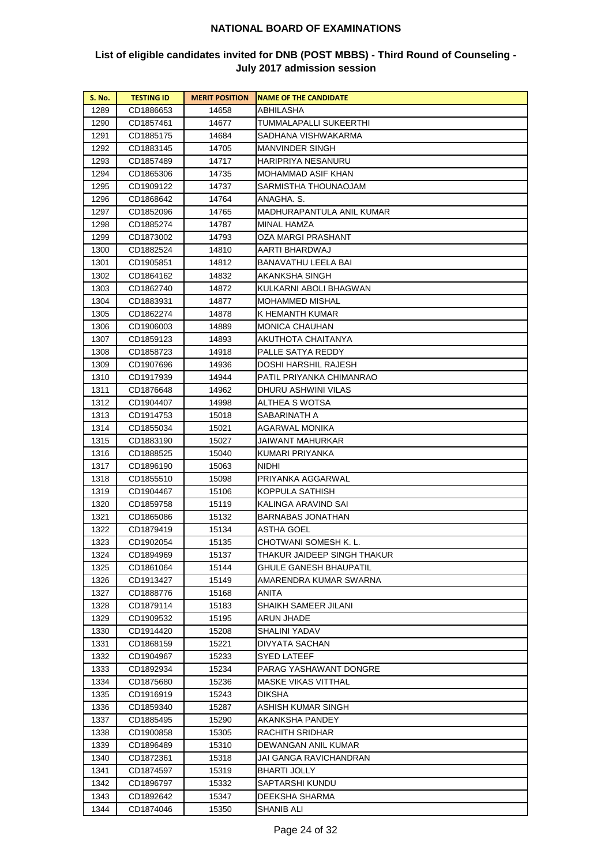| <b>S. No.</b> | <b>TESTING ID</b>      | <b>MERIT POSITION</b> | <b>NAME OF THE CANDIDATE</b>                          |
|---------------|------------------------|-----------------------|-------------------------------------------------------|
| 1289          | CD1886653              | 14658                 | ABHILASHA                                             |
| 1290          | CD1857461              | 14677                 | TUMMALAPALLI SUKEERTHI                                |
| 1291          | CD1885175              | 14684                 | SADHANA VISHWAKARMA                                   |
| 1292          | CD1883145              | 14705                 | MANVINDER SINGH                                       |
| 1293          | CD1857489              | 14717                 | HARIPRIYA NESANURU                                    |
| 1294          | CD1865306              | 14735                 | MOHAMMAD ASIF KHAN                                    |
| 1295          | CD1909122              | 14737                 | SARMISTHA THOUNAOJAM                                  |
| 1296          | CD1868642              | 14764                 | ANAGHA. S.                                            |
| 1297          | CD1852096              | 14765                 | MADHURAPANTULA ANIL KUMAR                             |
| 1298          | CD1885274              | 14787                 | MINAL HAMZA                                           |
| 1299          | CD1873002              | 14793                 | OZA MARGI PRASHANT                                    |
| 1300          | CD1882524              | 14810                 | AARTI BHARDWAJ                                        |
| 1301          | CD1905851              | 14812                 | BANAVATHU LEELA BAI                                   |
| 1302          | CD1864162              | 14832                 | AKANKSHA SINGH                                        |
| 1303          | CD1862740              | 14872                 | KULKARNI ABOLI BHAGWAN                                |
| 1304          | CD1883931              | 14877                 | MOHAMMED MISHAL                                       |
| 1305          | CD1862274              | 14878                 | K HEMANTH KUMAR                                       |
| 1306          | CD1906003              | 14889                 | MONICA CHAUHAN                                        |
| 1307          | CD1859123              | 14893                 | AKUTHOTA CHAITANYA                                    |
| 1308          | CD1858723              | 14918                 | PALLE SATYA REDDY                                     |
| 1309          | CD1907696              | 14936                 | DOSHI HARSHIL RAJESH                                  |
| 1310          | CD1917939              | 14944                 | PATIL PRIYANKA CHIMANRAO                              |
| 1311          | CD1876648              | 14962                 | DHURU ASHWINI VILAS                                   |
| 1312          | CD1904407              | 14998                 | ALTHEA S WOTSA                                        |
| 1313          | CD1914753              | 15018                 | SABARINATH A                                          |
| 1314          | CD1855034              | 15021                 | AGARWAL MONIKA                                        |
| 1315          | CD1883190              | 15027                 | JAIWANT MAHURKAR                                      |
| 1316          | CD1888525              | 15040                 | KUMARI PRIYANKA                                       |
| 1317          | CD1896190              | 15063                 | NIDHI                                                 |
| 1318          | CD1855510              | 15098                 | PRIYANKA AGGARWAL                                     |
| 1319          | CD1904467              | 15106                 | KOPPULA SATHISH                                       |
| 1320          | CD1859758              | 15119                 | KALINGA ARAVIND SAI                                   |
| 1321<br>1322  | CD1865086              | 15132                 | BARNABAS JONATHAN                                     |
| 1323          | CD1879419              | 15134<br>15135        | ASTHA GOEL<br>CHOTWANI SOMESH K. L.                   |
|               | CD1902054              | 15137                 |                                                       |
| 1324<br>1325  | CD1894969<br>CD1861064 | 15144                 | THAKUR JAIDEEP SINGH THAKUR<br>GHULE GANESH BHAUPATIL |
| 1326          | CD1913427              | 15149                 | AMARENDRA KUMAR SWARNA                                |
| 1327          | CD1888776              | 15168                 | ANITA                                                 |
| 1328          | CD1879114              | 15183                 | SHAIKH SAMEER JILANI                                  |
| 1329          | CD1909532              | 15195                 | ARUN JHADE                                            |
| 1330          | CD1914420              | 15208                 | SHALINI YADAV                                         |
| 1331          | CD1868159              | 15221                 | DIVYATA SACHAN                                        |
| 1332          | CD1904967              | 15233                 | SYED LATEEF                                           |
| 1333          | CD1892934              | 15234                 | PARAG YASHAWANT DONGRE                                |
| 1334          | CD1875680              | 15236                 | MASKE VIKAS VITTHAL                                   |
| 1335          | CD1916919              | 15243                 | DIKSHA                                                |
| 1336          | CD1859340              | 15287                 | ASHISH KUMAR SINGH                                    |
| 1337          | CD1885495              | 15290                 | AKANKSHA PANDEY                                       |
| 1338          | CD1900858              | 15305                 | RACHITH SRIDHAR                                       |
| 1339          | CD1896489              | 15310                 | DEWANGAN ANIL KUMAR                                   |
| 1340          | CD1872361              | 15318                 | JAI GANGA RAVICHANDRAN                                |
| 1341          | CD1874597              | 15319                 | BHARTI JOLLY                                          |
| 1342          | CD1896797              | 15332                 | SAPTARSHI KUNDU                                       |
| 1343          | CD1892642              | 15347                 | DEEKSHA SHARMA                                        |
| 1344          | CD1874046              | 15350                 | SHANIB ALI                                            |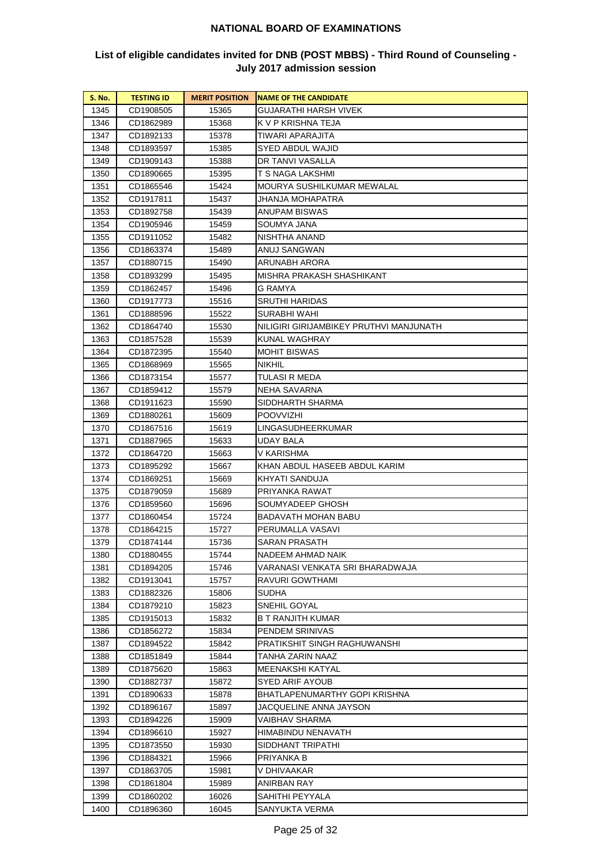| <b>S. No.</b> | <b>TESTING ID</b>      | <b>MERIT POSITION</b> | <b>NAME OF THE CANDIDATE</b>            |
|---------------|------------------------|-----------------------|-----------------------------------------|
| 1345          | CD1908505              | 15365                 | GUJARATHI HARSH VIVEK                   |
| 1346          | CD1862989              | 15368                 | K V P KRISHNA TEJA                      |
| 1347          | CD1892133              | 15378                 | TIWARI APARAJITA                        |
| 1348          | CD1893597              | 15385                 | SYED ABDUL WAJID                        |
| 1349          | CD1909143              | 15388                 | DR TANVI VASALLA                        |
| 1350          | CD1890665              | 15395                 | T S NAGA LAKSHMI                        |
| 1351          | CD1865546              | 15424                 | MOURYA SUSHILKUMAR MEWALAL              |
| 1352          | CD1917811              | 15437                 | JHANJA MOHAPATRA                        |
| 1353          | CD1892758              | 15439                 | <b>ANUPAM BISWAS</b>                    |
| 1354          | CD1905946              | 15459                 | SOUMYA JANA                             |
| 1355          | CD1911052              | 15482                 | NISHTHA ANAND                           |
| 1356          | CD1863374              | 15489                 | ANUJ SANGWAN                            |
| 1357          | CD1880715              | 15490                 | ARUNABH ARORA                           |
| 1358          | CD1893299              | 15495                 | MISHRA PRAKASH SHASHIKANT               |
| 1359          | CD1862457              | 15496                 | G RAMYA                                 |
| 1360          | CD1917773              | 15516                 | SRUTHI HARIDAS                          |
| 1361          | CD1888596              | 15522                 | SURABHI WAHI                            |
| 1362          | CD1864740              | 15530                 | NILIGIRI GIRIJAMBIKEY PRUTHVI MANJUNATH |
| 1363          | CD1857528              | 15539                 | KUNAL WAGHRAY                           |
| 1364          | CD1872395              | 15540                 | <b>MOHIT BISWAS</b>                     |
| 1365          | CD1868969              | 15565                 | <b>NIKHIL</b>                           |
| 1366          | CD1873154              | 15577                 | TULASI R MEDA                           |
| 1367          | CD1859412              | 15579                 | NEHA SAVARNA                            |
| 1368          | CD1911623              | 15590                 | SIDDHARTH SHARMA                        |
| 1369          | CD1880261              | 15609                 | <b>POOVVIZHI</b>                        |
| 1370          | CD1867516              | 15619                 | LINGASUDHEERKUMAR                       |
| 1371          | CD1887965              | 15633                 | UDAY BALA                               |
| 1372          | CD1864720              | 15663                 | V KARISHMA                              |
| 1373          | CD1895292              | 15667                 | KHAN ABDUL HASEEB ABDUL KARIM           |
| 1374          | CD1869251              | 15669                 | KHYATI SANDUJA                          |
| 1375          | CD1879059              | 15689                 | PRIYANKA RAWAT                          |
| 1376          | CD1859560              | 15696                 | SOUMYADEEP GHOSH                        |
| 1377          | CD1860454              | 15724                 | BADAVATH MOHAN BABU                     |
| 1378          | CD1864215              | 15727                 | PERUMALLA VASAVI                        |
| 1379          | CD1874144              | 15736                 | SARAN PRASATH                           |
| 1380          | CD1880455              | 15744                 | NADEEM AHMAD NAIK                       |
| 1381          | CD1894205              | 15746                 | VARANASI VENKATA SRI BHARADWAJA         |
| 1382          | CD1913041              | 15757                 | RAVURI GOWTHAMI                         |
| 1383          | CD1882326              | 15806                 | SUDHA                                   |
| 1384          | CD1879210              | 15823                 | SNEHIL GOYAL                            |
| 1385          | CD1915013              | 15832                 | B T RANJITH KUMAR<br>PENDEM SRINIVAS    |
| 1386<br>1387  | CD1856272<br>CD1894522 | 15834<br>15842        | PRATIKSHIT SINGH RAGHUWANSHI            |
| 1388          | CD1851849              | 15844                 | TANHA ZARIN NAAZ                        |
| 1389          | CD1875620              | 15863                 | MEENAKSHI KATYAL                        |
| 1390          | CD1882737              | 15872                 | SYED ARIF AYOUB                         |
| 1391          | CD1890633              | 15878                 | BHATLAPENUMARTHY GOPI KRISHNA           |
| 1392          | CD1896167              | 15897                 | JACQUELINE ANNA JAYSON                  |
| 1393          | CD1894226              | 15909                 | VAIBHAV SHARMA                          |
| 1394          | CD1896610              | 15927                 | HIMABINDU NENAVATH                      |
| 1395          | CD1873550              | 15930                 | SIDDHANT TRIPATHI                       |
| 1396          | CD1884321              | 15966                 | PRIYANKA B                              |
| 1397          | CD1863705              | 15981                 | V DHIVAAKAR                             |
| 1398          | CD1861804              | 15989                 | ANIRBAN RAY                             |
| 1399          | CD1860202              | 16026                 | SAHITHI PEYYALA                         |
| 1400          | CD1896360              | 16045                 | SANYUKTA VERMA                          |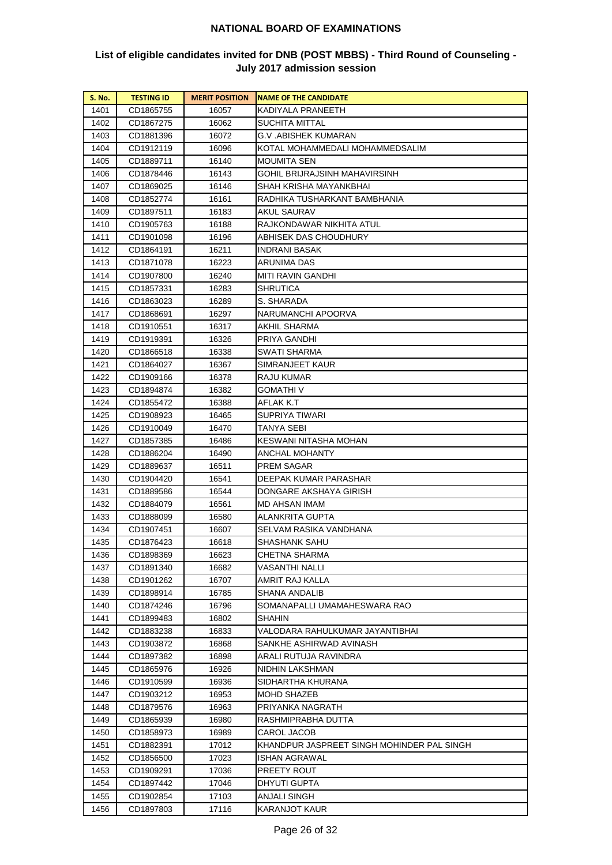| S. No. | <b>TESTING ID</b> | <b>MERIT POSITION</b> | <b>NAME OF THE CANDIDATE</b>               |
|--------|-------------------|-----------------------|--------------------------------------------|
| 1401   | CD1865755         | 16057                 | KADIYALA PRANEETH                          |
| 1402   | CD1867275         | 16062                 | SUCHITA MITTAL                             |
| 1403   | CD1881396         | 16072                 | G.V .ABISHEK KUMARAN                       |
| 1404   | CD1912119         | 16096                 | KOTAL MOHAMMEDALI MOHAMMEDSALIM            |
| 1405   | CD1889711         | 16140                 | MOUMITA SEN                                |
| 1406   | CD1878446         | 16143                 | GOHIL BRIJRAJSINH MAHAVIRSINH              |
| 1407   | CD1869025         | 16146                 | SHAH KRISHA MAYANKBHAI                     |
| 1408   | CD1852774         | 16161                 | RADHIKA TUSHARKANT BAMBHANIA               |
| 1409   | CD1897511         | 16183                 | AKUL SAURAV                                |
| 1410   | CD1905763         | 16188                 | RAJKONDAWAR NIKHITA ATUL                   |
| 1411   | CD1901098         | 16196                 | ABHISEK DAS CHOUDHURY                      |
| 1412   | CD1864191         | 16211                 | INDRANI BASAK                              |
| 1413   | CD1871078         | 16223                 | ARUNIMA DAS                                |
| 1414   | CD1907800         | 16240                 | MITI RAVIN GANDHI                          |
| 1415   | CD1857331         | 16283                 | SHRUTICA                                   |
| 1416   | CD1863023         | 16289                 | S. SHARADA                                 |
| 1417   | CD1868691         | 16297                 | NARUMANCHI APOORVA                         |
| 1418   | CD1910551         | 16317                 | AKHIL SHARMA                               |
| 1419   | CD1919391         | 16326                 | PRIYA GANDHI                               |
| 1420   | CD1866518         | 16338                 | SWATI SHARMA                               |
| 1421   | CD1864027         | 16367                 | SIMRANJEET KAUR                            |
| 1422   | CD1909166         | 16378                 | RAJU KUMAR                                 |
| 1423   | CD1894874         | 16382                 | GOMATHI V                                  |
| 1424   | CD1855472         | 16388                 | AFLAK K.T                                  |
| 1425   | CD1908923         | 16465                 | SUPRIYA TIWARI                             |
| 1426   | CD1910049         | 16470                 | TANYA SEBI                                 |
| 1427   | CD1857385         | 16486                 | KESWANI NITASHA MOHAN                      |
| 1428   | CD1886204         | 16490                 | ANCHAL MOHANTY                             |
| 1429   | CD1889637         | 16511                 | PREM SAGAR                                 |
| 1430   | CD1904420         | 16541                 | DEEPAK KUMAR PARASHAR                      |
| 1431   | CD1889586         | 16544                 | DONGARE AKSHAYA GIRISH                     |
| 1432   | CD1884079         | 16561                 | MD AHSAN IMAM                              |
| 1433   | CD1888099         | 16580                 | ALANKRITA GUPTA                            |
| 1434   | CD1907451         | 16607                 | SELVAM RASIKA VANDHANA                     |
| 1435   | CD1876423         | 16618                 | SHASHANK SAHU                              |
| 1436   | CD1898369         | 16623                 | CHETNA SHARMA                              |
| 1437   | CD1891340         | 16682                 | VASANTHI NALLI                             |
| 1438   | CD1901262         | 16707                 | AMRIT RAJ KALLA                            |
| 1439   | CD1898914         | 16785                 | SHANA ANDALIB                              |
| 1440   | CD1874246         | 16796                 | SOMANAPALLI UMAMAHESWARA RAO               |
| 1441   | CD1899483         | 16802                 | SHAHIN                                     |
| 1442   | CD1883238         | 16833                 | VALODARA RAHULKUMAR JAYANTIBHAI            |
| 1443   | CD1903872         | 16868                 | SANKHE ASHIRWAD AVINASH                    |
| 1444   | CD1897382         | 16898                 | ARALI RUTUJA RAVINDRA                      |
| 1445   | CD1865976         | 16926                 | NIDHIN LAKSHMAN                            |
| 1446   | CD1910599         | 16936                 | SIDHARTHA KHURANA                          |
| 1447   | CD1903212         | 16953                 | MOHD SHAZEB                                |
| 1448   | CD1879576         | 16963                 | PRIYANKA NAGRATH                           |
| 1449   | CD1865939         | 16980                 | RASHMIPRABHA DUTTA                         |
| 1450   | CD1858973         | 16989                 | CAROL JACOB                                |
| 1451   | CD1882391         | 17012                 | KHANDPUR JASPREET SINGH MOHINDER PAL SINGH |
| 1452   | CD1856500         | 17023                 | ISHAN AGRAWAL                              |
| 1453   | CD1909291         | 17036                 | PREETY ROUT                                |
| 1454   | CD1897442         | 17046                 | DHYUTI GUPTA                               |
| 1455   | CD1902854         | 17103                 | ANJALI SINGH                               |
| 1456   | CD1897803         | 17116                 | KARANJOT KAUR                              |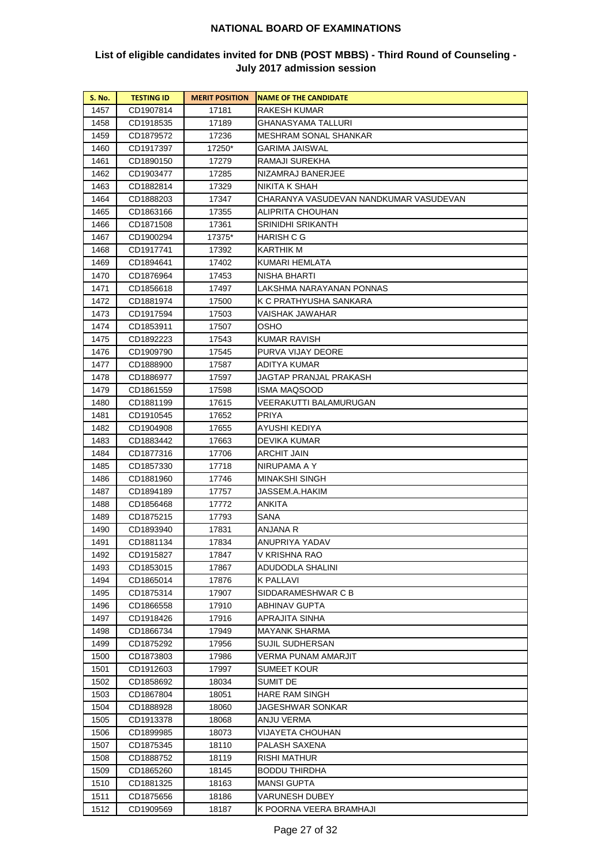| <b>S. No.</b> | <b>TESTING ID</b>      | <b>MERIT POSITION</b> | <b>NAME OF THE CANDIDATE</b>           |
|---------------|------------------------|-----------------------|----------------------------------------|
| 1457          | CD1907814              | 17181                 | RAKESH KUMAR                           |
| 1458          | CD1918535              | 17189                 | GHANASYAMA TALLURI                     |
| 1459          | CD1879572              | 17236                 | MESHRAM SONAL SHANKAR                  |
| 1460          | CD1917397              | 17250*                | GARIMA JAISWAL                         |
| 1461          | CD1890150              | 17279                 | RAMAJI SUREKHA                         |
| 1462          | CD1903477              | 17285                 | NIZAMRAJ BANERJEE                      |
| 1463          | CD1882814              | 17329                 | NIKITA K SHAH                          |
| 1464          | CD1888203              | 17347                 | CHARANYA VASUDEVAN NANDKUMAR VASUDEVAN |
| 1465          | CD1863166              | 17355                 | ALIPRITA CHOUHAN                       |
| 1466          | CD1871508              | 17361                 | SRINIDHI SRIKANTH                      |
| 1467          | CD1900294              | 17375*                | HARISH C G                             |
| 1468          | CD1917741              | 17392                 | KARTHIK M                              |
| 1469          | CD1894641              | 17402                 | KUMARI HEMLATA                         |
| 1470          | CD1876964              | 17453                 | NISHA BHARTI                           |
| 1471          | CD1856618              | 17497                 | LAKSHMA NARAYANAN PONNAS               |
| 1472          | CD1881974              | 17500                 | K C PRATHYUSHA SANKARA                 |
| 1473          | CD1917594              | 17503                 | VAISHAK JAWAHAR                        |
| 1474          | CD1853911              | 17507                 | OSHO                                   |
| 1475          | CD1892223              | 17543                 | KUMAR RAVISH                           |
| 1476          | CD1909790              | 17545                 | PURVA VIJAY DEORE                      |
| 1477          | CD1888900              | 17587                 | ADITYA KUMAR                           |
| 1478          | CD1886977              | 17597                 | JAGTAP PRANJAL PRAKASH                 |
| 1479          | CD1861559              | 17598                 | ISMA MAQSOOD                           |
| 1480          | CD1881199              | 17615                 | VEERAKUTTI BALAMURUGAN                 |
| 1481          | CD1910545              | 17652                 | PRIYA                                  |
| 1482          | CD1904908              | 17655                 | AYUSHI KEDIYA                          |
| 1483          | CD1883442              | 17663                 | DEVIKA KUMAR                           |
| 1484          | CD1877316              | 17706                 | ARCHIT JAIN                            |
| 1485          | CD1857330              | 17718                 | NIRUPAMA A Y                           |
| 1486          | CD1881960              | 17746                 | MINAKSHI SINGH                         |
| 1487<br>1488  | CD1894189              | 17757                 | JASSEM.A.HAKIM<br>ANKITA               |
| 1489          | CD1856468<br>CD1875215 | 17772                 | SANA                                   |
| 1490          | CD1893940              | 17793<br>17831        | ANJANA R                               |
| 1491          | CD1881134              | 17834                 | ANUPRIYA YADAV                         |
| 1492          | CD1915827              | 17847                 | V KRISHNA RAO                          |
| 1493          | CD1853015              | 17867                 | ADUDODLA SHALINI                       |
| 1494          | CD1865014              | 17876                 | K PALLAVI                              |
| 1495          | CD1875314              | 17907                 | SIDDARAMESHWAR C B                     |
| 1496          | CD1866558              | 17910                 | ABHINAV GUPTA                          |
| 1497          | CD1918426              | 17916                 | APRAJITA SINHA                         |
| 1498          | CD1866734              | 17949                 | MAYANK SHARMA                          |
| 1499          | CD1875292              | 17956                 | SUJIL SUDHERSAN                        |
| 1500          | CD1873803              | 17986                 | VERMA PUNAM AMARJIT                    |
| 1501          | CD1912603              | 17997                 | <b>SUMEET KOUR</b>                     |
| 1502          | CD1858692              | 18034                 | SUMIT DE                               |
| 1503          | CD1867804              | 18051                 | HARE RAM SINGH                         |
| 1504          | CD1888928              | 18060                 | JAGESHWAR SONKAR                       |
| 1505          | CD1913378              | 18068                 | ANJU VERMA                             |
| 1506          | CD1899985              | 18073                 | VIJAYETA CHOUHAN                       |
| 1507          | CD1875345              | 18110                 | PALASH SAXENA                          |
| 1508          | CD1888752              | 18119                 | RISHI MATHUR                           |
| 1509          | CD1865260              | 18145                 | BODDU THIRDHA                          |
| 1510          | CD1881325              | 18163                 | MANSI GUPTA                            |
| 1511          | CD1875656              | 18186                 | VARUNESH DUBEY                         |
| 1512          | CD1909569              | 18187                 | K POORNA VEERA BRAMHAJI                |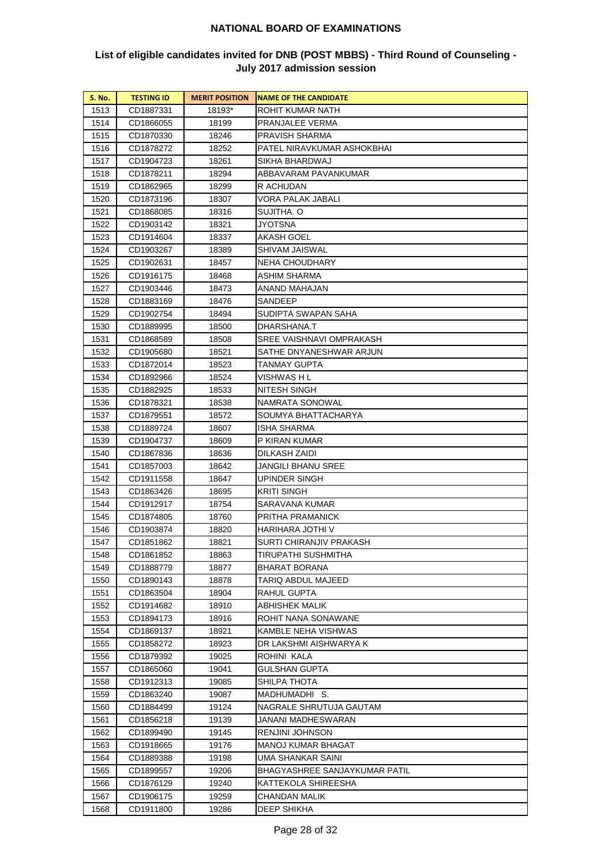| S. No.       | <b>TESTING ID</b>      | <b>MERIT POSITION</b> | <b>NAME OF THE CANDIDATE</b>                   |
|--------------|------------------------|-----------------------|------------------------------------------------|
| 1513         | CD1887331              | 18193*                | ROHIT KUMAR NATH                               |
| 1514         | CD1866055              | 18199                 | PRANJALEE VERMA                                |
| 1515         | CD1870330              | 18246                 | PRAVISH SHARMA                                 |
| 1516         | CD1878272              | 18252                 | PATEL NIRAVKUMAR ASHOKBHAI                     |
| 1517         | CD1904723              | 18261                 | SIKHA BHARDWAJ                                 |
| 1518         | CD1878211              | 18294                 | ABBAVARAM PAVANKUMAR                           |
| 1519         | CD1862965              | 18299                 | R ACHUDAN                                      |
| 1520         | CD1873196              | 18307                 | VORA PALAK JABALI                              |
| 1521         | CD1868085              | 18316                 | SUJITHA. O                                     |
| 1522         | CD1903142              | 18321                 | JYOTSNA                                        |
| 1523         | CD1914604              | 18337                 | AKASH GOEL                                     |
| 1524         | CD1903267              | 18389                 | SHIVAM JAISWAL                                 |
| 1525         | CD1902631              | 18457                 | NEHA CHOUDHARY                                 |
| 1526         | CD1916175              | 18468                 | ASHIM SHARMA                                   |
| 1527         | CD1903446              | 18473                 | ANAND MAHAJAN                                  |
| 1528         | CD1883169              | 18476                 | SANDEEP                                        |
| 1529         | CD1902754              | 18494                 | SUDIPTA SWAPAN SAHA                            |
| 1530         | CD1889995              | 18500                 | DHARSHANA.T                                    |
| 1531         | CD1868589              | 18508                 | SREE VAISHNAVI OMPRAKASH                       |
| 1532         | CD1905680              | 18521                 | SATHE DNYANESHWAR ARJUN                        |
| 1533         | CD1872014              | 18523                 | TANMAY GUPTA                                   |
| 1534         | CD1892966              | 18524                 | VISHWAS H L                                    |
| 1535         | CD1882925              | 18533                 | NITESH SINGH                                   |
| 1536         | CD1878321              | 18538                 | NAMRATA SONOWAL                                |
| 1537         | CD1879551              | 18572                 | SOUMYA BHATTACHARYA                            |
| 1538         | CD1889724              | 18607                 | ISHA SHARMA                                    |
| 1539         | CD1904737              | 18609                 | P KIRAN KUMAR                                  |
| 1540         | CD1867836              | 18636                 | DILKASH ZAIDI                                  |
| 1541         | CD1857003              | 18642                 | JANGILI BHANU SREE                             |
| 1542         | CD1911558              | 18647                 | UPINDER SINGH                                  |
| 1543         | CD1863426              | 18695                 | KRITI SINGH                                    |
| 1544         | CD1912917              | 18754                 | SARAVANA KUMAR                                 |
| 1545         | CD1874805              | 18760                 | PRITHA PRAMANICK                               |
| 1546         | CD1903874              | 18820                 | HARIHARA JOTHI V                               |
| 1547         | CD1851862              | 18821                 | SURTI CHIRANJIV PRAKASH<br>TIRUPATHI SUSHMITHA |
| 1548         | CD1861852              | 18863                 |                                                |
| 1549         | CD1888779<br>CD1890143 | 18877<br>18878        | BHARAT BORANA<br>TARIQ ABDUL MAJEED            |
| 1550<br>1551 | CD1863504              | 18904                 | RAHUL GUPTA                                    |
| 1552         | CD1914682              | 18910                 | ABHISHEK MALIK                                 |
| 1553         | CD1894173              | 18916                 | ROHIT NANA SONAWANE                            |
| 1554         | CD1869137              | 18921                 | KAMBLE NEHA VISHWAS                            |
| 1555         | CD1858272              | 18923                 | DR LAKSHMI AISHWARYA K                         |
| 1556         | CD1879392              | 19025                 | ROHINI KALA                                    |
| 1557         | CD1865060              | 19041                 | GULSHAN GUPTA                                  |
| 1558         | CD1912313              | 19085                 | SHILPA THOTA                                   |
| 1559         | CD1863240              | 19087                 | MADHUMADHI S.                                  |
| 1560         | CD1884499              | 19124                 | NAGRALE SHRUTUJA GAUTAM                        |
| 1561         | CD1856218              | 19139                 | JANANI MADHESWARAN                             |
| 1562         | CD1899490              | 19145                 | RENJINI JOHNSON                                |
| 1563         | CD1918665              | 19176                 | MANOJ KUMAR BHAGAT                             |
| 1564         | CD1889388              | 19198                 | UMA SHANKAR SAINI                              |
| 1565         | CD1899557              | 19206                 | BHAGYASHREE SANJAYKUMAR PATIL                  |
| 1566         | CD1876129              | 19240                 | KATTEKOLA SHIREESHA                            |
| 1567         | CD1906175              | 19259                 | CHANDAN MALIK                                  |
| 1568         | CD1911800              | 19286                 | DEEP SHIKHA                                    |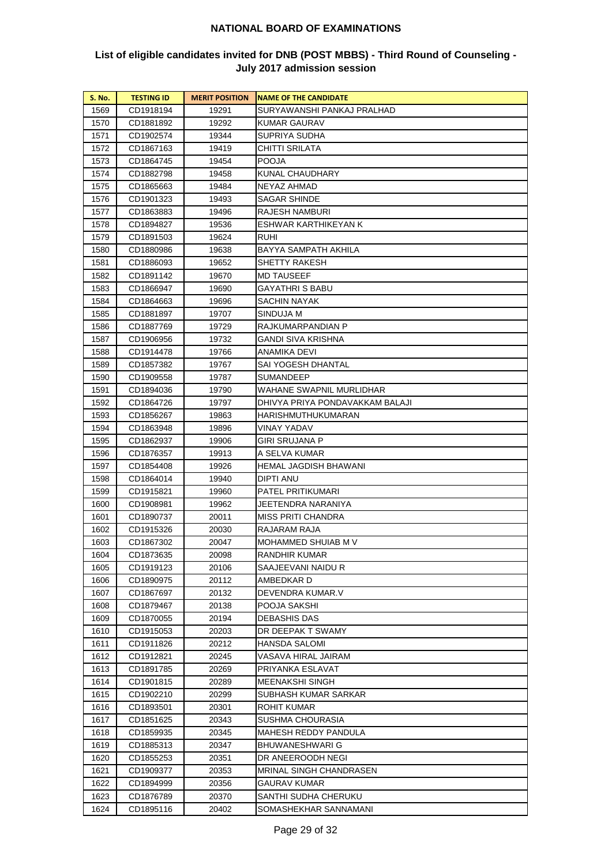| S. No. | <b>TESTING ID</b> | <b>MERIT POSITION</b> | <b>NAME OF THE CANDIDATE</b>    |
|--------|-------------------|-----------------------|---------------------------------|
| 1569   | CD1918194         | 19291                 | SURYAWANSHI PANKAJ PRALHAD      |
| 1570   | CD1881892         | 19292                 | KUMAR GAURAV                    |
| 1571   | CD1902574         | 19344                 | SUPRIYA SUDHA                   |
| 1572   | CD1867163         | 19419                 | CHITTI SRILATA                  |
| 1573   | CD1864745         | 19454                 | POOJA                           |
| 1574   | CD1882798         | 19458                 | KUNAL CHAUDHARY                 |
| 1575   | CD1865663         | 19484                 | NEYAZ AHMAD                     |
| 1576   | CD1901323         | 19493                 | SAGAR SHINDE                    |
| 1577   | CD1863883         | 19496                 | RAJESH NAMBURI                  |
| 1578   | CD1894827         | 19536                 | ESHWAR KARTHIKEYAN K            |
| 1579   | CD1891503         | 19624                 | ruhi                            |
| 1580   | CD1880986         | 19638                 | BAYYA SAMPATH AKHILA            |
| 1581   | CD1886093         | 19652                 | SHETTY RAKESH                   |
| 1582   | CD1891142         | 19670                 | MD TAUSEEF                      |
| 1583   | CD1866947         | 19690                 | GAYATHRI S BABU                 |
| 1584   | CD1864663         | 19696                 | SACHIN NAYAK                    |
| 1585   | CD1881897         | 19707                 | SINDUJA M                       |
| 1586   | CD1887769         | 19729                 | RAJKUMARPANDIAN P               |
| 1587   | CD1906956         | 19732                 | GANDI SIVA KRISHNA              |
| 1588   | CD1914478         | 19766                 | ANAMIKA DEVI                    |
| 1589   | CD1857382         | 19767                 | SAI YOGESH DHANTAL              |
| 1590   | CD1909558         | 19787                 | SUMANDEEP                       |
| 1591   | CD1894036         | 19790                 | WAHANE SWAPNIL MURLIDHAR        |
| 1592   | CD1864726         | 19797                 | DHIVYA PRIYA PONDAVAKKAM BALAJI |
| 1593   | CD1856267         | 19863                 | HARISHMUTHUKUMARAN              |
| 1594   | CD1863948         | 19896                 | VINAY YADAV                     |
| 1595   | CD1862937         | 19906                 | GIRI SRUJANA P                  |
| 1596   | CD1876357         | 19913                 | A SELVA KUMAR                   |
| 1597   | CD1854408         | 19926                 | HEMAL JAGDISH BHAWANI           |
| 1598   | CD1864014         | 19940                 | DIPTI ANU                       |
| 1599   | CD1915821         | 19960                 | PATEL PRITIKUMARI               |
| 1600   | CD1908981         | 19962                 | JEETENDRA NARANIYA              |
| 1601   | CD1890737         | 20011                 | MISS PRITI CHANDRA              |
| 1602   | CD1915326         | 20030                 | RAJARAM RAJA                    |
| 1603   | CD1867302         | 20047                 | MOHAMMED SHUIAB M V             |
| 1604   | CD1873635         | 20098                 | RANDHIR KUMAR                   |
| 1605   | CD1919123         | 20106                 | SAAJEEVANI NAIDU R              |
| 1606   | CD1890975         | 20112                 | AMBEDKAR D                      |
| 1607   | CD1867697         | 20132                 | DEVENDRA KUMAR.V                |
| 1608   | CD1879467         | 20138                 | POOJA SAKSHI                    |
| 1609   | CD1870055         | 20194                 | DEBASHIS DAS                    |
| 1610   | CD1915053         | 20203                 | DR DEEPAK T SWAMY               |
| 1611   | CD1911826         | 20212                 | HANSDA SALOMI                   |
| 1612   | CD1912821         | 20245                 | VASAVA HIRAL JAIRAM             |
| 1613   | CD1891785         | 20269                 | PRIYANKA ESLAVAT                |
| 1614   | CD1901815         | 20289                 | MEENAKSHI SINGH                 |
| 1615   | CD1902210         | 20299                 | SUBHASH KUMAR SARKAR            |
| 1616   | CD1893501         | 20301                 | ROHIT KUMAR                     |
| 1617   | CD1851625         | 20343                 | SUSHMA CHOURASIA                |
| 1618   | CD1859935         | 20345                 | MAHESH REDDY PANDULA            |
| 1619   | CD1885313         | 20347                 | BHUWANESHWARI G                 |
| 1620   | CD1855253         | 20351                 | DR ANEEROODH NEGI               |
| 1621   | CD1909377         | 20353                 | MRINAL SINGH CHANDRASEN         |
| 1622   | CD1894999         | 20356                 | GAURAV KUMAR                    |
| 1623   | CD1876789         | 20370                 | SANTHI SUDHA CHERUKU            |
| 1624   | CD1895116         | 20402                 | SOMASHEKHAR SANNAMANI           |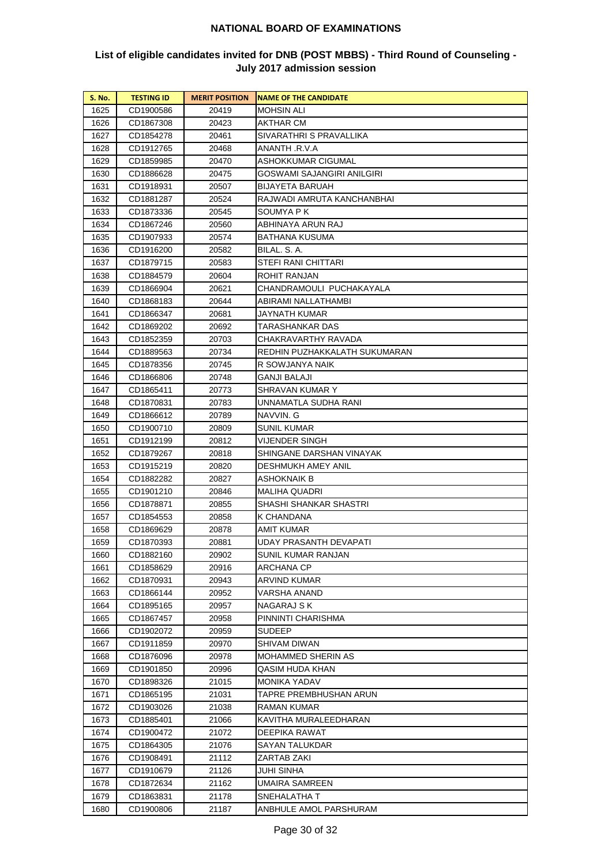| S. No. | <b>TESTING ID</b> | <b>MERIT POSITION</b> | <b>NAME OF THE CANDIDATE</b>  |
|--------|-------------------|-----------------------|-------------------------------|
| 1625   | CD1900586         | 20419                 | MOHSIN ALI                    |
| 1626   | CD1867308         | 20423                 | AKTHAR CM                     |
| 1627   | CD1854278         | 20461                 | SIVARATHRI S PRAVALLIKA       |
| 1628   | CD1912765         | 20468                 | ANANTH .R.V.A                 |
| 1629   | CD1859985         | 20470                 | ASHOKKUMAR CIGUMAL            |
| 1630   | CD1886628         | 20475                 | GOSWAMI SAJANGIRI ANILGIRI    |
| 1631   | CD1918931         | 20507                 | <b>BIJAYETA BARUAH</b>        |
| 1632   | CD1881287         | 20524                 | RAJWADI AMRUTA KANCHANBHAI    |
| 1633   | CD1873336         | 20545                 | SOUMYA P K                    |
| 1634   | CD1867246         | 20560                 | ABHINAYA ARUN RAJ             |
| 1635   | CD1907933         | 20574                 | BATHANA KUSUMA                |
| 1636   | CD1916200         | 20582                 | BILAL. S. A.                  |
| 1637   | CD1879715         | 20583                 | STEFI RANI CHITTARI           |
| 1638   | CD1884579         | 20604                 | ROHIT RANJAN                  |
| 1639   | CD1866904         | 20621                 | CHANDRAMOULI PUCHAKAYALA      |
| 1640   | CD1868183         | 20644                 | ABIRAMI NALLATHAMBI           |
| 1641   | CD1866347         | 20681                 | JAYNATH KUMAR                 |
| 1642   | CD1869202         | 20692                 | TARASHANKAR DAS               |
| 1643   | CD1852359         | 20703                 | CHAKRAVARTHY RAVADA           |
| 1644   | CD1889563         | 20734                 | REDHIN PUZHAKKALATH SUKUMARAN |
| 1645   | CD1878356         | 20745                 | R SOWJANYA NAIK               |
| 1646   | CD1866806         | 20748                 | GANJI BALAJI                  |
| 1647   | CD1865411         | 20773                 | SHRAVAN KUMAR Y               |
| 1648   | CD1870831         | 20783                 | UNNAMATLA SUDHA RANI          |
| 1649   | CD1866612         | 20789                 | NAVVIN. G                     |
| 1650   | CD1900710         | 20809                 | SUNIL KUMAR                   |
| 1651   | CD1912199         | 20812                 | VIJENDER SINGH                |
| 1652   | CD1879267         | 20818                 | SHINGANE DARSHAN VINAYAK      |
| 1653   | CD1915219         | 20820                 | DESHMUKH AMEY ANIL            |
| 1654   | CD1882282         | 20827                 | ASHOKNAIK B                   |
| 1655   | CD1901210         | 20846                 | MALIHA QUADRI                 |
| 1656   | CD1878871         | 20855                 | SHASHI SHANKAR SHASTRI        |
| 1657   | CD1854553         | 20858                 | K CHANDANA                    |
| 1658   | CD1869629         | 20878                 | AMIT KUMAR                    |
| 1659   | CD1870393         | 20881                 | UDAY PRASANTH DEVAPATI        |
| 1660   | CD1882160         | 20902                 | SUNIL KUMAR RANJAN            |
| 1661   | CD1858629         | 20916                 | ARCHANA CP                    |
| 1662   | CD1870931         | 20943                 | ARVIND KUMAR                  |
| 1663   | CD1866144         | 20952                 | VARSHA ANAND                  |
| 1664   | CD1895165         | 20957                 | NAGARAJ S K                   |
| 1665   | CD1867457         | 20958                 | PINNINTI CHARISHMA            |
| 1666   | CD1902072         | 20959                 | <b>SUDEEP</b>                 |
| 1667   | CD1911859         | 20970                 | SHIVAM DIWAN                  |
| 1668   | CD1876096         | 20978                 | MOHAMMED SHERIN AS            |
| 1669   | CD1901850         | 20996                 | QASIM HUDA KHAN               |
| 1670   | CD1898326         | 21015                 | MONIKA YADAV                  |
| 1671   | CD1865195         | 21031                 | TAPRE PREMBHUSHAN ARUN        |
| 1672   | CD1903026         | 21038                 | RAMAN KUMAR                   |
| 1673   | CD1885401         | 21066                 | KAVITHA MURALEEDHARAN         |
| 1674   | CD1900472         | 21072                 | DEEPIKA RAWAT                 |
| 1675   | CD1864305         | 21076                 | SAYAN TALUKDAR                |
| 1676   | CD1908491         | 21112                 | ZARTAB ZAKI                   |
| 1677   | CD1910679         | 21126                 | JUHI SINHA                    |
| 1678   | CD1872634         | 21162                 | UMAIRA SAMREEN                |
| 1679   | CD1863831         | 21178                 | SNEHALATHA T                  |
| 1680   | CD1900806         | 21187                 | ANBHULE AMOL PARSHURAM        |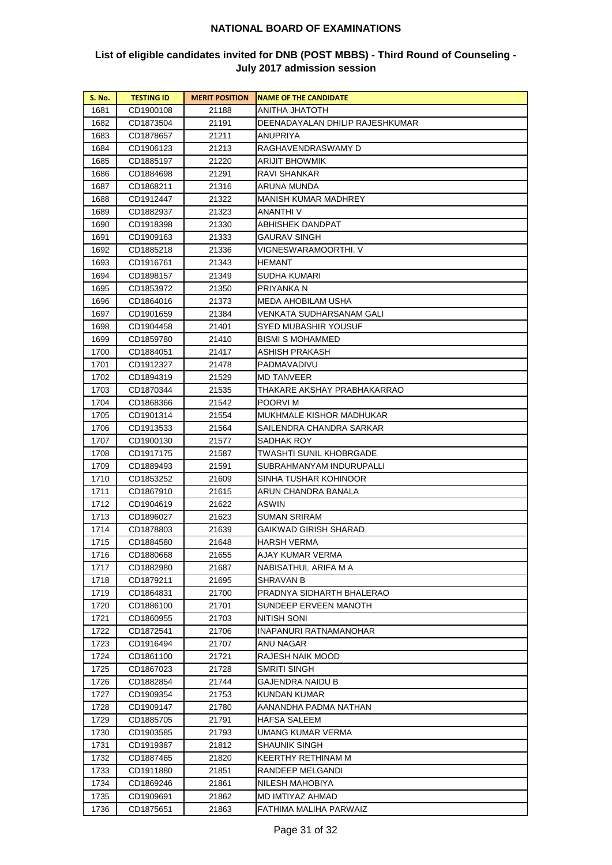| <b>S. No.</b> | <b>TESTING ID</b> | <b>MERIT POSITION</b> | <b>NAME OF THE CANDIDATE</b>        |
|---------------|-------------------|-----------------------|-------------------------------------|
| 1681          | CD1900108         | 21188                 | ANITHA JHATOTH                      |
| 1682          | CD1873504         | 21191                 | DEENADAYALAN DHILIP RAJESHKUMAR     |
| 1683          | CD1878657         | 21211                 | ANUPRIYA                            |
| 1684          | CD1906123         | 21213                 | RAGHAVENDRASWAMY D                  |
| 1685          | CD1885197         | 21220                 | ARIJIT BHOWMIK                      |
| 1686          | CD1884698         | 21291                 | RAVI SHANKAR                        |
| 1687          | CD1868211         | 21316                 | ARUNA MUNDA                         |
| 1688          | CD1912447         | 21322                 | <b>MANISH KUMAR MADHREY</b>         |
| 1689          | CD1882937         | 21323                 | ANANTHI V                           |
| 1690          | CD1918398         | 21330                 | ABHISHEK DANDPAT                    |
| 1691          | CD1909163         | 21333                 | <b>GAURAV SINGH</b>                 |
| 1692          | CD1885218         | 21336                 | VIGNESWARAMOORTHI. V                |
| 1693          | CD1916761         | 21343                 | HEMANT                              |
| 1694          | CD1898157         | 21349                 | SUDHA KUMARI                        |
| 1695          | CD1853972         | 21350                 | PRIYANKA N                          |
| 1696          | CD1864016         | 21373                 | MEDA AHOBILAM USHA                  |
| 1697          | CD1901659         | 21384                 | VENKATA SUDHARSANAM GALI            |
| 1698          | CD1904458         | 21401                 | SYED MUBASHIR YOUSUF                |
| 1699          | CD1859780         | 21410                 | BISMI S MOHAMMED                    |
| 1700          | CD1884051         | 21417                 | ASHISH PRAKASH                      |
| 1701          | CD1912327         | 21478                 | PADMAVADIVU                         |
| 1702          | CD1894319         | 21529                 | MD TANVEER                          |
| 1703          | CD1870344         | 21535                 | THAKARE AKSHAY PRABHAKARRAO         |
| 1704          | CD1868366         | 21542                 | POORVI M                            |
| 1705          | CD1901314         | 21554                 | MUKHMALE KISHOR MADHUKAR            |
| 1706          | CD1913533         | 21564                 | SAILENDRA CHANDRA SARKAR            |
| 1707          | CD1900130         | 21577                 | SADHAK ROY                          |
| 1708          | CD1917175         | 21587                 | TWASHTI SUNIL KHOBRGADE             |
| 1709          | CD1889493         | 21591                 | SUBRAHMANYAM INDURUPALLI            |
| 1710          | CD1853252         | 21609                 | SINHA TUSHAR KOHINOOR               |
| 1711          | CD1867910         | 21615                 | ARUN CHANDRA BANALA                 |
| 1712          | CD1904619         | 21622                 | ASWIN                               |
| 1713          | CD1896027         | 21623                 | SUMAN SRIRAM                        |
| 1714          | CD1878803         | 21639                 | GAIKWAD GIRISH SHARAD               |
| 1715          | CD1884580         | 21648                 | HARSH VERMA                         |
| 1716          | CD1880668         | 21655                 | AJAY KUMAR VERMA                    |
| 1717          | CD1882980         | 21687                 | NABISATHUL ARIFA M A                |
| 1718          | CD1879211         | 21695                 | SHRAVAN B                           |
| 1719          | CD1864831         | 21700                 | PRADNYA SIDHARTH BHALERAO           |
| 1720          | CD1886100         | 21701                 | SUNDEEP ERVEEN MANOTH               |
| 1721          | CD1860955         | 21703                 | NITISH SONI                         |
| 1722          | CD1872541         | 21706                 | INAPANURI RATNAMANOHAR              |
| 1723          | CD1916494         | 21707                 | ANU NAGAR                           |
| 1724          | CD1861100         | 21721                 | RAJESH NAIK MOOD                    |
| 1725          | CD1867023         | 21728                 | SMRITI SINGH                        |
| 1726          | CD1882854         | 21744                 | GAJENDRA NAIDU B                    |
| 1727          | CD1909354         | 21753                 | KUNDAN KUMAR                        |
| 1728          | CD1909147         | 21780                 | AANANDHA PADMA NATHAN               |
| 1729<br>1730  | CD1885705         | 21791                 | HAFSA SALEEM                        |
| 1731          | CD1903585         | 21793                 | UMANG KUMAR VERMA<br>SHAUNIK SINGH  |
|               | CD1919387         | 21812                 |                                     |
| 1732          | CD1887465         | 21820                 | KEERTHY RETHINAM M                  |
| 1733<br>1734  | CD1911880         | 21851                 | RANDEEP MELGANDI                    |
| 1735          | CD1869246         | 21861                 | NILESH MAHOBIYA<br>MD IMTIYAZ AHMAD |
|               | CD1909691         | 21862                 |                                     |
| 1736          | CD1875651         | 21863                 | FATHIMA MALIHA PARWAIZ              |